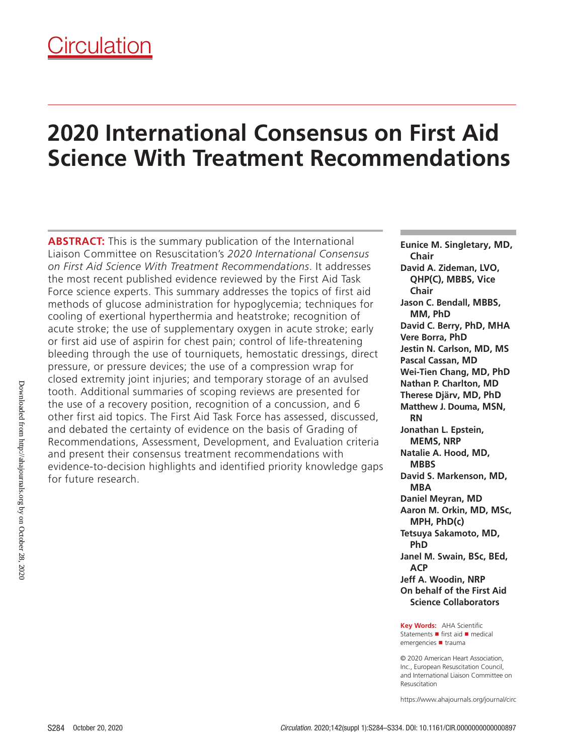# **2020 International Consensus on First Aid Science With Treatment Recommendations**

**ABSTRACT:** This is the summary publication of the International Liaison Committee on Resuscitation's *2020 International Consensus on First Aid Science With Treatment Recommendations*. It addresses the most recent published evidence reviewed by the First Aid Task Force science experts. This summary addresses the topics of first aid methods of glucose administration for hypoglycemia; techniques for cooling of exertional hyperthermia and heatstroke; recognition of acute stroke; the use of supplementary oxygen in acute stroke; early or first aid use of aspirin for chest pain; control of life-threatening bleeding through the use of tourniquets, hemostatic dressings, direct pressure, or pressure devices; the use of a compression wrap for closed extremity joint injuries; and temporary storage of an avulsed tooth. Additional summaries of scoping reviews are presented for the use of a recovery position, recognition of a concussion, and 6 other first aid topics. The First Aid Task Force has assessed, discussed, and debated the certainty of evidence on the basis of Grading of Recommendations, Assessment, Development, and Evaluation criteria and present their consensus treatment recommendations with evidence-to-decision highlights and identified priority knowledge gaps for future research.

**Eunice M. Singletary, MD, Chair David A. Zideman, LVO, QHP(C), MBBS, Vice Chair Jason C. Bendall, MBBS, MM, PhD David C. Berry, PhD, MHA Vere Borra, PhD Jestin N. Carlson, MD, MS Pascal Cassan, MD Wei-Tien Chang, MD, PhD Nathan P. Charlton, MD Therese Djärv, MD, PhD Matthew J. Douma, MSN, RN Jonathan L. Epstein, MEMS, NRP Natalie A. Hood, MD, MBBS David S. Markenson, MD, MBA Daniel Meyran, MD Aaron M. Orkin, MD, MSc, MPH, PhD(c) Tetsuya Sakamoto, MD, PhD Janel M. Swain, BSc, BEd, ACP Jeff A. Woodin, NRP On behalf of the First Aid Science Collaborators**

**Key Words:** AHA Scientific Statements ■ first aid ■ medical emergencies ■ trauma

© 2020 American Heart Association, Inc., European Resuscitation Council, and International Liaison Committee on Resuscitation

https://www.ahajournals.org/journal/circ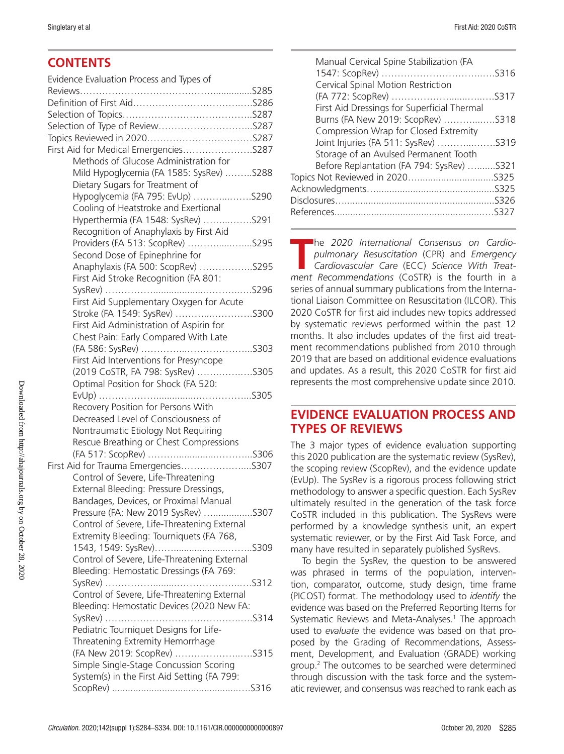# **CONTENTS**

| Evidence Evaluation Process and Types of |                                                                          |
|------------------------------------------|--------------------------------------------------------------------------|
|                                          |                                                                          |
|                                          |                                                                          |
|                                          |                                                                          |
|                                          |                                                                          |
|                                          |                                                                          |
|                                          |                                                                          |
|                                          | Methods of Glucose Administration for                                    |
|                                          | Mild Hypoglycemia (FA 1585: SysRev) S288                                 |
| Dietary Sugars for Treatment of          |                                                                          |
|                                          | Hypoglycemia (FA 795: EvUp) S290                                         |
|                                          | Cooling of Heatstroke and Exertional                                     |
|                                          | Hyperthermia (FA 1548: SysRev) S291                                      |
|                                          | Recognition of Anaphylaxis by First Aid                                  |
|                                          | Providers (FA 513: ScopRev)  S295                                        |
| Second Dose of Epinephrine for           |                                                                          |
|                                          | Anaphylaxis (FA 500: ScopRev) S295                                       |
|                                          | First Aid Stroke Recognition (FA 801:                                    |
|                                          |                                                                          |
|                                          | First Aid Supplementary Oxygen for Acute                                 |
|                                          |                                                                          |
|                                          | First Aid Administration of Aspirin for                                  |
|                                          | Chest Pain: Early Compared With Late                                     |
|                                          |                                                                          |
|                                          | First Aid Interventions for Presyncope                                   |
|                                          | (2019 CoSTR, FA 798: SysRev) S305<br>Optimal Position for Shock (FA 520: |
|                                          |                                                                          |
|                                          | Recovery Position for Persons With                                       |
|                                          | Decreased Level of Consciousness of                                      |
|                                          | Nontraumatic Etiology Not Requiring                                      |
|                                          | Rescue Breathing or Chest Compressions                                   |
|                                          |                                                                          |
|                                          |                                                                          |
|                                          | Control of Severe, Life-Threatening                                      |
|                                          | External Bleeding: Pressure Dressings,                                   |
|                                          | Bandages, Devices, or Proximal Manual                                    |
|                                          | Pressure (FA: New 2019 SysRev) S307                                      |
|                                          | Control of Severe, Life-Threatening External                             |
|                                          | Extremity Bleeding: Tourniquets (FA 768,                                 |
|                                          |                                                                          |
|                                          | Control of Severe, Life-Threatening External                             |
|                                          | Bleeding: Hemostatic Dressings (FA 769:                                  |
|                                          |                                                                          |
|                                          | Control of Severe, Life-Threatening External                             |
|                                          |                                                                          |
|                                          |                                                                          |
|                                          | Bleeding: Hemostatic Devices (2020 New FA:                               |
|                                          | Pediatric Tourniquet Designs for Life-                                   |
|                                          | Threatening Extremity Hemorrhage                                         |
|                                          |                                                                          |
|                                          | Simple Single-Stage Concussion Scoring                                   |
|                                          | System(s) in the First Aid Setting (FA 799:                              |

| Manual Cervical Spine Stabilization (FA     |  |
|---------------------------------------------|--|
|                                             |  |
| Cervical Spinal Motion Restriction          |  |
|                                             |  |
| First Aid Dressings for Superficial Thermal |  |
| Burns (FA New 2019: ScopRev) S318           |  |
| Compression Wrap for Closed Extremity       |  |
|                                             |  |
| Storage of an Avulsed Permanent Tooth       |  |
| Before Replantation (FA 794: SysRev) S321   |  |
|                                             |  |
|                                             |  |
|                                             |  |
|                                             |  |
|                                             |  |

The *2020* International Consensus on Cardio-<br>
pulmonary Resuscitation (CPR) and Emergency<br>
Cardiovascular Care (ECC) Science With Treat*pulmonary Resuscitation* (CPR) and *Emergency Cardiovascular Care* (ECC) *Science With Treatment Recommendations* (CoSTR) is the fourth in a series of annual summary publications from the International Liaison Committee on Resuscitation (ILCOR). This 2020 CoSTR for first aid includes new topics addressed by systematic reviews performed within the past 12 months. It also includes updates of the first aid treatment recommendations published from 2010 through 2019 that are based on additional evidence evaluations and updates. As a result, this 2020 CoSTR for first aid represents the most comprehensive update since 2010.

# **EVIDENCE EVALUATION PROCESS AND TYPES OF REVIEWS**

The 3 major types of evidence evaluation supporting this 2020 publication are the systematic review (SysRev), the scoping review (ScopRev), and the evidence update (EvUp). The SysRev is a rigorous process following strict methodology to answer a specific question. Each SysRev ultimately resulted in the generation of the task force CoSTR included in this publication. The SysRevs were performed by a knowledge synthesis unit, an expert systematic reviewer, or by the First Aid Task Force, and many have resulted in separately published SysRevs.

To begin the SysRev, the question to be answered was phrased in terms of the population, intervention, comparator, outcome, study design, time frame (PICOST) format. The methodology used to *identify* the evidence was based on the Preferred Reporting Items for Systematic Reviews and Meta-Analyses.<sup>1</sup> The approach used to *evaluate* the evidence was based on that proposed by the Grading of Recommendations, Assessment, Development, and Evaluation (GRADE) working group.2 The outcomes to be searched were determined through discussion with the task force and the systematic reviewer, and consensus was reached to rank each as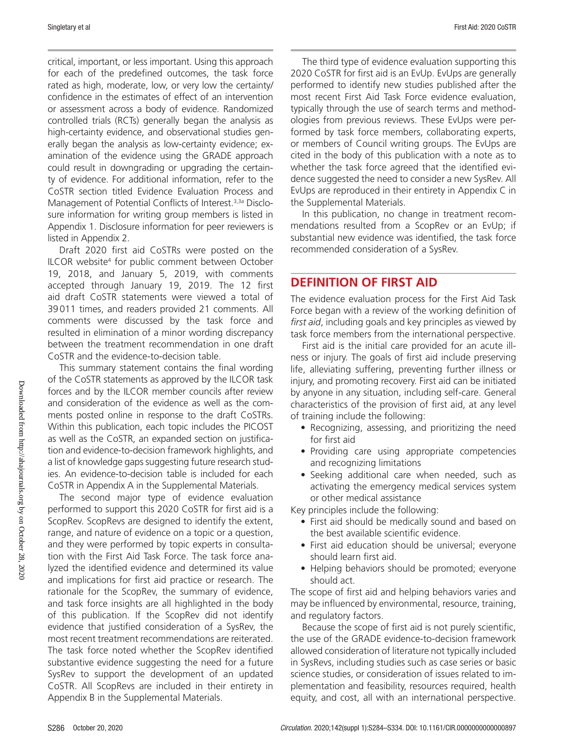critical, important, or less important. Using this approach for each of the predefined outcomes, the task force rated as high, moderate, low, or very low the certainty/ confidence in the estimates of effect of an intervention or assessment across a body of evidence. Randomized controlled trials (RCTs) generally began the analysis as high-certainty evidence, and observational studies generally began the analysis as low-certainty evidence; examination of the evidence using the GRADE approach could result in downgrading or upgrading the certainty of evidence. For additional information, refer to the CoSTR section titled Evidence Evaluation Process and Management of Potential Conflicts of Interest.3,3a Disclosure information for writing group members is listed in Appendix 1. Disclosure information for peer reviewers is listed in Appendix 2.

Draft 2020 first aid CoSTRs were posted on the ILCOR website4 for public comment between October 19, 2018, and January 5, 2019, with comments accepted through January 19, 2019. The 12 first aid draft CoSTR statements were viewed a total of 39011 times, and readers provided 21 comments. All comments were discussed by the task force and resulted in elimination of a minor wording discrepancy between the treatment recommendation in one draft CoSTR and the evidence-to-decision table.

This summary statement contains the final wording of the CoSTR statements as approved by the ILCOR task forces and by the ILCOR member councils after review and consideration of the evidence as well as the comments posted online in response to the draft CoSTRs. Within this publication, each topic includes the PICOST as well as the CoSTR, an expanded section on justification and evidence-to-decision framework highlights, and a list of knowledge gaps suggesting future research studies. An evidence-to-decision table is included for each CoSTR in Appendix A in the Supplemental Materials.

The second major type of evidence evaluation performed to support this 2020 CoSTR for first aid is a ScopRev. ScopRevs are designed to identify the extent, range, and nature of evidence on a topic or a question, and they were performed by topic experts in consultation with the First Aid Task Force. The task force analyzed the identified evidence and determined its value and implications for first aid practice or research. The rationale for the ScopRev, the summary of evidence, and task force insights are all highlighted in the body of this publication. If the ScopRev did not identify evidence that justified consideration of a SysRev, the most recent treatment recommendations are reiterated. The task force noted whether the ScopRev identified substantive evidence suggesting the need for a future SysRev to support the development of an updated CoSTR. All ScopRevs are included in their entirety in Appendix B in the Supplemental Materials.

The third type of evidence evaluation supporting this 2020 CoSTR for first aid is an EvUp. EvUps are generally performed to identify new studies published after the most recent First Aid Task Force evidence evaluation, typically through the use of search terms and methodologies from previous reviews. These EvUps were performed by task force members, collaborating experts, or members of Council writing groups. The EvUps are cited in the body of this publication with a note as to whether the task force agreed that the identified evidence suggested the need to consider a new SysRev. All EvUps are reproduced in their entirety in Appendix C in the Supplemental Materials.

In this publication, no change in treatment recommendations resulted from a ScopRev or an EvUp; if substantial new evidence was identified, the task force recommended consideration of a SysRev.

# **DEFINITION OF FIRST AID**

The evidence evaluation process for the First Aid Task Force began with a review of the working definition of *first aid*, including goals and key principles as viewed by task force members from the international perspective.

First aid is the initial care provided for an acute illness or injury. The goals of first aid include preserving life, alleviating suffering, preventing further illness or injury, and promoting recovery. First aid can be initiated by anyone in any situation, including self-care. General characteristics of the provision of first aid, at any level of training include the following:

- Recognizing, assessing, and prioritizing the need for first aid
- Providing care using appropriate competencies and recognizing limitations
- Seeking additional care when needed, such as activating the emergency medical services system or other medical assistance

Key principles include the following:

- First aid should be medically sound and based on the best available scientific evidence.
- First aid education should be universal; everyone should learn first aid.
- Helping behaviors should be promoted; everyone should act.

The scope of first aid and helping behaviors varies and may be influenced by environmental, resource, training, and regulatory factors.

Because the scope of first aid is not purely scientific, the use of the GRADE evidence-to-decision framework allowed consideration of literature not typically included in SysRevs, including studies such as case series or basic science studies, or consideration of issues related to implementation and feasibility, resources required, health equity, and cost, all with an international perspective.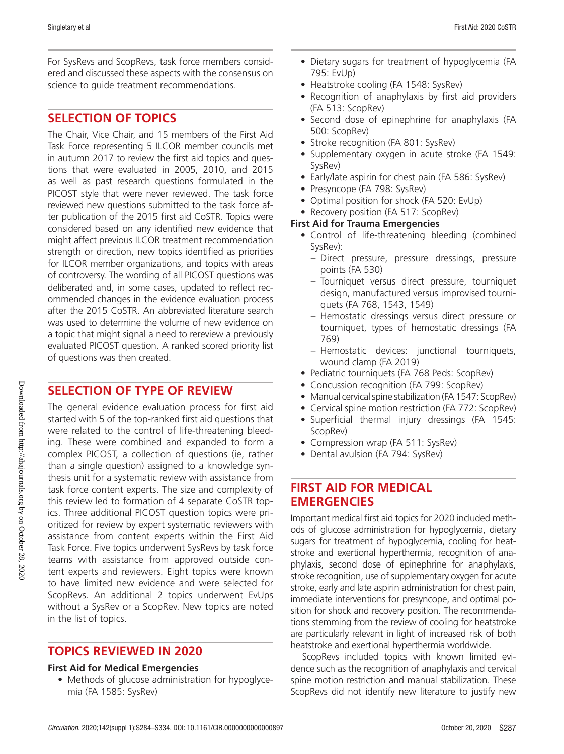For SysRevs and ScopRevs, task force members considered and discussed these aspects with the consensus on science to guide treatment recommendations.

# **SELECTION OF TOPICS**

The Chair, Vice Chair, and 15 members of the First Aid Task Force representing 5 ILCOR member councils met in autumn 2017 to review the first aid topics and questions that were evaluated in 2005, 2010, and 2015 as well as past research questions formulated in the PICOST style that were never reviewed. The task force reviewed new questions submitted to the task force after publication of the 2015 first aid CoSTR. Topics were considered based on any identified new evidence that might affect previous ILCOR treatment recommendation strength or direction, new topics identified as priorities for ILCOR member organizations, and topics with areas of controversy. The wording of all PICOST questions was deliberated and, in some cases, updated to reflect recommended changes in the evidence evaluation process after the 2015 CoSTR. An abbreviated literature search was used to determine the volume of new evidence on a topic that might signal a need to rereview a previously evaluated PICOST question. A ranked scored priority list of questions was then created.

# **SELECTION OF TYPE OF REVIEW**

The general evidence evaluation process for first aid started with 5 of the top-ranked first aid questions that were related to the control of life-threatening bleeding. These were combined and expanded to form a complex PICOST, a collection of questions (ie, rather than a single question) assigned to a knowledge synthesis unit for a systematic review with assistance from task force content experts. The size and complexity of this review led to formation of 4 separate CoSTR topics. Three additional PICOST question topics were prioritized for review by expert systematic reviewers with assistance from content experts within the First Aid Task Force. Five topics underwent SysRevs by task force teams with assistance from approved outside content experts and reviewers. Eight topics were known to have limited new evidence and were selected for ScopRevs. An additional 2 topics underwent EvUps without a SysRev or a ScopRev. New topics are noted in the list of topics.

# **TOPICS REVIEWED IN 2020**

### **First Aid for Medical Emergencies**

• Methods of glucose administration for hypoglycemia (FA 1585: SysRev)

- Dietary sugars for treatment of hypoglycemia (FA 795: EvUp)
- Heatstroke cooling (FA 1548: SysRev)
- Recognition of anaphylaxis by first aid providers (FA 513: ScopRev)
- Second dose of epinephrine for anaphylaxis (FA 500: ScopRev)
- Stroke recognition (FA 801: SysRev)
- Supplementary oxygen in acute stroke (FA 1549: SysRev)
- Early/late aspirin for chest pain (FA 586: SysRev)
- Presyncope (FA 798: SysRev)
- Optimal position for shock (FA 520: EvUp)
- Recovery position (FA 517: ScopRev)

# **First Aid for Trauma Emergencies**

- Control of life-threatening bleeding (combined SysRev):
	- Direct pressure, pressure dressings, pressure points (FA 530)
	- Tourniquet versus direct pressure, tourniquet design, manufactured versus improvised tourniquets (FA 768, 1543, 1549)
	- Hemostatic dressings versus direct pressure or tourniquet, types of hemostatic dressings (FA 769)
	- Hemostatic devices: junctional tourniquets, wound clamp (FA 2019)
- Pediatric tourniquets (FA 768 Peds: ScopRev)
- Concussion recognition (FA 799: ScopRev)
- Manual cervical spine stabilization (FA 1547: ScopRev)
- Cervical spine motion restriction (FA 772: ScopRev)
- Superficial thermal injury dressings (FA 1545: ScopRev)
- Compression wrap (FA 511: SysRev)
- Dental avulsion (FA 794: SysRev)

# **FIRST AID FOR MEDICAL EMERGENCIES**

Important medical first aid topics for 2020 included methods of glucose administration for hypoglycemia, dietary sugars for treatment of hypoglycemia, cooling for heatstroke and exertional hyperthermia, recognition of anaphylaxis, second dose of epinephrine for anaphylaxis, stroke recognition, use of supplementary oxygen for acute stroke, early and late aspirin administration for chest pain, immediate interventions for presyncope, and optimal position for shock and recovery position. The recommendations stemming from the review of cooling for heatstroke are particularly relevant in light of increased risk of both heatstroke and exertional hyperthermia worldwide.

ScopRevs included topics with known limited evidence such as the recognition of anaphylaxis and cervical spine motion restriction and manual stabilization. These ScopRevs did not identify new literature to justify new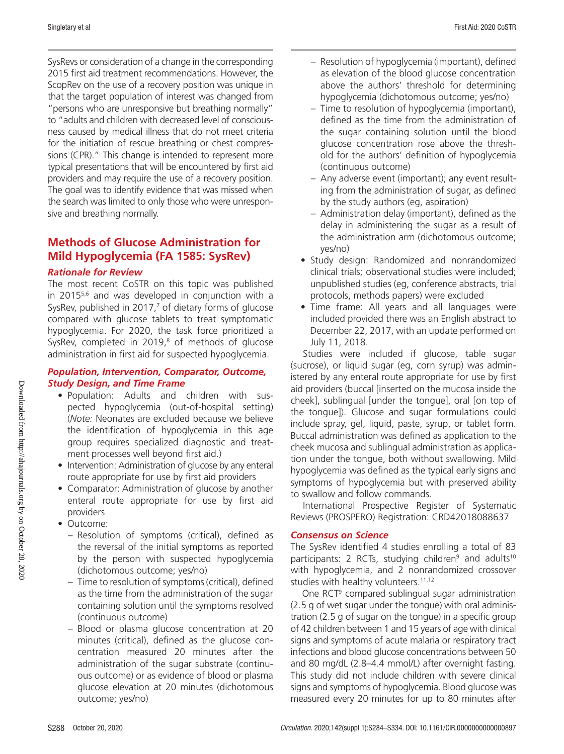SysRevs or consideration of a change in the corresponding 2015 first aid treatment recommendations. However, the ScopRev on the use of a recovery position was unique in that the target population of interest was changed from "persons who are unresponsive but breathing normally" to "adults and children with decreased level of consciousness caused by medical illness that do not meet criteria for the initiation of rescue breathing or chest compressions (CPR)." This change is intended to represent more typical presentations that will be encountered by first aid providers and may require the use of a recovery position. The goal was to identify evidence that was missed when the search was limited to only those who were unresponsive and breathing normally.

# **Methods of Glucose Administration for Mild Hypoglycemia (FA 1585: SysRev)**

### *Rationale for Review*

The most recent CoSTR on this topic was published in 20155,6 and was developed in conjunction with a SysRev, published in 2017, $<sup>7</sup>$  of dietary forms of glucose</sup> compared with glucose tablets to treat symptomatic hypoglycemia. For 2020, the task force prioritized a SysRev, completed in 2019,<sup>8</sup> of methods of glucose administration in first aid for suspected hypoglycemia.

### *Population, Intervention, Comparator, Outcome, Study Design, and Time Frame*

- Population: Adults and children with suspected hypoglycemia (out-of-hospital setting) (*Note:* Neonates are excluded because we believe the identification of hypoglycemia in this age group requires specialized diagnostic and treatment processes well beyond first aid.)
- Intervention: Administration of glucose by any enteral route appropriate for use by first aid providers
- Comparator: Administration of glucose by another enteral route appropriate for use by first aid providers
- Outcome:
	- Resolution of symptoms (critical), defined as the reversal of the initial symptoms as reported by the person with suspected hypoglycemia (dichotomous outcome; yes/no)
	- Time to resolution of symptoms (critical), defined as the time from the administration of the sugar containing solution until the symptoms resolved (continuous outcome)
	- Blood or plasma glucose concentration at 20 minutes (critical), defined as the glucose concentration measured 20 minutes after the administration of the sugar substrate (continuous outcome) or as evidence of blood or plasma glucose elevation at 20 minutes (dichotomous outcome; yes/no)
- Resolution of hypoglycemia (important), defined as elevation of the blood glucose concentration above the authors' threshold for determining hypoglycemia (dichotomous outcome; yes/no)
- Time to resolution of hypoglycemia (important), defined as the time from the administration of the sugar containing solution until the blood glucose concentration rose above the threshold for the authors' definition of hypoglycemia (continuous outcome)
- Any adverse event (important); any event resulting from the administration of sugar, as defined by the study authors (eg, aspiration)
- Administration delay (important), defined as the delay in administering the sugar as a result of the administration arm (dichotomous outcome; yes/no)
- Study design: Randomized and nonrandomized clinical trials; observational studies were included; unpublished studies (eg, conference abstracts, trial protocols, methods papers) were excluded
- Time frame: All years and all languages were included provided there was an English abstract to December 22, 2017, with an update performed on July 11, 2018.

Studies were included if glucose, table sugar (sucrose), or liquid sugar (eg, corn syrup) was administered by any enteral route appropriate for use by first aid providers (buccal [inserted on the mucosa inside the cheek], sublingual [under the tongue], oral [on top of the tongue]). Glucose and sugar formulations could include spray, gel, liquid, paste, syrup, or tablet form. Buccal administration was defined as application to the cheek mucosa and sublingual administration as application under the tongue, both without swallowing. Mild hypoglycemia was defined as the typical early signs and symptoms of hypoglycemia but with preserved ability to swallow and follow commands.

International Prospective Register of Systematic Reviews (PROSPERO) Registration: CRD42018088637

### *Consensus on Science*

The SysRev identified 4 studies enrolling a total of 83 participants: 2 RCTs, studying children<sup>9</sup> and adults<sup>10</sup> with hypoglycemia, and 2 nonrandomized crossover studies with healthy volunteers.<sup>11,12</sup>

One RCT<sup>9</sup> compared sublingual sugar administration (2.5 g of wet sugar under the tongue) with oral administration (2.5 g of sugar on the tongue) in a specific group of 42 children between 1 and 15 years of age with clinical signs and symptoms of acute malaria or respiratory tract infections and blood glucose concentrations between 50 and 80 mg/dL (2.8–4.4 mmol/L) after overnight fasting. This study did not include children with severe clinical signs and symptoms of hypoglycemia. Blood glucose was measured every 20 minutes for up to 80 minutes after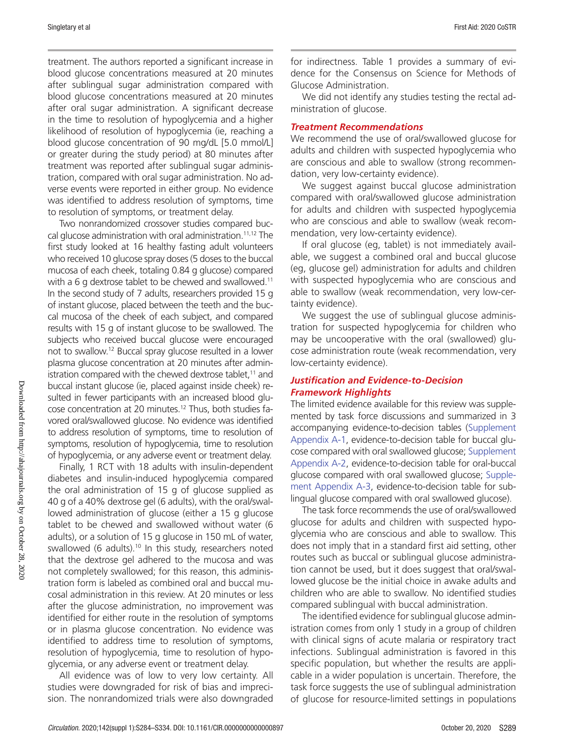treatment. The authors reported a significant increase in blood glucose concentrations measured at 20 minutes after sublingual sugar administration compared with blood glucose concentrations measured at 20 minutes after oral sugar administration. A significant decrease in the time to resolution of hypoglycemia and a higher likelihood of resolution of hypoglycemia (ie, reaching a blood glucose concentration of 90 mg/dL [5.0 mmol/L] or greater during the study period) at 80 minutes after treatment was reported after sublingual sugar administration, compared with oral sugar administration. No adverse events were reported in either group. No evidence was identified to address resolution of symptoms, time to resolution of symptoms, or treatment delay.

Two nonrandomized crossover studies compared buccal glucose administration with oral administration.11,12 The first study looked at 16 healthy fasting adult volunteers who received 10 glucose spray doses (5 doses to the buccal mucosa of each cheek, totaling 0.84 g glucose) compared with a 6 g dextrose tablet to be chewed and swallowed.<sup>11</sup> In the second study of 7 adults, researchers provided 15 g of instant glucose, placed between the teeth and the buccal mucosa of the cheek of each subject, and compared results with 15 g of instant glucose to be swallowed. The subjects who received buccal glucose were encouraged not to swallow.12 Buccal spray glucose resulted in a lower plasma glucose concentration at 20 minutes after administration compared with the chewed dextrose tablet, $11$  and buccal instant glucose (ie, placed against inside cheek) resulted in fewer participants with an increased blood glucose concentration at 20 minutes.12 Thus, both studies favored oral/swallowed glucose. No evidence was identified to address resolution of symptoms, time to resolution of symptoms, resolution of hypoglycemia, time to resolution of hypoglycemia, or any adverse event or treatment delay.

Finally, 1 RCT with 18 adults with insulin-dependent diabetes and insulin-induced hypoglycemia compared the oral administration of 15 g of glucose supplied as 40 g of a 40% dextrose gel (6 adults), with the oral/swallowed administration of glucose (either a 15 g glucose tablet to be chewed and swallowed without water (6 adults), or a solution of 15 g glucose in 150 mL of water, swallowed (6 adults).<sup>10</sup> In this study, researchers noted that the dextrose gel adhered to the mucosa and was not completely swallowed; for this reason, this administration form is labeled as combined oral and buccal mucosal administration in this review. At 20 minutes or less after the glucose administration, no improvement was identified for either route in the resolution of symptoms or in plasma glucose concentration. No evidence was identified to address time to resolution of symptoms, resolution of hypoglycemia, time to resolution of hypoglycemia, or any adverse event or treatment delay.

All evidence was of low to very low certainty. All studies were downgraded for risk of bias and imprecision. The nonrandomized trials were also downgraded

for indirectness. Table 1 provides a summary of evidence for the Consensus on Science for Methods of Glucose Administration.

We did not identify any studies testing the rectal administration of glucose.

### *Treatment Recommendations*

We recommend the use of oral/swallowed glucose for adults and children with suspected hypoglycemia who are conscious and able to swallow (strong recommendation, very low-certainty evidence).

We suggest against buccal glucose administration compared with oral/swallowed glucose administration for adults and children with suspected hypoglycemia who are conscious and able to swallow (weak recommendation, very low-certainty evidence).

If oral glucose (eg, tablet) is not immediately available, we suggest a combined oral and buccal glucose (eg, glucose gel) administration for adults and children with suspected hypoglycemia who are conscious and able to swallow (weak recommendation, very low-certainty evidence).

We suggest the use of sublingual glucose administration for suspected hypoglycemia for children who may be uncooperative with the oral (swallowed) glucose administration route (weak recommendation, very low-certainty evidence).

### *Justification and Evidence-to-Decision Framework Highlights*

The limited evidence available for this review was supplemented by task force discussions and summarized in 3 accompanying evidence-to-decision tables (Supplement Appendix A-1, evidence-to-decision table for buccal glucose compared with oral swallowed glucose; Supplement Appendix A-2, evidence-to-decision table for oral-buccal glucose compared with oral swallowed glucose; Supplement Appendix A-3, evidence-to-decision table for sublingual glucose compared with oral swallowed glucose).

The task force recommends the use of oral/swallowed glucose for adults and children with suspected hypoglycemia who are conscious and able to swallow. This does not imply that in a standard first aid setting, other routes such as buccal or sublingual glucose administration cannot be used, but it does suggest that oral/swallowed glucose be the initial choice in awake adults and children who are able to swallow. No identified studies compared sublingual with buccal administration.

The identified evidence for sublingual glucose administration comes from only 1 study in a group of children with clinical signs of acute malaria or respiratory tract infections. Sublingual administration is favored in this specific population, but whether the results are applicable in a wider population is uncertain. Therefore, the task force suggests the use of sublingual administration of glucose for resource-limited settings in populations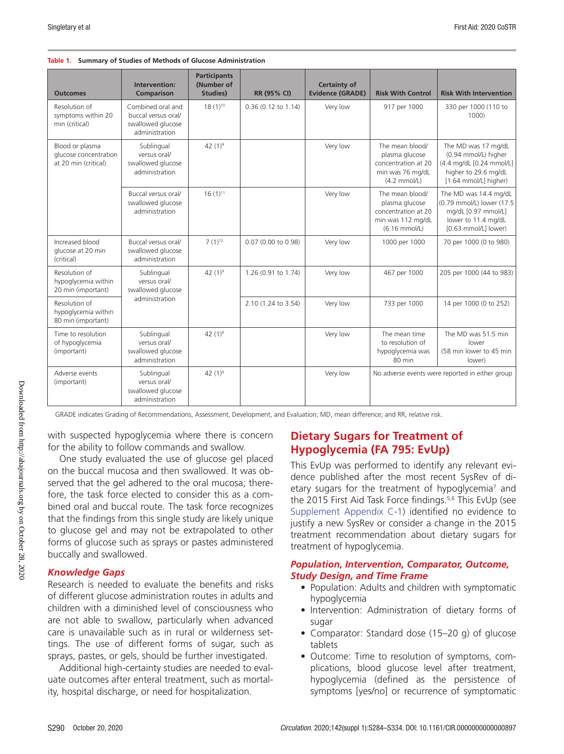| <b>Outcomes</b>                                                  | Intervention:<br>Comparison                                                     | <b>Participants</b><br>(Number of<br>Studies) | RR (95% CI)           | <b>Certainty of</b><br><b>Evidence (GRADE)</b> | <b>Risk With Control</b>                                                                         | <b>Risk With Intervention</b>                                                                                             |
|------------------------------------------------------------------|---------------------------------------------------------------------------------|-----------------------------------------------|-----------------------|------------------------------------------------|--------------------------------------------------------------------------------------------------|---------------------------------------------------------------------------------------------------------------------------|
| Resolution of<br>symptoms within 20<br>min (critical)            | Combined oral and<br>buccal versus oral/<br>swallowed glucose<br>administration | $18(1)^{10}$                                  | $0.36$ (0.12 to 1.14) | Very low                                       | 917 per 1000                                                                                     | 330 per 1000 (110 to<br>$1000$ )                                                                                          |
| Blood or plasma<br>glucose concentration<br>at 20 min (critical) | Sublingual<br>versus oral/<br>swallowed glucose<br>administration               | 42 $(1)^9$                                    |                       | Very low                                       | The mean blood/<br>plasma glucose<br>concentration at 20<br>min was 76 mg/dL<br>$(4.2$ mmol/L)   | The MD was 17 mg/dL<br>(0.94 mmol/L) higher<br>(4.4 mg/dL [0.24 mmol/L]<br>higher to 29.6 mg/dL<br>[1.64 mmol/L] higher)  |
|                                                                  | Buccal versus oral/<br>swallowed glucose<br>administration                      | $16(1)^{11}$                                  |                       | Very low                                       | The mean blood/<br>plasma glucose<br>concentration at 20<br>min was 112 mg/dL<br>$(6.16$ mmol/L) | The MD was 14.4 mg/dL<br>(0.79 mmol/L) lower (17.5)<br>mg/dL [0.97 mmol/L]<br>lower to 11.4 mg/dL<br>[0.63 mmol/L] lower) |
| Increased blood<br>glucose at 20 min<br>(critical)               | Buccal versus oral/<br>swallowed glucose<br>administration                      | $7(1)^{12}$                                   | 0.07 (0.00 to 0.98)   | Very low                                       | 1000 per 1000                                                                                    | 70 per 1000 (0 to 980)                                                                                                    |
| Resolution of<br>hypoglycemia within<br>20 min (important)       | Sublingual<br>versus oral/<br>swallowed glucose                                 | 42 $(1)^9$                                    | 1.26 (0.91 to 1.74)   | Very low                                       | 467 per 1000                                                                                     | 205 per 1000 (44 to 983)                                                                                                  |
| Resolution of<br>hypoglycemia within<br>80 min (important)       | administration                                                                  |                                               | 2.10 (1.24 to 3.54)   | Very low                                       | 733 per 1000                                                                                     | 14 per 1000 (0 to 252)                                                                                                    |
| Time to resolution<br>of hypoglycemia<br>(important)             | Sublingual<br>versus oral/<br>swallowed glucose<br>administration               | 42 $(1)^9$                                    |                       | Very low                                       | The mean time<br>to resolution of<br>hypoglycemia was<br>80 min                                  | The MD was 51.5 min<br>lower<br>(58 min lower to 45 min<br>lower)                                                         |
| Adverse events<br>(important)                                    | Sublingual<br>versus oral/<br>swallowed glucose<br>administration               | 42 $(1)^9$                                    |                       | Very low                                       |                                                                                                  | No adverse events were reported in either group                                                                           |

#### **Table 1. Summary of Studies of Methods of Glucose Administration**

GRADE indicates Grading of Recommendations, Assessment, Development, and Evaluation; MD, mean difference; and RR, relative risk.

with suspected hypoglycemia where there is concern for the ability to follow commands and swallow.

One study evaluated the use of glucose gel placed on the buccal mucosa and then swallowed. It was observed that the gel adhered to the oral mucosa; therefore, the task force elected to consider this as a combined oral and buccal route. The task force recognizes that the findings from this single study are likely unique to glucose gel and may not be extrapolated to other forms of glucose such as sprays or pastes administered buccally and swallowed.

#### *Knowledge Gaps*

Research is needed to evaluate the benefits and risks of different glucose administration routes in adults and children with a diminished level of consciousness who are not able to swallow, particularly when advanced care is unavailable such as in rural or wilderness settings. The use of different forms of sugar, such as sprays, pastes, or gels, should be further investigated.

Additional high-certainty studies are needed to evaluate outcomes after enteral treatment, such as mortality, hospital discharge, or need for hospitalization.

# **Dietary Sugars for Treatment of Hypoglycemia (FA 795: EvUp)**

This EvUp was performed to identify any relevant evidence published after the most recent SysRev of dietary sugars for the treatment of hypoglycemia<sup>7</sup> and the 2015 First Aid Task Force findings.5,6 This EvUp (see Supplement Appendix C-1) identified no evidence to justify a new SysRev or consider a change in the 2015 treatment recommendation about dietary sugars for treatment of hypoglycemia.

### *Population, Intervention, Comparator, Outcome, Study Design, and Time Frame*

- Population: Adults and children with symptomatic hypoglycemia
- Intervention: Administration of dietary forms of sugar
- Comparator: Standard dose (15–20 g) of glucose tablets
- Outcome: Time to resolution of symptoms, complications, blood glucose level after treatment, hypoglycemia (defined as the persistence of symptoms [yes/no] or recurrence of symptomatic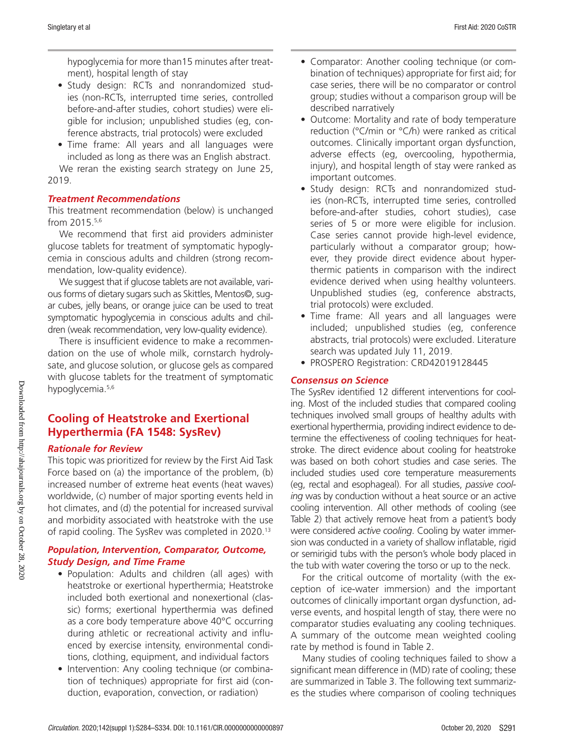hypoglycemia for more than15 minutes after treatment), hospital length of stay

- Study design: RCTs and nonrandomized studies (non-RCTs, interrupted time series, controlled before-and-after studies, cohort studies) were eligible for inclusion; unpublished studies (eg, conference abstracts, trial protocols) were excluded
- Time frame: All years and all languages were included as long as there was an English abstract. We reran the existing search strategy on June 25,

2019.

### *Treatment Recommendations*

This treatment recommendation (below) is unchanged from 2015.5,6

We recommend that first aid providers administer glucose tablets for treatment of symptomatic hypoglycemia in conscious adults and children (strong recommendation, low-quality evidence).

We suggest that if glucose tablets are not available, various forms of dietary sugars such as Skittles, Mentos©, sugar cubes, jelly beans, or orange juice can be used to treat symptomatic hypoglycemia in conscious adults and children (weak recommendation, very low-quality evidence).

There is insufficient evidence to make a recommendation on the use of whole milk, cornstarch hydrolysate, and glucose solution, or glucose gels as compared with glucose tablets for the treatment of symptomatic hypoglycemia.5,6

# **Cooling of Heatstroke and Exertional Hyperthermia (FA 1548: SysRev)**

# *Rationale for Review*

This topic was prioritized for review by the First Aid Task Force based on (a) the importance of the problem, (b) increased number of extreme heat events (heat waves) worldwide, (c) number of major sporting events held in hot climates, and (d) the potential for increased survival and morbidity associated with heatstroke with the use of rapid cooling. The SysRev was completed in 2020.13

### *Population, Intervention, Comparator, Outcome, Study Design, and Time Frame*

- Population: Adults and children (all ages) with heatstroke or exertional hyperthermia; Heatstroke included both exertional and nonexertional (classic) forms; exertional hyperthermia was defined as a core body temperature above 40°C occurring during athletic or recreational activity and influenced by exercise intensity, environmental conditions, clothing, equipment, and individual factors
- Intervention: Any cooling technique (or combination of techniques) appropriate for first aid (conduction, evaporation, convection, or radiation)
- Comparator: Another cooling technique (or combination of techniques) appropriate for first aid; for case series, there will be no comparator or control group; studies without a comparison group will be described narratively
- Outcome: Mortality and rate of body temperature reduction (°C/min or °C/h) were ranked as critical outcomes. Clinically important organ dysfunction, adverse effects (eg, overcooling, hypothermia, injury), and hospital length of stay were ranked as important outcomes.
- Study design: RCTs and nonrandomized studies (non-RCTs, interrupted time series, controlled before-and-after studies, cohort studies), case series of 5 or more were eligible for inclusion. Case series cannot provide high-level evidence, particularly without a comparator group; however, they provide direct evidence about hyperthermic patients in comparison with the indirect evidence derived when using healthy volunteers. Unpublished studies (eg, conference abstracts, trial protocols) were excluded.
- Time frame: All years and all languages were included; unpublished studies (eg, conference abstracts, trial protocols) were excluded. Literature search was updated July 11, 2019.
- PROSPERO Registration: CRD42019128445

# *Consensus on Science*

The SysRev identified 12 different interventions for cooling. Most of the included studies that compared cooling techniques involved small groups of healthy adults with exertional hyperthermia, providing indirect evidence to determine the effectiveness of cooling techniques for heatstroke. The direct evidence about cooling for heatstroke was based on both cohort studies and case series. The included studies used core temperature measurements (eg, rectal and esophageal). For all studies, *passive cooling* was by conduction without a heat source or an active cooling intervention. All other methods of cooling (see Table 2) that actively remove heat from a patient's body were considered *active cooling*. Cooling by water immersion was conducted in a variety of shallow inflatable, rigid or semirigid tubs with the person's whole body placed in the tub with water covering the torso or up to the neck.

For the critical outcome of mortality (with the exception of ice-water immersion) and the important outcomes of clinically important organ dysfunction, adverse events, and hospital length of stay, there were no comparator studies evaluating any cooling techniques. A summary of the outcome mean weighted cooling rate by method is found in Table 2.

Many studies of cooling techniques failed to show a significant mean difference in (MD) rate of cooling; these are summarized in Table 3. The following text summarizes the studies where comparison of cooling techniques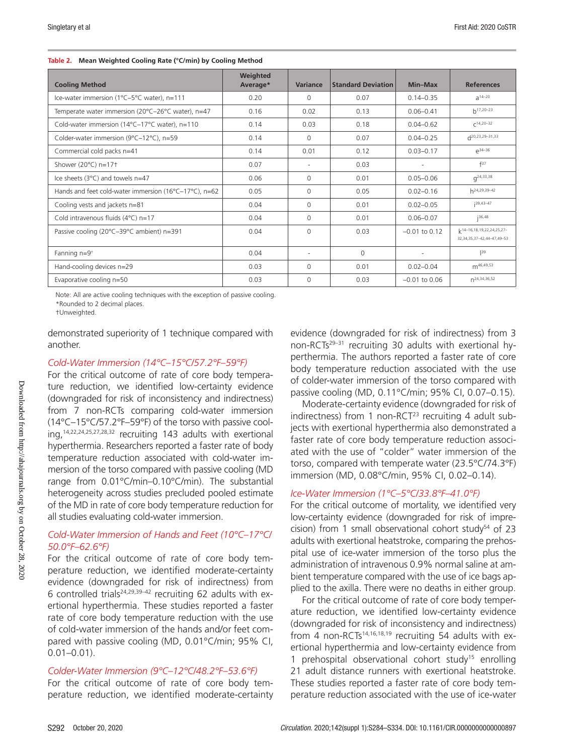#### **Table 2. Mean Weighted Cooling Rate (°C/min) by Cooling Method**

| <b>Cooling Method</b>                                 | Weighted<br>Average* | Variance | <b>Standard Deviation</b> | Min-Max         | <b>References</b>                                                     |
|-------------------------------------------------------|----------------------|----------|---------------------------|-----------------|-----------------------------------------------------------------------|
| Ice-water immersion (1°C-5°C water), n=111            | 0.20                 | $\Omega$ | 0.07                      | $0.14 - 0.35$   | $a^{14-20}$                                                           |
| Temperate water immersion (20°C-26°C water), n=47     | 0.16                 | 0.02     | 0.13                      | $0.06 - 0.41$   | $h^{17,20-23}$                                                        |
| Cold-water immersion (14°C-17°C water), n=110         | 0.14                 | 0.03     | 0.18                      | $0.04 - 0.62$   | $C$ <sup>14,20-32</sup>                                               |
| Colder-water immersion (9°C-12°C), n=59               | 0.14                 | $\Omega$ | 0.07                      | $0.04 - 0.25$   | $120, 23, 29 - 31, 33$                                                |
| Commercial cold packs n=41                            | 0.14                 | 0.01     | 0.12                      | $0.03 - 0.17$   | $A^{34-36}$                                                           |
| Shower (20 $°C$ ) n=17 $t$                            | 0.07                 | $\sim$   | 0.03                      |                 | f37                                                                   |
| Ice sheets (3°C) and towels n=47                      | 0.06                 | $\Omega$ | 0.01                      | $0.05 - 0.06$   | $Q^{24,33,38}$                                                        |
| Hands and feet cold-water immersion (16°C-17°C), n=62 | 0.05                 | $\Omega$ | 0.05                      | $0.02 - 0.16$   | h <sup>24,29,39-42</sup>                                              |
| Cooling vests and jackets n=81                        | 0.04                 | $\Omega$ | 0.01                      | $0.02 - 0.05$   | $139,43 - 47$                                                         |
| Cold intravenous fluids (4°C) n=17                    | 0.04                 | $\Omega$ | 0.01                      | $0.06 - 0.07$   | $i^{36,48}$                                                           |
| Passive cooling (20°C-39°C ambient) n=391             | 0.04                 | $\Omega$ | 0.03                      | $-0.01$ to 0.12 | $k$ 14-16, 18, 19, 22, 24, 25, 27-<br>32, 34, 35, 37-42, 44-47, 49-53 |
| Fanning n=9 <sup>+</sup>                              | 0.04                 | $\sim$   | $\mathbf 0$               |                 | 39                                                                    |
| Hand-cooling devices n=29                             | 0.03                 | $\Omega$ | 0.01                      | $0.02 - 0.04$   | m46,49,53                                                             |
| Evaporative cooling n=50                              | 0.03                 | $\Omega$ | 0.03                      | $-0.01$ to 0.06 | n <sup>24,34,36,52</sup>                                              |

Note: All are active cooling techniques with the exception of passive cooling. \*Rounded to 2 decimal places.

†Unweighted.

demonstrated superiority of 1 technique compared with another.

### *Cold-Water Immersion (14°C–15°C/57.2°F–59°F)*

For the critical outcome of rate of core body temperature reduction, we identified low-certainty evidence (downgraded for risk of inconsistency and indirectness) from 7 non-RCTs comparing cold-water immersion (14°C–15°C/57.2°F–59°F) of the torso with passive cooling,14,22,24,25,27,28,32 recruiting 143 adults with exertional hyperthermia. Researchers reported a faster rate of body temperature reduction associated with cold-water immersion of the torso compared with passive cooling (MD range from 0.01°C/min–0.10°C/min). The substantial heterogeneity across studies precluded pooled estimate of the MD in rate of core body temperature reduction for all studies evaluating cold-water immersion.

### *Cold-Water Immersion of Hands and Feet (10°C–17°C/ 50.0°F–62.6°F)*

For the critical outcome of rate of core body temperature reduction, we identified moderate-certainty evidence (downgraded for risk of indirectness) from 6 controlled trials<sup>24,29,39-42</sup> recruiting 62 adults with exertional hyperthermia. These studies reported a faster rate of core body temperature reduction with the use of cold-water immersion of the hands and/or feet compared with passive cooling (MD, 0.01°C/min; 95% CI, 0.01–0.01).

### *Colder-Water Immersion (9°C–12°C/48.2°F–53.6°F)*

For the critical outcome of rate of core body temperature reduction, we identified moderate-certainty evidence (downgraded for risk of indirectness) from 3 non-RCTs29–31 recruiting 30 adults with exertional hyperthermia. The authors reported a faster rate of core body temperature reduction associated with the use of colder-water immersion of the torso compared with passive cooling (MD, 0.11°C/min; 95% CI, 0.07–0.15).

Moderate-certainty evidence (downgraded for risk of indirectness) from 1 non-RCT $^{23}$  recruiting 4 adult subjects with exertional hyperthermia also demonstrated a faster rate of core body temperature reduction associated with the use of "colder" water immersion of the torso, compared with temperate water (23.5°C/74.3°F) immersion (MD, 0.08°C/min, 95% CI, 0.02–0.14).

### *Ice-Water Immersion (1°C–5°C/33.8°F–41.0°F)*

For the critical outcome of mortality, we identified very low-certainty evidence (downgraded for risk of imprecision) from 1 small observational cohort study<sup>54</sup> of 23 adults with exertional heatstroke, comparing the prehospital use of ice-water immersion of the torso plus the administration of intravenous 0.9% normal saline at ambient temperature compared with the use of ice bags applied to the axilla. There were no deaths in either group.

For the critical outcome of rate of core body temperature reduction, we identified low-certainty evidence (downgraded for risk of inconsistency and indirectness) from 4 non-RCTs<sup>14,16,18,19</sup> recruiting 54 adults with exertional hyperthermia and low-certainty evidence from 1 prehospital observational cohort study<sup>15</sup> enrolling 21 adult distance runners with exertional heatstroke. These studies reported a faster rate of core body temperature reduction associated with the use of ice-water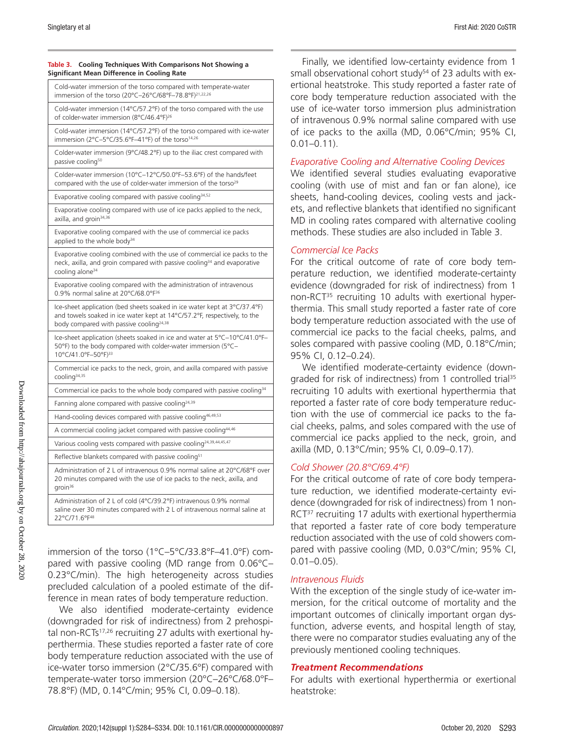| Table 3. Cooling Techniques With Comparisons Not Showing a |
|------------------------------------------------------------|
| Significant Mean Difference in Cooling Rate                |

| Cold-water immersion of the torso compared with temperate-water<br>immersion of the torso (20°C-26°C/68°F-78.8°F) <sup>21,22,26</sup>                                                                        |
|--------------------------------------------------------------------------------------------------------------------------------------------------------------------------------------------------------------|
| Cold-water immersion ( $14^{\circ}$ C/57.2 $^{\circ}$ F) of the torso compared with the use<br>of colder-water immersion (8°C/46.4°F) <sup>26</sup>                                                          |
| Cold-water immersion (14°C/57.2°F) of the torso compared with ice-water<br>immersion (2°C-5°C/35.6°F-41°F) of the torso <sup>14,26</sup>                                                                     |
| Colder-water immersion (9°C/48.2°F) up to the iliac crest compared with<br>passive cooling <sup>50</sup>                                                                                                     |
| Colder-water immersion (10°C-12°C/50.0°F-53.6°F) of the hands/feet<br>compared with the use of colder-water immersion of the torso <sup>29</sup>                                                             |
| Evaporative cooling compared with passive cooling <sup>34,52</sup>                                                                                                                                           |
| Evaporative cooling compared with use of ice packs applied to the neck,<br>axilla, and groin <sup>34,36</sup>                                                                                                |
| Evaporative cooling compared with the use of commercial ice packs<br>applied to the whole body <sup>34</sup>                                                                                                 |
| Evaporative cooling combined with the use of commercial ice packs to the<br>neck, axilla, and groin compared with passive cooling <sup>34</sup> and evaporative<br>cooling alone <sup>34</sup>               |
| Evaporative cooling compared with the administration of intravenous<br>0.9% normal saline at 20°C/68.0°F <sup>36</sup>                                                                                       |
| Ice-sheet application (bed sheets soaked in ice water kept at 3°C/37.4°F)<br>and towels soaked in ice water kept at 14°C/57.2°F, respectively, to the<br>body compared with passive cooling <sup>24,38</sup> |
| Ice-sheet application (sheets soaked in ice and water at 5°C-10°C/41.0°F-<br>50°F) to the body compared with colder-water immersion (5°C-<br>10°C/41.0°F-50°F) <sup>33</sup>                                 |
| Commercial ice packs to the neck, groin, and axilla compared with passive<br>cooling <sup>34,35</sup>                                                                                                        |
| Commercial ice packs to the whole body compared with passive cooling <sup>34</sup>                                                                                                                           |
| Fanning alone compared with passive cooling <sup>24,39</sup>                                                                                                                                                 |
| Hand-cooling devices compared with passive cooling <sup>46,49,53</sup>                                                                                                                                       |
| A commercial cooling jacket compared with passive cooling <sup>44,46</sup>                                                                                                                                   |
| Various cooling vests compared with passive cooling <sup>24,39,44,45,47</sup>                                                                                                                                |
| Reflective blankets compared with passive cooling <sup>51</sup>                                                                                                                                              |
| Administration of 2 L of intravenous 0.9% normal saline at 20°C/68°F over<br>20 minutes compared with the use of ice packs to the neck, axilla, and<br>aroin <sup>36</sup>                                   |
| Administration of 2 L of cold (4°C/39.2°F) intravenous 0.9% normal<br>saline over 30 minutes compared with 2 L of intravenous normal saline at                                                               |

immersion of the torso (1°C–5°C/33.8°F–41.0°F) compared with passive cooling (MD range from 0.06°C– 0.23°C/min). The high heterogeneity across studies precluded calculation of a pooled estimate of the difference in mean rates of body temperature reduction.

We also identified moderate-certainty evidence (downgraded for risk of indirectness) from 2 prehospital non-RCTs<sup>17,26</sup> recruiting 27 adults with exertional hyperthermia. These studies reported a faster rate of core body temperature reduction associated with the use of ice-water torso immersion (2°C/35.6°F) compared with temperate-water torso immersion (20°C–26°C/68.0°F– 78.8°F) (MD, 0.14°C/min; 95% CI, 0.09–0.18).

Finally, we identified low-certainty evidence from 1 small observational cohort study<sup>54</sup> of 23 adults with exertional heatstroke. This study reported a faster rate of core body temperature reduction associated with the use of ice-water torso immersion plus administration of intravenous 0.9% normal saline compared with use of ice packs to the axilla (MD, 0.06°C/min; 95% CI, 0.01–0.11).

#### *Evaporative Cooling and Alternative Cooling Devices*

We identified several studies evaluating evaporative cooling (with use of mist and fan or fan alone), ice sheets, hand-cooling devices, cooling vests and jackets, and reflective blankets that identified no significant MD in cooling rates compared with alternative cooling methods. These studies are also included in Table 3.

#### *Commercial Ice Packs*

For the critical outcome of rate of core body temperature reduction, we identified moderate-certainty evidence (downgraded for risk of indirectness) from 1 non-RCT<sup>35</sup> recruiting 10 adults with exertional hyperthermia. This small study reported a faster rate of core body temperature reduction associated with the use of commercial ice packs to the facial cheeks, palms, and soles compared with passive cooling (MD, 0.18°C/min; 95% CI, 0.12–0.24).

We identified moderate-certainty evidence (downgraded for risk of indirectness) from 1 controlled trial<sup>35</sup> recruiting 10 adults with exertional hyperthermia that reported a faster rate of core body temperature reduction with the use of commercial ice packs to the facial cheeks, palms, and soles compared with the use of commercial ice packs applied to the neck, groin, and axilla (MD, 0.13°C/min; 95% CI, 0.09–0.17).

#### *Cold Shower (20.8°C/69.4°F)*

For the critical outcome of rate of core body temperature reduction, we identified moderate-certainty evidence (downgraded for risk of indirectness) from 1 non-RCT<sup>37</sup> recruiting 17 adults with exertional hyperthermia that reported a faster rate of core body temperature reduction associated with the use of cold showers compared with passive cooling (MD, 0.03°C/min; 95% CI, 0.01–0.05).

#### *Intravenous Fluids*

With the exception of the single study of ice-water immersion, for the critical outcome of mortality and the important outcomes of clinically important organ dysfunction, adverse events, and hospital length of stay, there were no comparator studies evaluating any of the previously mentioned cooling techniques.

#### *Treatment Recommendations*

For adults with exertional hyperthermia or exertional heatstroke:

22°C/71.6°F48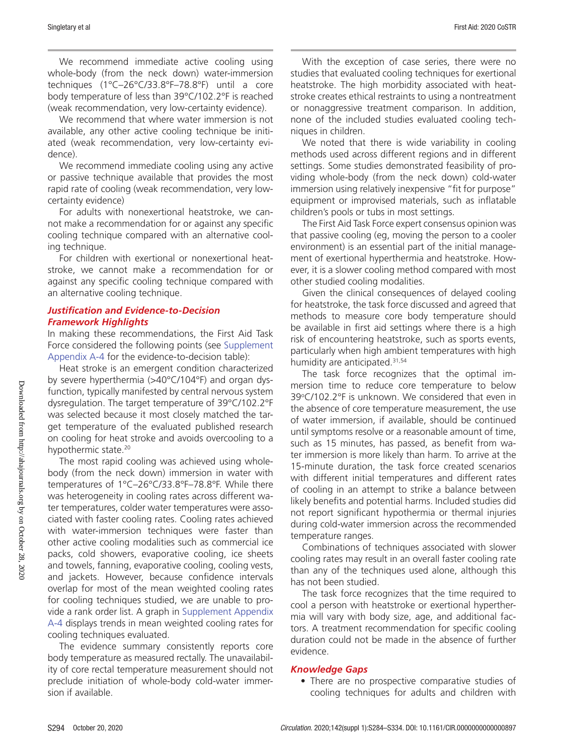We recommend immediate active cooling using whole-body (from the neck down) water-immersion techniques (1°C–26°C/33.8°F–78.8°F) until a core body temperature of less than 39°C/102.2°F is reached (weak recommendation, very low-certainty evidence).

We recommend that where water immersion is not available, any other active cooling technique be initiated (weak recommendation, very low-certainty evidence).

We recommend immediate cooling using any active or passive technique available that provides the most rapid rate of cooling (weak recommendation, very lowcertainty evidence)

For adults with nonexertional heatstroke, we cannot make a recommendation for or against any specific cooling technique compared with an alternative cooling technique.

For children with exertional or nonexertional heatstroke, we cannot make a recommendation for or against any specific cooling technique compared with an alternative cooling technique.

#### *Justification and Evidence-to-Decision Framework Highlights*

In making these recommendations, the First Aid Task Force considered the following points (see Supplement Appendix A-4 for the evidence-to-decision table):

Heat stroke is an emergent condition characterized by severe hyperthermia (>40°C/104°F) and organ dysfunction, typically manifested by central nervous system dysregulation. The target temperature of 39°C/102.2°F was selected because it most closely matched the target temperature of the evaluated published research on cooling for heat stroke and avoids overcooling to a hypothermic state.<sup>20</sup>

The most rapid cooling was achieved using wholebody (from the neck down) immersion in water with temperatures of 1°C–26°C/33.8°F–78.8°F. While there was heterogeneity in cooling rates across different water temperatures, colder water temperatures were associated with faster cooling rates. Cooling rates achieved with water-immersion techniques were faster than other active cooling modalities such as commercial ice packs, cold showers, evaporative cooling, ice sheets and towels, fanning, evaporative cooling, cooling vests, and jackets. However, because confidence intervals overlap for most of the mean weighted cooling rates for cooling techniques studied, we are unable to provide a rank order list. A graph in Supplement Appendix A-4 displays trends in mean weighted cooling rates for cooling techniques evaluated.

The evidence summary consistently reports core body temperature as measured rectally. The unavailability of core rectal temperature measurement should not preclude initiation of whole-body cold-water immersion if available.

With the exception of case series, there were no studies that evaluated cooling techniques for exertional heatstroke. The high morbidity associated with heatstroke creates ethical restraints to using a nontreatment or nonaggressive treatment comparison. In addition, none of the included studies evaluated cooling techniques in children.

We noted that there is wide variability in cooling methods used across different regions and in different settings. Some studies demonstrated feasibility of providing whole-body (from the neck down) cold-water immersion using relatively inexpensive "fit for purpose" equipment or improvised materials, such as inflatable children's pools or tubs in most settings.

The First Aid Task Force expert consensus opinion was that passive cooling (eg, moving the person to a cooler environment) is an essential part of the initial management of exertional hyperthermia and heatstroke. However, it is a slower cooling method compared with most other studied cooling modalities.

Given the clinical consequences of delayed cooling for heatstroke, the task force discussed and agreed that methods to measure core body temperature should be available in first aid settings where there is a high risk of encountering heatstroke, such as sports events, particularly when high ambient temperatures with high humidity are anticipated.<sup>31,54</sup>

The task force recognizes that the optimal immersion time to reduce core temperature to below 39°C/102.2°F is unknown. We considered that even in the absence of core temperature measurement, the use of water immersion, if available, should be continued until symptoms resolve or a reasonable amount of time, such as 15 minutes, has passed, as benefit from water immersion is more likely than harm. To arrive at the 15-minute duration, the task force created scenarios with different initial temperatures and different rates of cooling in an attempt to strike a balance between likely benefits and potential harms. Included studies did not report significant hypothermia or thermal injuries during cold-water immersion across the recommended temperature ranges.

Combinations of techniques associated with slower cooling rates may result in an overall faster cooling rate than any of the techniques used alone, although this has not been studied.

The task force recognizes that the time required to cool a person with heatstroke or exertional hyperthermia will vary with body size, age, and additional factors. A treatment recommendation for specific cooling duration could not be made in the absence of further evidence.

### *Knowledge Gaps*

• There are no prospective comparative studies of cooling techniques for adults and children with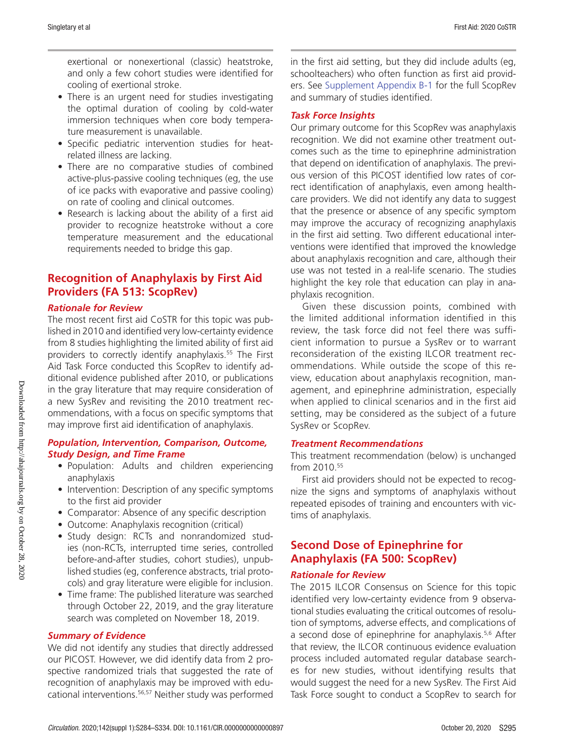exertional or nonexertional (classic) heatstroke, and only a few cohort studies were identified for cooling of exertional stroke.

- There is an urgent need for studies investigating the optimal duration of cooling by cold-water immersion techniques when core body temperature measurement is unavailable.
- Specific pediatric intervention studies for heatrelated illness are lacking.
- There are no comparative studies of combined active-plus-passive cooling techniques (eg, the use of ice packs with evaporative and passive cooling) on rate of cooling and clinical outcomes.
- Research is lacking about the ability of a first aid provider to recognize heatstroke without a core temperature measurement and the educational requirements needed to bridge this gap.

# **Recognition of Anaphylaxis by First Aid Providers (FA 513: ScopRev)**

### *Rationale for Review*

The most recent first aid CoSTR for this topic was published in 2010 and identified very low-certainty evidence from 8 studies highlighting the limited ability of first aid providers to correctly identify anaphylaxis.<sup>55</sup> The First Aid Task Force conducted this ScopRev to identify additional evidence published after 2010, or publications in the gray literature that may require consideration of a new SysRev and revisiting the 2010 treatment recommendations, with a focus on specific symptoms that may improve first aid identification of anaphylaxis.

### *Population, Intervention, Comparison, Outcome, Study Design, and Time Frame*

- Population: Adults and children experiencing anaphylaxis
- Intervention: Description of any specific symptoms to the first aid provider
- Comparator: Absence of any specific description
- Outcome: Anaphylaxis recognition (critical)
- Study design: RCTs and nonrandomized studies (non-RCTs, interrupted time series, controlled before-and-after studies, cohort studies), unpublished studies (eg, conference abstracts, trial protocols) and gray literature were eligible for inclusion.
- Time frame: The published literature was searched through October 22, 2019, and the gray literature search was completed on November 18, 2019.

### *Summary of Evidence*

We did not identify any studies that directly addressed our PICOST. However, we did identify data from 2 prospective randomized trials that suggested the rate of recognition of anaphylaxis may be improved with educational interventions.56,57 Neither study was performed in the first aid setting, but they did include adults (eg, schoolteachers) who often function as first aid providers. See Supplement Appendix B-1 for the full ScopRev and summary of studies identified.

### *Task Force Insights*

Our primary outcome for this ScopRev was anaphylaxis recognition. We did not examine other treatment outcomes such as the time to epinephrine administration that depend on identification of anaphylaxis. The previous version of this PICOST identified low rates of correct identification of anaphylaxis, even among healthcare providers. We did not identify any data to suggest that the presence or absence of any specific symptom may improve the accuracy of recognizing anaphylaxis in the first aid setting. Two different educational interventions were identified that improved the knowledge about anaphylaxis recognition and care, although their use was not tested in a real-life scenario. The studies highlight the key role that education can play in anaphylaxis recognition.

Given these discussion points, combined with the limited additional information identified in this review, the task force did not feel there was sufficient information to pursue a SysRev or to warrant reconsideration of the existing ILCOR treatment recommendations. While outside the scope of this review, education about anaphylaxis recognition, management, and epinephrine administration, especially when applied to clinical scenarios and in the first aid setting, may be considered as the subject of a future SysRev or ScopRev.

#### *Treatment Recommendations*

This treatment recommendation (below) is unchanged from 2010.<sup>55</sup>

First aid providers should not be expected to recognize the signs and symptoms of anaphylaxis without repeated episodes of training and encounters with victims of anaphylaxis.

# **Second Dose of Epinephrine for Anaphylaxis (FA 500: ScopRev)**

### *Rationale for Review*

The 2015 ILCOR Consensus on Science for this topic identified very low-certainty evidence from 9 observational studies evaluating the critical outcomes of resolution of symptoms, adverse effects, and complications of a second dose of epinephrine for anaphylaxis.<sup>5,6</sup> After that review, the ILCOR continuous evidence evaluation process included automated regular database searches for new studies, without identifying results that would suggest the need for a new SysRev. The First Aid Task Force sought to conduct a ScopRev to search for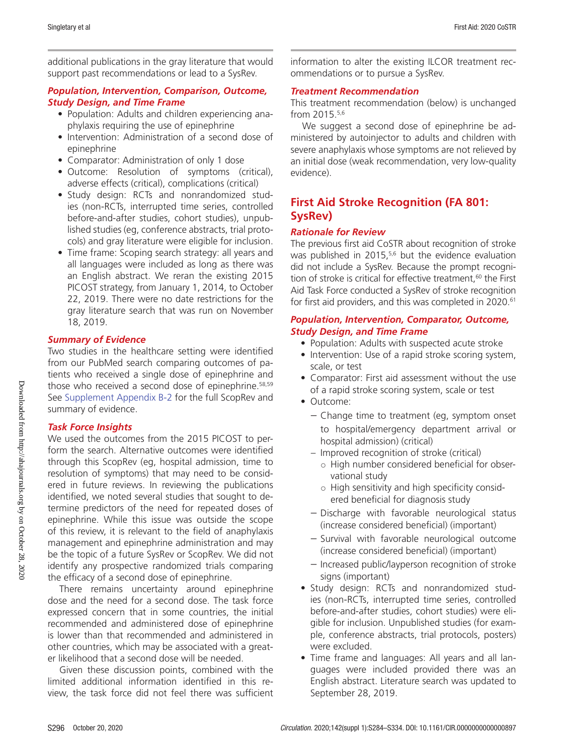additional publications in the gray literature that would support past recommendations or lead to a SysRev.

### *Population, Intervention, Comparison, Outcome, Study Design, and Time Frame*

- Population: Adults and children experiencing anaphylaxis requiring the use of epinephrine
- Intervention: Administration of a second dose of epinephrine
- Comparator: Administration of only 1 dose
- Outcome: Resolution of symptoms (critical), adverse effects (critical), complications (critical)
- Study design: RCTs and nonrandomized studies (non-RCTs, interrupted time series, controlled before-and-after studies, cohort studies), unpublished studies (eg, conference abstracts, trial protocols) and gray literature were eligible for inclusion.
- Time frame: Scoping search strategy: all years and all languages were included as long as there was an English abstract. We reran the existing 2015 PICOST strategy, from January 1, 2014, to October 22, 2019. There were no date restrictions for the gray literature search that was run on November 18, 2019.

### *Summary of Evidence*

Two studies in the healthcare setting were identified from our PubMed search comparing outcomes of patients who received a single dose of epinephrine and those who received a second dose of epinephrine.<sup>58,59</sup> See Supplement Appendix B-2 for the full ScopRev and summary of evidence.

### *Task Force Insights*

We used the outcomes from the 2015 PICOST to perform the search. Alternative outcomes were identified through this ScopRev (eg, hospital admission, time to resolution of symptoms) that may need to be considered in future reviews. In reviewing the publications identified, we noted several studies that sought to determine predictors of the need for repeated doses of epinephrine. While this issue was outside the scope of this review, it is relevant to the field of anaphylaxis management and epinephrine administration and may be the topic of a future SysRev or ScopRev. We did not identify any prospective randomized trials comparing the efficacy of a second dose of epinephrine.

There remains uncertainty around epinephrine dose and the need for a second dose. The task force expressed concern that in some countries, the initial recommended and administered dose of epinephrine is lower than that recommended and administered in other countries, which may be associated with a greater likelihood that a second dose will be needed.

Given these discussion points, combined with the limited additional information identified in this review, the task force did not feel there was sufficient information to alter the existing ILCOR treatment recommendations or to pursue a SysRev.

### *Treatment Recommendation*

This treatment recommendation (below) is unchanged from 2015.5,6

We suggest a second dose of epinephrine be administered by autoinjector to adults and children with severe anaphylaxis whose symptoms are not relieved by an initial dose (weak recommendation, very low-quality evidence).

# **First Aid Stroke Recognition (FA 801: SysRev)**

### *Rationale for Review*

The previous first aid CoSTR about recognition of stroke was published in 2015, $5,6$  but the evidence evaluation did not include a SysRev. Because the prompt recognition of stroke is critical for effective treatment,<sup>60</sup> the First Aid Task Force conducted a SysRev of stroke recognition for first aid providers, and this was completed in 2020.<sup>61</sup>

### *Population, Intervention, Comparator, Outcome, Study Design, and Time Frame*

- Population: Adults with suspected acute stroke
- Intervention: Use of a rapid stroke scoring system, scale, or test
- Comparator: First aid assessment without the use of a rapid stroke scoring system, scale or test
- Outcome:
	- Change time to treatment (eg, symptom onset to hospital/emergency department arrival or hospital admission) (critical)
	- Improved recognition of stroke (critical)
		- High number considered beneficial for observational study
		- High sensitivity and high specificity considered beneficial for diagnosis study
	- Discharge with favorable neurological status (increase considered beneficial) (important)
	- Survival with favorable neurological outcome (increase considered beneficial) (important)
	- Increased public/layperson recognition of stroke signs (important)
- Study design: RCTs and nonrandomized studies (non-RCTs, interrupted time series, controlled before-and-after studies, cohort studies) were eligible for inclusion. Unpublished studies (for example, conference abstracts, trial protocols, posters) were excluded.
- Time frame and languages: All years and all languages were included provided there was an English abstract. Literature search was updated to September 28, 2019.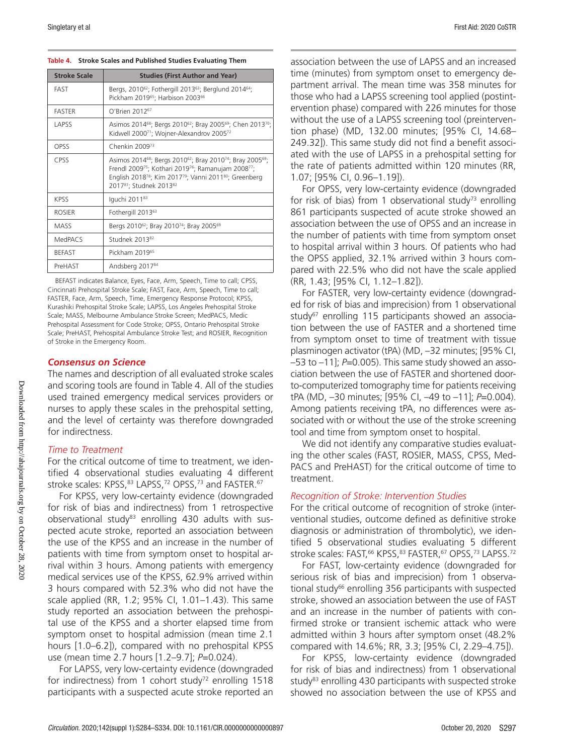#### **Table 4. Stroke Scales and Published Studies Evaluating Them**

| <b>Stroke Scale</b> | <b>Studies (First Author and Year)</b>                                                                                                                                                                                                                                                                                        |
|---------------------|-------------------------------------------------------------------------------------------------------------------------------------------------------------------------------------------------------------------------------------------------------------------------------------------------------------------------------|
| FAST                | Bergs, 2010 <sup>62</sup> ; Fothergill 2013 <sup>63</sup> ; Berglund 2014 <sup>64</sup> ;<br>Pickham 2019 <sup>65</sup> ; Harbison 2003 <sup>66</sup>                                                                                                                                                                         |
| <b>FASTER</b>       | O'Brien 201267                                                                                                                                                                                                                                                                                                                |
| LAPSS               | Asimos 2014 <sup>68</sup> ; Bergs 2010 <sup>62</sup> ; Bray 2005 <sup>69</sup> ; Chen 2013 <sup>70</sup> ;<br>Kidwell 2000 <sup>71</sup> ; Wojner-Alexandrov 2005 <sup>72</sup>                                                                                                                                               |
| OPSS                | Chenkin 200973                                                                                                                                                                                                                                                                                                                |
| CPSS                | Asimos 2014 <sup>68</sup> ; Bergs 2010 <sup>62</sup> ; Bray 2010 <sup>74</sup> ; Bray 2005 <sup>69</sup> ;<br>Frendl 2009 <sup>75</sup> ; Kothari 2019 <sup>76</sup> ; Ramanujam 2008 <sup>77</sup> ;<br>English 2018 <sup>78</sup> ; Kim 2017 <sup>79</sup> ; Vanni 2011 <sup>80</sup> ; Greenberg<br>201781; Studnek 201382 |
| <b>KPSS</b>         | Iquchi 2011 <sup>83</sup>                                                                                                                                                                                                                                                                                                     |
| <b>ROSIER</b>       | Fothergill 2013 <sup>63</sup>                                                                                                                                                                                                                                                                                                 |
| <b>MASS</b>         | Bergs 2010 <sup>62</sup> ; Bray 2010 <sup>74</sup> ; Bray 2005 <sup>69</sup>                                                                                                                                                                                                                                                  |
| MedPACS             | Studnek 2013 <sup>82</sup>                                                                                                                                                                                                                                                                                                    |
| <b>BEFAST</b>       | Pickham 2019 <sup>65</sup>                                                                                                                                                                                                                                                                                                    |
| PreHAST             | Andsberg 201784                                                                                                                                                                                                                                                                                                               |

BEFAST indicates Balance, Eyes, Face, Arm, Speech, Time to call; CPSS, Cincinnati Prehospital Stroke Scale; FAST, Face, Arm, Speech, Time to call; FASTER, Face, Arm, Speech, Time, Emergency Response Protocol; KPSS, Kurashiki Prehospital Stroke Scale; LAPSS, Los Angeles Prehospital Stroke Scale; MASS, Melbourne Ambulance Stroke Screen; MedPACS, Medic Prehospital Assessment for Code Stroke; OPSS, Ontario Prehospital Stroke Scale; PreHAST, Prehospital Ambulance Stroke Test; and ROSIER, Recognition of Stroke in the Emergency Room.

### *Consensus on Science*

The names and description of all evaluated stroke scales and scoring tools are found in Table 4. All of the studies used trained emergency medical services providers or nurses to apply these scales in the prehospital setting, and the level of certainty was therefore downgraded for indirectness.

### *Time to Treatment*

For the critical outcome of time to treatment, we identified 4 observational studies evaluating 4 different stroke scales: KPSS, 83 LAPSS, 72 OPSS, 73 and FASTER. 67

For KPSS, very low-certainty evidence (downgraded for risk of bias and indirectness) from 1 retrospective observational study<sup>83</sup> enrolling 430 adults with suspected acute stroke, reported an association between the use of the KPSS and an increase in the number of patients with time from symptom onset to hospital arrival within 3 hours. Among patients with emergency medical services use of the KPSS, 62.9% arrived within 3 hours compared with 52.3% who did not have the scale applied (RR, 1.2; 95% CI, 1.01–1.43). This same study reported an association between the prehospital use of the KPSS and a shorter elapsed time from symptom onset to hospital admission (mean time 2.1 hours [1.0–6.2]), compared with no prehospital KPSS use (mean time 2.7 hours [1.2–9.7]; *P*=0.024).

For LAPSS, very low-certainty evidence (downgraded for indirectness) from 1 cohort study<sup>72</sup> enrolling 1518 participants with a suspected acute stroke reported an

association between the use of LAPSS and an increased time (minutes) from symptom onset to emergency department arrival. The mean time was 358 minutes for those who had a LAPSS screening tool applied (postintervention phase) compared with 226 minutes for those without the use of a LAPSS screening tool (preintervention phase) (MD, 132.00 minutes; [95% CI, 14.68– 249.32]). This same study did not find a benefit associated with the use of LAPSS in a prehospital setting for the rate of patients admitted within 120 minutes (RR, 1.07; [95% CI, 0.96–1.19]).

For OPSS, very low-certainty evidence (downgraded for risk of bias) from 1 observational study<sup>73</sup> enrolling 861 participants suspected of acute stroke showed an association between the use of OPSS and an increase in the number of patients with time from symptom onset to hospital arrival within 3 hours. Of patients who had the OPSS applied, 32.1% arrived within 3 hours compared with 22.5% who did not have the scale applied (RR, 1.43; [95% CI, 1.12–1.82]).

For FASTER, very low-certainty evidence (downgraded for risk of bias and imprecision) from 1 observational study<sup>67</sup> enrolling 115 participants showed an association between the use of FASTER and a shortened time from symptom onset to time of treatment with tissue plasminogen activator (tPA) (MD, –32 minutes; [95% CI, –53 to –11]; *P*=0.005). This same study showed an association between the use of FASTER and shortened doorto-computerized tomography time for patients receiving tPA (MD, –30 minutes; [95% CI, –49 to –11]; *P*=0.004). Among patients receiving tPA, no differences were associated with or without the use of the stroke screening tool and time from symptom onset to hospital.

We did not identify any comparative studies evaluating the other scales (FAST, ROSIER, MASS, CPSS, Med-PACS and PreHAST) for the critical outcome of time to treatment.

### *Recognition of Stroke: Intervention Studies*

For the critical outcome of recognition of stroke (interventional studies, outcome defined as definitive stroke diagnosis or administration of thrombolytic), we identified 5 observational studies evaluating 5 different stroke scales: FAST,<sup>66</sup> KPSS,<sup>83</sup> FASTER,<sup>67</sup> OPSS,<sup>73</sup> LAPSS.<sup>72</sup>

For FAST, low-certainty evidence (downgraded for serious risk of bias and imprecision) from 1 observational study<sup>66</sup> enrolling 356 participants with suspected stroke, showed an association between the use of FAST and an increase in the number of patients with confirmed stroke or transient ischemic attack who were admitted within 3 hours after symptom onset (48.2% compared with 14.6%; RR, 3.3; [95% CI, 2.29–4.75]).

For KPSS, low-certainty evidence (downgraded for risk of bias and indirectness) from 1 observational study<sup>83</sup> enrolling 430 participants with suspected stroke showed no association between the use of KPSS and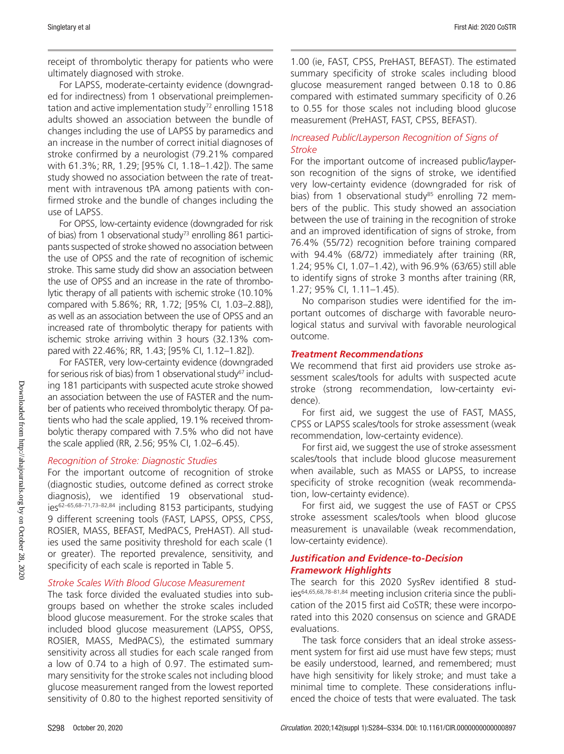receipt of thrombolytic therapy for patients who were ultimately diagnosed with stroke.

For LAPSS, moderate-certainty evidence (downgraded for indirectness) from 1 observational preimplementation and active implementation study<sup>72</sup> enrolling 1518 adults showed an association between the bundle of changes including the use of LAPSS by paramedics and an increase in the number of correct initial diagnoses of stroke confirmed by a neurologist (79.21% compared with 61.3%; RR, 1.29; [95% CI, 1.18–1.42]). The same study showed no association between the rate of treatment with intravenous tPA among patients with confirmed stroke and the bundle of changes including the use of LAPSS.

For OPSS, low-certainty evidence (downgraded for risk of bias) from 1 observational study<sup>73</sup> enrolling 861 participants suspected of stroke showed no association between the use of OPSS and the rate of recognition of ischemic stroke. This same study did show an association between the use of OPSS and an increase in the rate of thrombolytic therapy of all patients with ischemic stroke (10.10% compared with 5.86%; RR, 1.72; [95% CI, 1.03–2.88]), as well as an association between the use of OPSS and an increased rate of thrombolytic therapy for patients with ischemic stroke arriving within 3 hours (32.13% compared with 22.46%; RR, 1.43; [95% CI, 1.12–1.82]).

For FASTER, very low-certainty evidence (downgraded for serious risk of bias) from 1 observational study<sup>67</sup> including 181 participants with suspected acute stroke showed an association between the use of FASTER and the number of patients who received thrombolytic therapy. Of patients who had the scale applied, 19.1% received thrombolytic therapy compared with 7.5% who did not have the scale applied (RR, 2.56; 95% CI, 1.02–6.45).

### *Recognition of Stroke: Diagnostic Studies*

For the important outcome of recognition of stroke (diagnostic studies, outcome defined as correct stroke diagnosis), we identified 19 observational studies62–65,68–71,73–82,84 including 8153 participants, studying 9 different screening tools (FAST, LAPSS, OPSS, CPSS, ROSIER, MASS, BEFAST, MedPACS, PreHAST). All studies used the same positivity threshold for each scale (1 or greater). The reported prevalence, sensitivity, and specificity of each scale is reported in Table 5.

### *Stroke Scales With Blood Glucose Measurement*

The task force divided the evaluated studies into subgroups based on whether the stroke scales included blood glucose measurement. For the stroke scales that included blood glucose measurement (LAPSS, OPSS, ROSIER, MASS, MedPACS), the estimated summary sensitivity across all studies for each scale ranged from a low of 0.74 to a high of 0.97. The estimated summary sensitivity for the stroke scales not including blood glucose measurement ranged from the lowest reported sensitivity of 0.80 to the highest reported sensitivity of

1.00 (ie, FAST, CPSS, PreHAST, BEFAST). The estimated summary specificity of stroke scales including blood glucose measurement ranged between 0.18 to 0.86 compared with estimated summary specificity of 0.26 to 0.55 for those scales not including blood glucose measurement (PreHAST, FAST, CPSS, BEFAST).

### *Increased Public/Layperson Recognition of Signs of Stroke*

For the important outcome of increased public/layperson recognition of the signs of stroke, we identified very low-certainty evidence (downgraded for risk of bias) from 1 observational study $85$  enrolling 72 members of the public. This study showed an association between the use of training in the recognition of stroke and an improved identification of signs of stroke, from 76.4% (55/72) recognition before training compared with 94.4% (68/72) immediately after training (RR, 1.24; 95% CI, 1.07–1.42), with 96.9% (63/65) still able to identify signs of stroke 3 months after training (RR, 1.27; 95% CI, 1.11–1.45).

No comparison studies were identified for the important outcomes of discharge with favorable neurological status and survival with favorable neurological outcome.

### *Treatment Recommendations*

We recommend that first aid providers use stroke assessment scales/tools for adults with suspected acute stroke (strong recommendation, low-certainty evidence).

For first aid, we suggest the use of FAST, MASS, CPSS or LAPSS scales/tools for stroke assessment (weak recommendation, low-certainty evidence).

For first aid, we suggest the use of stroke assessment scales/tools that include blood glucose measurement when available, such as MASS or LAPSS, to increase specificity of stroke recognition (weak recommendation, low-certainty evidence).

For first aid, we suggest the use of FAST or CPSS stroke assessment scales/tools when blood glucose measurement is unavailable (weak recommendation, low-certainty evidence).

### *Justification and Evidence-to-Decision Framework Highlights*

The search for this 2020 SysRev identified 8 studies64,65,68,78–81,84 meeting inclusion criteria since the publication of the 2015 first aid CoSTR; these were incorporated into this 2020 consensus on science and GRADE evaluations.

The task force considers that an ideal stroke assessment system for first aid use must have few steps; must be easily understood, learned, and remembered; must have high sensitivity for likely stroke; and must take a minimal time to complete. These considerations influenced the choice of tests that were evaluated. The task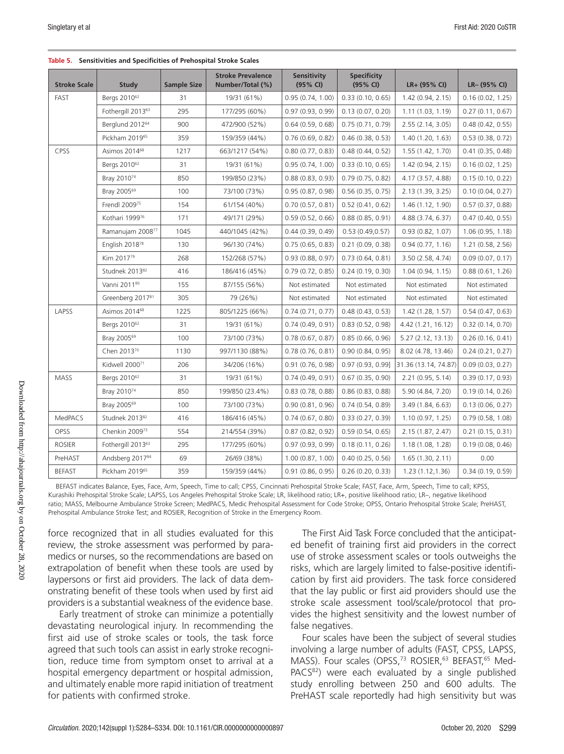|                     |                               |                    | <b>Stroke Prevalence</b> | <b>Sensitivity</b> | <b>Specificity</b> |                          |                  |
|---------------------|-------------------------------|--------------------|--------------------------|--------------------|--------------------|--------------------------|------------------|
| <b>Stroke Scale</b> | Study                         | <b>Sample Size</b> | Number/Total (%)         | (95% CI)           | (95% CI)           | $LR + (95\% \text{ Cl})$ | LR- (95% CI)     |
| FAST                | Bergs 2010 <sup>62</sup>      | 31                 | 19/31 (61%)              | 0.95(0.74, 1.00)   | 0.33(0.10, 0.65)   | 1.42 (0.94, 2.15)        | 0.16(0.02, 1.25) |
|                     | Fothergill 2013 <sup>63</sup> | 295                | 177/295 (60%)            | 0.97(0.93, 0.99)   | 0.13(0.07, 0.20)   | 1.11(1.03, 1.19)         | 0.27(0.11, 0.67) |
|                     | Berglund 2012 <sup>64</sup>   | 900                | 472/900 (52%)            | 0.64(0.59, 0.68)   | 0.75(0.71, 0.79)   | 2.55(2.14, 3.05)         | 0.48(0.42, 0.55) |
|                     | Pickham 2019 <sup>65</sup>    | 359                | 159/359 (44%)            | 0.76(0.69, 0.82)   | 0.46(0.38, 0.53)   | 1.40(1.20, 1.63)         | 0.53(0.38, 0.72) |
| CPSS                | Asimos 2014 <sup>68</sup>     | 1217               | 663/1217 (54%)           | 0.80(0.77, 0.83)   | 0.48(0.44, 0.52)   | 1.55(1.42, 1.70)         | 0.41(0.35, 0.48) |
|                     | Bergs 2010 <sup>62</sup>      | 31                 | 19/31 (61%)              | 0.95(0.74, 1.00)   | 0.33(0.10, 0.65)   | 1.42(0.94, 2.15)         | 0.16(0.02, 1.25) |
|                     | Bray 2010 <sup>74</sup>       | 850                | 199/850 (23%)            | 0.88(0.83, 0.93)   | 0.79(0.75, 0.82)   | 4.17 (3.57, 4.88)        | 0.15(0.10, 0.22) |
|                     | Bray 200569                   | 100                | 73/100 (73%)             | 0.95(0.87, 0.98)   | 0.56(0.35, 0.75)   | 2.13 (1.39, 3.25)        | 0.10(0.04, 0.27) |
|                     | Frendl 2009 <sup>75</sup>     | 154                | 61/154 (40%)             | 0.70(0.57, 0.81)   | 0.52(0.41, 0.62)   | 1.46(1.12, 1.90)         | 0.57(0.37, 0.88) |
|                     | Kothari 199976                | 171                | 49/171 (29%)             | 0.59(0.52, 0.66)   | 0.88(0.85, 0.91)   | 4.88 (3.74, 6.37)        | 0.47(0.40, 0.55) |
|                     | Ramanujam 2008 <sup>77</sup>  | 1045               | 440/1045 (42%)           | 0.44(0.39, 0.49)   | 0.53(0.49, 0.57)   | 0.93(0.82, 1.07)         | 1.06(0.95, 1.18) |
|                     | English 201878                | 130                | 96/130 (74%)             | 0.75(0.65, 0.83)   | 0.21(0.09, 0.38)   | 0.94(0.77, 1.16)         | 1.21(0.58, 2.56) |
|                     | Kim 201779                    | 268                | 152/268 (57%)            | 0.93(0.88, 0.97)   | 0.73(0.64, 0.81)   | 3.50(2.58, 4.74)         | 0.09(0.07, 0.17) |
|                     | Studnek 2013 <sup>82</sup>    | 416                | 186/416 (45%)            | 0.79(0.72, 0.85)   | 0.24(0.19, 0.30)   | 1.04(0.94, 1.15)         | 0.88(0.61, 1.26) |
|                     | Vanni 201180                  | 155                | 87/155 (56%)             | Not estimated      | Not estimated      | Not estimated            | Not estimated    |
|                     | Greenberg 201781              | 305                | 79 (26%)                 | Not estimated      | Not estimated      | Not estimated            | Not estimated    |
| LAPSS               | Asimos 2014 <sup>68</sup>     | 1225               | 805/1225 (66%)           | 0.74(0.71, 0.77)   | 0.48(0.43, 0.53)   | 1.42(1.28, 1.57)         | 0.54(0.47, 0.63) |
|                     | Bergs 2010 <sup>62</sup>      | 31                 | 19/31 (61%)              | 0.74(0.49, 0.91)   | 0.83(0.52, 0.98)   | 4.42 (1.21, 16.12)       | 0.32(0.14, 0.70) |
|                     | Bray 2005 <sup>69</sup>       | 100                | 73/100 (73%)             | 0.78(0.67, 0.87)   | 0.85(0.66, 0.96)   | 5.27(2.12, 13.13)        | 0.26(0.16, 0.41) |
|                     | Chen 201370                   | 1130               | 997/1130 (88%)           | 0.78(0.76, 0.81)   | 0.90(0.84, 0.95)   | 8.02 (4.78, 13.46)       | 0.24(0.21, 0.27) |
|                     | Kidwell 200071                | 206                | 34/206 (16%)             | 0.91(0.76, 0.98)   | 0.97(0.93, 0.99]   | 31.36 (13.14, 74.87)     | 0.09(0.03, 0.27) |
| MASS                | Bergs 2010 <sup>62</sup>      | 31                 | 19/31 (61%)              | 0.74(0.49, 0.91)   | 0.67(0.35, 0.90)   | 2.21 (0.95, 5.14)        | 0.39(0.17, 0.93) |
|                     | Bray 2010 <sup>74</sup>       | 850                | 199/850 (23.4%)          | 0.83(0.78, 0.88)   | 0.86(0.83, 0.88)   | 5.90 (4.84, 7.20)        | 0.19(0.14, 0.26) |
|                     | Bray 2005 <sup>69</sup>       | 100                | 73/100 (73%)             | 0.90(0.81, 0.96)   | 0.74(0.54, 0.89)   | 3.49 (1.84, 6.63)        | 0.13(0.06, 0.27) |
| MedPACS             | Studnek 201382                | 416                | 186/416 (45%)            | 0.74(0.67, 0.80)   | 0.33(0.27, 0.39)   | 1.10(0.97, 1.25)         | 0.79(0.58, 1.08) |
| OPSS                | Chenkin 200973                | 554                | 214/554 (39%)            | 0.87(0.82, 0.92)   | 0.59(0.54, 0.65)   | 2.15 (1.87, 2.47)        | 0.21(0.15, 0.31) |
| <b>ROSIER</b>       | Fothergill 2013 <sup>63</sup> | 295                | 177/295 (60%)            | 0.97(0.93, 0.99)   | 0.18(0.11, 0.26)   | 1.18(1.08, 1.28)         | 0.19(0.08, 0.46) |
| PreHAST             | Andsberg 2017 <sup>84</sup>   | 69                 | 26/69 (38%)              | 1.00(0.87, 1.00)   | 0.40(0.25, 0.56)   | 1.65(1.30, 2.11)         | 0.00             |
| <b>BEFAST</b>       | Pickham 2019 <sup>65</sup>    | 359                | 159/359 (44%)            | 0.91(0.86, 0.95)   | 0.26(0.20, 0.33)   | 1.23(1.12, 1.36)         | 0.34(0.19, 0.59) |

**Table 5. Sensitivities and Specificities of Prehospital Stroke Scales**

BEFAST indicates Balance, Eyes, Face, Arm, Speech, Time to call; CPSS, Cincinnati Prehospital Stroke Scale; FAST, Face, Arm, Speech, Time to call; KPSS, Kurashiki Prehospital Stroke Scale; LAPSS, Los Angeles Prehospital Stroke Scale; LR, likelihood ratio; LR+, positive likelihood ratio; LR–, negative likelihood ratio; MASS, Melbourne Ambulance Stroke Screen; MedPACS, Medic Prehospital Assessment for Code Stroke; OPSS, Ontario Prehospital Stroke Scale; PreHAST, Prehospital Ambulance Stroke Test; and ROSIER, Recognition of Stroke in the Emergency Room.

force recognized that in all studies evaluated for this review, the stroke assessment was performed by paramedics or nurses, so the recommendations are based on extrapolation of benefit when these tools are used by laypersons or first aid providers. The lack of data demonstrating benefit of these tools when used by first aid providers is a substantial weakness of the evidence base.

Early treatment of stroke can minimize a potentially devastating neurological injury. In recommending the first aid use of stroke scales or tools, the task force agreed that such tools can assist in early stroke recognition, reduce time from symptom onset to arrival at a hospital emergency department or hospital admission, and ultimately enable more rapid initiation of treatment for patients with confirmed stroke.

The First Aid Task Force concluded that the anticipated benefit of training first aid providers in the correct use of stroke assessment scales or tools outweighs the risks, which are largely limited to false-positive identification by first aid providers. The task force considered that the lay public or first aid providers should use the stroke scale assessment tool/scale/protocol that provides the highest sensitivity and the lowest number of false negatives.

Four scales have been the subject of several studies involving a large number of adults (FAST, CPSS, LAPSS, MASS). Four scales (OPSS,<sup>73</sup> ROSIER,<sup>63</sup> BEFAST,<sup>65</sup> Med-PACS<sup>82</sup>) were each evaluated by a single published study enrolling between 250 and 600 adults. The PreHAST scale reportedly had high sensitivity but was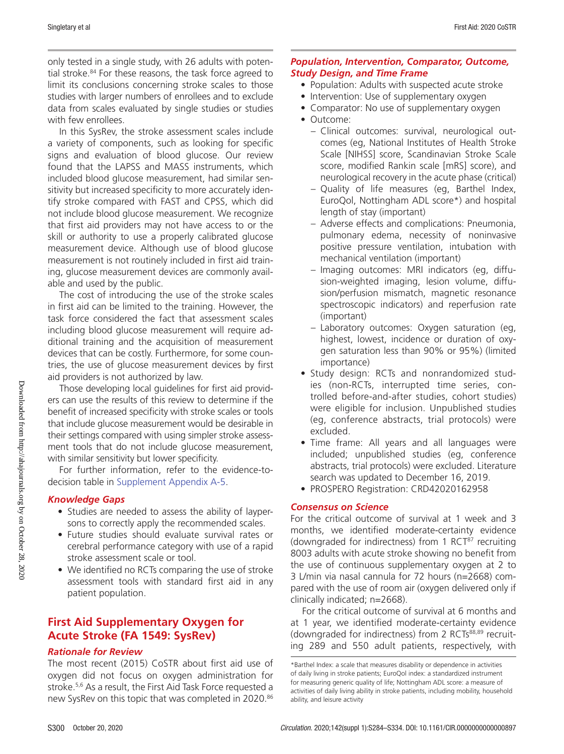only tested in a single study, with 26 adults with potential stroke.<sup>84</sup> For these reasons, the task force agreed to limit its conclusions concerning stroke scales to those studies with larger numbers of enrollees and to exclude data from scales evaluated by single studies or studies with few enrollees.

In this SysRev, the stroke assessment scales include a variety of components, such as looking for specific signs and evaluation of blood glucose. Our review found that the LAPSS and MASS instruments, which included blood glucose measurement, had similar sensitivity but increased specificity to more accurately identify stroke compared with FAST and CPSS, which did not include blood glucose measurement. We recognize that first aid providers may not have access to or the skill or authority to use a properly calibrated glucose measurement device. Although use of blood glucose measurement is not routinely included in first aid training, glucose measurement devices are commonly available and used by the public.

The cost of introducing the use of the stroke scales in first aid can be limited to the training. However, the task force considered the fact that assessment scales including blood glucose measurement will require additional training and the acquisition of measurement devices that can be costly. Furthermore, for some countries, the use of glucose measurement devices by first aid providers is not authorized by law.

Those developing local guidelines for first aid providers can use the results of this review to determine if the benefit of increased specificity with stroke scales or tools that include glucose measurement would be desirable in their settings compared with using simpler stroke assessment tools that do not include glucose measurement, with similar sensitivity but lower specificity.

For further information, refer to the evidence-todecision table in Supplement Appendix A-5.

### *Knowledge Gaps*

- Studies are needed to assess the ability of laypersons to correctly apply the recommended scales.
- Future studies should evaluate survival rates or cerebral performance category with use of a rapid stroke assessment scale or tool.
- We identified no RCTs comparing the use of stroke assessment tools with standard first aid in any patient population.

# **First Aid Supplementary Oxygen for Acute Stroke (FA 1549: SysRev)**

### *Rationale for Review*

The most recent (2015) CoSTR about first aid use of oxygen did not focus on oxygen administration for stroke.5,6 As a result, the First Aid Task Force requested a new SysRev on this topic that was completed in 2020.<sup>86</sup>

### *Population, Intervention, Comparator, Outcome, Study Design, and Time Frame*

- Population: Adults with suspected acute stroke
- Intervention: Use of supplementary oxygen
- Comparator: No use of supplementary oxygen
- Outcome:
	- Clinical outcomes: survival, neurological outcomes (eg, National Institutes of Health Stroke Scale [NIHSS] score, Scandinavian Stroke Scale score, modified Rankin scale [mRS] score), and neurological recovery in the acute phase (critical)
	- Quality of life measures (eg, Barthel Index, EuroQol, Nottingham ADL score\*) and hospital length of stay (important)
	- Adverse effects and complications: Pneumonia, pulmonary edema, necessity of noninvasive positive pressure ventilation, intubation with mechanical ventilation (important)
	- Imaging outcomes: MRI indicators (eg, diffusion-weighted imaging, lesion volume, diffusion/perfusion mismatch, magnetic resonance spectroscopic indicators) and reperfusion rate (important)
	- Laboratory outcomes: Oxygen saturation (eg, highest, lowest, incidence or duration of oxygen saturation less than 90% or 95%) (limited importance)
- Study design: RCTs and nonrandomized studies (non-RCTs, interrupted time series, controlled before-and-after studies, cohort studies) were eligible for inclusion. Unpublished studies (eg, conference abstracts, trial protocols) were excluded.
- Time frame: All years and all languages were included; unpublished studies (eg, conference abstracts, trial protocols) were excluded. Literature search was updated to December 16, 2019.
- PROSPERO Registration: CRD42020162958

### *Consensus on Science*

For the critical outcome of survival at 1 week and 3 months, we identified moderate-certainty evidence (downgraded for indirectness) from 1 RCT $87$  recruiting 8003 adults with acute stroke showing no benefit from the use of continuous supplementary oxygen at 2 to 3 L/min via nasal cannula for 72 hours (n=2668) compared with the use of room air (oxygen delivered only if clinically indicated; n=2668).

For the critical outcome of survival at 6 months and at 1 year, we identified moderate-certainty evidence (downgraded for indirectness) from 2 RCTs<sup>88,89</sup> recruiting 289 and 550 adult patients, respectively, with

<sup>\*</sup>Barthel Index: a scale that measures disability or dependence in activities of daily living in stroke patients; EuroQol index: a standardized instrument for measuring generic quality of life; Nottingham ADL score: a measure of activities of daily living ability in stroke patients, including mobility, household ability, and leisure activity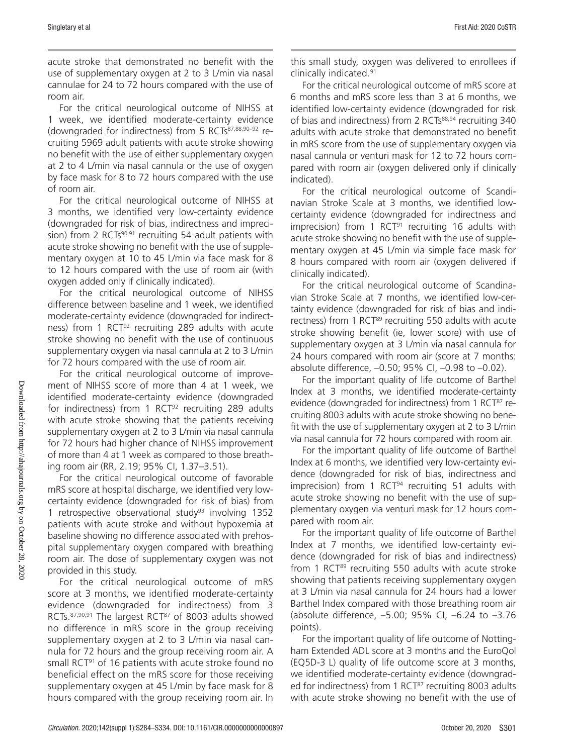acute stroke that demonstrated no benefit with the use of supplementary oxygen at 2 to 3 L/min via nasal cannulae for 24 to 72 hours compared with the use of room air.

For the critical neurological outcome of NIHSS at 1 week, we identified moderate-certainty evidence (downgraded for indirectness) from 5 RCTs87,88,90–92 recruiting 5969 adult patients with acute stroke showing no benefit with the use of either supplementary oxygen at 2 to 4 L/min via nasal cannula or the use of oxygen by face mask for 8 to 72 hours compared with the use of room air.

For the critical neurological outcome of NIHSS at 3 months, we identified very low-certainty evidence (downgraded for risk of bias, indirectness and imprecision) from 2 RCTs<sup>90,91</sup> recruiting 54 adult patients with acute stroke showing no benefit with the use of supplementary oxygen at 10 to 45 L/min via face mask for 8 to 12 hours compared with the use of room air (with oxygen added only if clinically indicated).

For the critical neurological outcome of NIHSS difference between baseline and 1 week, we identified moderate-certainty evidence (downgraded for indirectness) from 1 RCT<sup>92</sup> recruiting 289 adults with acute stroke showing no benefit with the use of continuous supplementary oxygen via nasal cannula at 2 to 3 L/min for 72 hours compared with the use of room air.

For the critical neurological outcome of improvement of NIHSS score of more than 4 at 1 week, we identified moderate-certainty evidence (downgraded for indirectness) from 1 RCT $92$  recruiting 289 adults with acute stroke showing that the patients receiving supplementary oxygen at 2 to 3 L/min via nasal cannula for 72 hours had higher chance of NIHSS improvement of more than 4 at 1 week as compared to those breathing room air (RR, 2.19; 95% CI, 1.37–3.51).

For the critical neurological outcome of favorable mRS score at hospital discharge, we identified very lowcertainty evidence (downgraded for risk of bias) from 1 retrospective observational study<sup>93</sup> involving 1352 patients with acute stroke and without hypoxemia at baseline showing no difference associated with prehospital supplementary oxygen compared with breathing room air. The dose of supplementary oxygen was not provided in this study.

For the critical neurological outcome of mRS score at 3 months, we identified moderate-certainty evidence (downgraded for indirectness) from 3 RCTs.<sup>87,90,91</sup> The largest RCT<sup>87</sup> of 8003 adults showed no difference in mRS score in the group receiving supplementary oxygen at 2 to 3 L/min via nasal cannula for 72 hours and the group receiving room air. A small RCT<sup>91</sup> of 16 patients with acute stroke found no beneficial effect on the mRS score for those receiving supplementary oxygen at 45 L/min by face mask for 8 hours compared with the group receiving room air. In

this small study, oxygen was delivered to enrollees if clinically indicated.91

For the critical neurological outcome of mRS score at 6 months and mRS score less than 3 at 6 months, we identified low-certainty evidence (downgraded for risk of bias and indirectness) from 2 RCTs<sup>88,94</sup> recruiting 340 adults with acute stroke that demonstrated no benefit in mRS score from the use of supplementary oxygen via nasal cannula or venturi mask for 12 to 72 hours compared with room air (oxygen delivered only if clinically indicated).

For the critical neurological outcome of Scandinavian Stroke Scale at 3 months, we identified lowcertainty evidence (downgraded for indirectness and imprecision) from 1 RCT $91$  recruiting 16 adults with acute stroke showing no benefit with the use of supplementary oxygen at 45 L/min via simple face mask for 8 hours compared with room air (oxygen delivered if clinically indicated).

For the critical neurological outcome of Scandinavian Stroke Scale at 7 months, we identified low-certainty evidence (downgraded for risk of bias and indirectness) from 1 RCT<sup>89</sup> recruiting 550 adults with acute stroke showing benefit (ie, lower score) with use of supplementary oxygen at 3 L/min via nasal cannula for 24 hours compared with room air (score at 7 months: absolute difference, –0.50; 95% CI, –0.98 to –0.02).

For the important quality of life outcome of Barthel Index at 3 months, we identified moderate-certainty evidence (downgraded for indirectness) from 1 RCT<sup>87</sup> recruiting 8003 adults with acute stroke showing no benefit with the use of supplementary oxygen at 2 to 3 L/min via nasal cannula for 72 hours compared with room air.

For the important quality of life outcome of Barthel Index at 6 months, we identified very low-certainty evidence (downgraded for risk of bias, indirectness and imprecision) from 1 RCT $94$  recruiting 51 adults with acute stroke showing no benefit with the use of supplementary oxygen via venturi mask for 12 hours compared with room air.

For the important quality of life outcome of Barthel Index at 7 months, we identified low-certainty evidence (downgraded for risk of bias and indirectness) from 1 RCT $89$  recruiting 550 adults with acute stroke showing that patients receiving supplementary oxygen at 3 L/min via nasal cannula for 24 hours had a lower Barthel Index compared with those breathing room air (absolute difference, –5.00; 95% CI, –6.24 to –3.76 points).

For the important quality of life outcome of Nottingham Extended ADL score at 3 months and the EuroQol (EQ5D-3 L) quality of life outcome score at 3 months, we identified moderate-certainty evidence (downgraded for indirectness) from 1 RCT<sup>87</sup> recruiting 8003 adults with acute stroke showing no benefit with the use of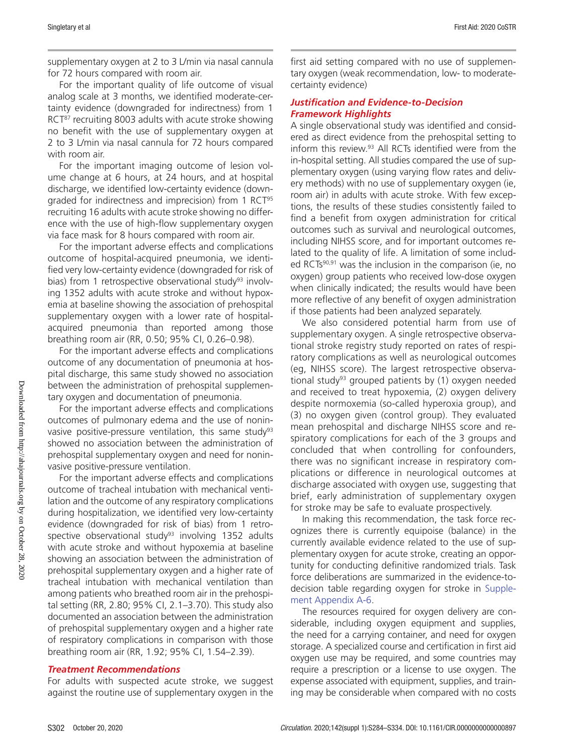supplementary oxygen at 2 to 3 L/min via nasal cannula for 72 hours compared with room air.

For the important quality of life outcome of visual analog scale at 3 months, we identified moderate-certainty evidence (downgraded for indirectness) from 1 RCT87 recruiting 8003 adults with acute stroke showing no benefit with the use of supplementary oxygen at 2 to 3 L/min via nasal cannula for 72 hours compared with room air.

For the important imaging outcome of lesion volume change at 6 hours, at 24 hours, and at hospital discharge, we identified low-certainty evidence (downgraded for indirectness and imprecision) from 1 RCT95 recruiting 16 adults with acute stroke showing no difference with the use of high-flow supplementary oxygen via face mask for 8 hours compared with room air.

For the important adverse effects and complications outcome of hospital-acquired pneumonia, we identified very low-certainty evidence (downgraded for risk of bias) from 1 retrospective observational study<sup>93</sup> involving 1352 adults with acute stroke and without hypoxemia at baseline showing the association of prehospital supplementary oxygen with a lower rate of hospitalacquired pneumonia than reported among those breathing room air (RR, 0.50; 95% CI, 0.26–0.98).

For the important adverse effects and complications outcome of any documentation of pneumonia at hospital discharge, this same study showed no association between the administration of prehospital supplementary oxygen and documentation of pneumonia.

For the important adverse effects and complications outcomes of pulmonary edema and the use of noninvasive positive-pressure ventilation, this same study<sup>93</sup> showed no association between the administration of prehospital supplementary oxygen and need for noninvasive positive-pressure ventilation.

For the important adverse effects and complications outcome of tracheal intubation with mechanical ventilation and the outcome of any respiratory complications during hospitalization, we identified very low-certainty evidence (downgraded for risk of bias) from 1 retrospective observational study<sup>93</sup> involving 1352 adults with acute stroke and without hypoxemia at baseline showing an association between the administration of prehospital supplementary oxygen and a higher rate of tracheal intubation with mechanical ventilation than among patients who breathed room air in the prehospital setting (RR, 2.80; 95% CI, 2.1–3.70). This study also documented an association between the administration of prehospital supplementary oxygen and a higher rate of respiratory complications in comparison with those breathing room air (RR, 1.92; 95% CI, 1.54–2.39).

### *Treatment Recommendations*

For adults with suspected acute stroke, we suggest against the routine use of supplementary oxygen in the

first aid setting compared with no use of supplementary oxygen (weak recommendation, low- to moderatecertainty evidence)

### *Justification and Evidence-to-Decision Framework Highlights*

A single observational study was identified and considered as direct evidence from the prehospital setting to inform this review.93 All RCTs identified were from the in-hospital setting. All studies compared the use of supplementary oxygen (using varying flow rates and delivery methods) with no use of supplementary oxygen (ie, room air) in adults with acute stroke. With few exceptions, the results of these studies consistently failed to find a benefit from oxygen administration for critical outcomes such as survival and neurological outcomes, including NIHSS score, and for important outcomes related to the quality of life. A limitation of some included RCTs<sup>90,91</sup> was the inclusion in the comparison (ie, no oxygen) group patients who received low-dose oxygen when clinically indicated; the results would have been more reflective of any benefit of oxygen administration if those patients had been analyzed separately.

We also considered potential harm from use of supplementary oxygen. A single retrospective observational stroke registry study reported on rates of respiratory complications as well as neurological outcomes (eg, NIHSS score). The largest retrospective observational study<sup>93</sup> grouped patients by  $(1)$  oxygen needed and received to treat hypoxemia, (2) oxygen delivery despite normoxemia (so-called hyperoxia group), and (3) no oxygen given (control group). They evaluated mean prehospital and discharge NIHSS score and respiratory complications for each of the 3 groups and concluded that when controlling for confounders, there was no significant increase in respiratory complications or difference in neurological outcomes at discharge associated with oxygen use, suggesting that brief, early administration of supplementary oxygen for stroke may be safe to evaluate prospectively.

In making this recommendation, the task force recognizes there is currently equipoise (balance) in the currently available evidence related to the use of supplementary oxygen for acute stroke, creating an opportunity for conducting definitive randomized trials. Task force deliberations are summarized in the evidence-todecision table regarding oxygen for stroke in Supplement Appendix A-6.

The resources required for oxygen delivery are considerable, including oxygen equipment and supplies, the need for a carrying container, and need for oxygen storage. A specialized course and certification in first aid oxygen use may be required, and some countries may require a prescription or a license to use oxygen. The expense associated with equipment, supplies, and training may be considerable when compared with no costs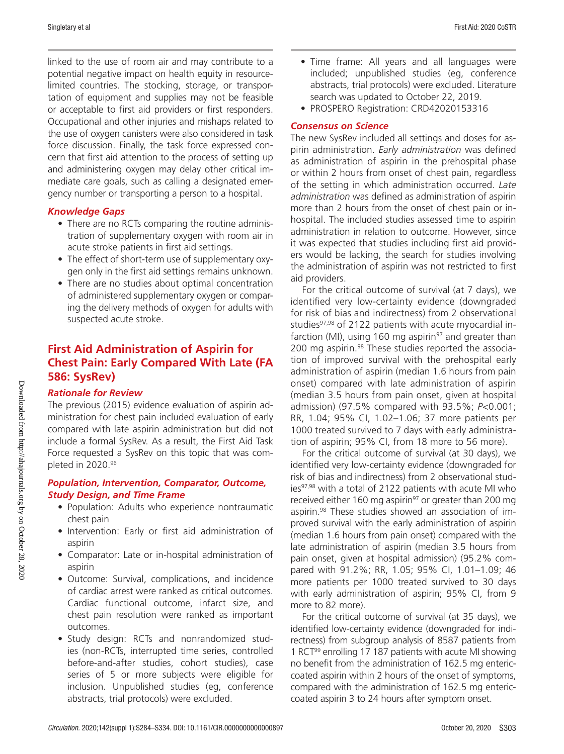linked to the use of room air and may contribute to a potential negative impact on health equity in resourcelimited countries. The stocking, storage, or transportation of equipment and supplies may not be feasible or acceptable to first aid providers or first responders. Occupational and other injuries and mishaps related to the use of oxygen canisters were also considered in task force discussion. Finally, the task force expressed concern that first aid attention to the process of setting up and administering oxygen may delay other critical immediate care goals, such as calling a designated emergency number or transporting a person to a hospital.

### *Knowledge Gaps*

- There are no RCTs comparing the routine administration of supplementary oxygen with room air in acute stroke patients in first aid settings.
- The effect of short-term use of supplementary oxygen only in the first aid settings remains unknown.
- There are no studies about optimal concentration of administered supplementary oxygen or comparing the delivery methods of oxygen for adults with suspected acute stroke.

# **First Aid Administration of Aspirin for Chest Pain: Early Compared With Late (FA 586: SysRev)**

### *Rationale for Review*

The previous (2015) evidence evaluation of aspirin administration for chest pain included evaluation of early compared with late aspirin administration but did not include a formal SysRev. As a result, the First Aid Task Force requested a SysRev on this topic that was completed in 2020.96

### *Population, Intervention, Comparator, Outcome, Study Design, and Time Frame*

- Population: Adults who experience nontraumatic chest pain
- Intervention: Early or first aid administration of aspirin
- Comparator: Late or in-hospital administration of aspirin
- Outcome: Survival, complications, and incidence of cardiac arrest were ranked as critical outcomes. Cardiac functional outcome, infarct size, and chest pain resolution were ranked as important outcomes.
- Study design: RCTs and nonrandomized studies (non-RCTs, interrupted time series, controlled before-and-after studies, cohort studies), case series of 5 or more subjects were eligible for inclusion. Unpublished studies (eg, conference abstracts, trial protocols) were excluded.
- Time frame: All years and all languages were included; unpublished studies (eg, conference abstracts, trial protocols) were excluded. Literature search was updated to October 22, 2019.
- PROSPERO Registration: CRD42020153316

### *Consensus on Science*

The new SysRev included all settings and doses for aspirin administration. *Early administration* was defined as administration of aspirin in the prehospital phase or within 2 hours from onset of chest pain, regardless of the setting in which administration occurred. *Late administration* was defined as administration of aspirin more than 2 hours from the onset of chest pain or inhospital. The included studies assessed time to aspirin administration in relation to outcome. However, since it was expected that studies including first aid providers would be lacking, the search for studies involving the administration of aspirin was not restricted to first aid providers.

For the critical outcome of survival (at 7 days), we identified very low-certainty evidence (downgraded for risk of bias and indirectness) from 2 observational studies<sup>97,98</sup> of 2122 patients with acute myocardial infarction (MI), using 160 mg aspirin $97$  and greater than 200 mg aspirin.<sup>98</sup> These studies reported the association of improved survival with the prehospital early administration of aspirin (median 1.6 hours from pain onset) compared with late administration of aspirin (median 3.5 hours from pain onset, given at hospital admission) (97.5% compared with 93.5%; *P*<0.001; RR, 1.04; 95% CI, 1.02–1.06; 37 more patients per 1000 treated survived to 7 days with early administration of aspirin; 95% CI, from 18 more to 56 more).

For the critical outcome of survival (at 30 days), we identified very low-certainty evidence (downgraded for risk of bias and indirectness) from 2 observational studies<sup>97,98</sup> with a total of 2122 patients with acute MI who received either 160 mg aspirin<sup>97</sup> or greater than 200 mg aspirin.98 These studies showed an association of improved survival with the early administration of aspirin (median 1.6 hours from pain onset) compared with the late administration of aspirin (median 3.5 hours from pain onset, given at hospital admission) (95.2% compared with 91.2%; RR, 1.05; 95% CI, 1.01–1.09; 46 more patients per 1000 treated survived to 30 days with early administration of aspirin; 95% CI, from 9 more to 82 more).

For the critical outcome of survival (at 35 days), we identified low-certainty evidence (downgraded for indirectness) from subgroup analysis of 8587 patients from 1 RCT99 enrolling 17 187 patients with acute MI showing no benefit from the administration of 162.5 mg entericcoated aspirin within 2 hours of the onset of symptoms, compared with the administration of 162.5 mg entericcoated aspirin 3 to 24 hours after symptom onset.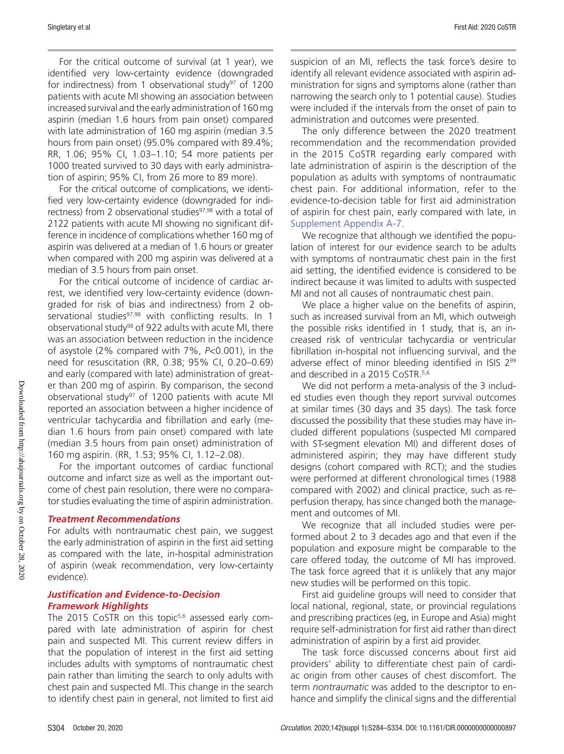For the critical outcome of survival (at 1 year), we identified very low-certainty evidence (downgraded for indirectness) from 1 observational study $97$  of 1200 patients with acute MI showing an association between increased survival and the early administration of 160 mg aspirin (median 1.6 hours from pain onset) compared with late administration of 160 mg aspirin (median 3.5 hours from pain onset) (95.0% compared with 89.4%; RR, 1.06; 95% CI, 1.03–1.10; 54 more patients per 1000 treated survived to 30 days with early administration of aspirin; 95% CI, from 26 more to 89 more).

For the critical outcome of complications, we identified very low-certainty evidence (downgraded for indirectness) from 2 observational studies<sup>97,98</sup> with a total of 2122 patients with acute MI showing no significant difference in incidence of complications whether 160 mg of aspirin was delivered at a median of 1.6 hours or greater when compared with 200 mg aspirin was delivered at a median of 3.5 hours from pain onset.

For the critical outcome of incidence of cardiac arrest, we identified very low-certainty evidence (downgraded for risk of bias and indirectness) from 2 observational studies<sup>97,98</sup> with conflicting results. In 1 observational study<sup>98</sup> of 922 adults with acute MI, there was an association between reduction in the incidence of asystole (2% compared with 7%, *P*<0.001), in the need for resuscitation (RR, 0.38; 95% CI, 0.20–0.69) and early (compared with late) administration of greater than 200 mg of aspirin. By comparison, the second observational study<sup>97</sup> of 1200 patients with acute MI reported an association between a higher incidence of ventricular tachycardia and fibrillation and early (median 1.6 hours from pain onset) compared with late (median 3.5 hours from pain onset) administration of 160 mg aspirin. (RR, 1.53; 95% CI, 1.12–2.08).

For the important outcomes of cardiac functional outcome and infarct size as well as the important outcome of chest pain resolution, there were no comparator studies evaluating the time of aspirin administration.

### *Treatment Recommendations*

For adults with nontraumatic chest pain, we suggest the early administration of aspirin in the first aid setting as compared with the late, in-hospital administration of aspirin (weak recommendation, very low-certainty evidence).

### *Justification and Evidence-to-Decision Framework Highlights*

The 2015 CoSTR on this topic<sup>5,6</sup> assessed early compared with late administration of aspirin for chest pain and suspected MI. This current review differs in that the population of interest in the first aid setting includes adults with symptoms of nontraumatic chest pain rather than limiting the search to only adults with chest pain and suspected MI. This change in the search to identify chest pain in general, not limited to first aid

suspicion of an MI, reflects the task force's desire to identify all relevant evidence associated with aspirin administration for signs and symptoms alone (rather than narrowing the search only to 1 potential cause). Studies were included if the intervals from the onset of pain to administration and outcomes were presented.

The only difference between the 2020 treatment recommendation and the recommendation provided in the 2015 CoSTR regarding early compared with late administration of aspirin is the description of the population as adults with symptoms of nontraumatic chest pain. For additional information, refer to the evidence-to-decision table for first aid administration of aspirin for chest pain, early compared with late, in Supplement Appendix A-7.

We recognize that although we identified the population of interest for our evidence search to be adults with symptoms of nontraumatic chest pain in the first aid setting, the identified evidence is considered to be indirect because it was limited to adults with suspected MI and not all causes of nontraumatic chest pain.

We place a higher value on the benefits of aspirin, such as increased survival from an MI, which outweigh the possible risks identified in 1 study, that is, an increased risk of ventricular tachycardia or ventricular fibrillation in-hospital not influencing survival, and the adverse effect of minor bleeding identified in ISIS 2<sup>99</sup> and described in a 2015 CoSTR.5,6

We did not perform a meta-analysis of the 3 included studies even though they report survival outcomes at similar times (30 days and 35 days). The task force discussed the possibility that these studies may have included different populations (suspected MI compared with ST-segment elevation MI) and different doses of administered aspirin; they may have different study designs (cohort compared with RCT); and the studies were performed at different chronological times (1988 compared with 2002) and clinical practice, such as reperfusion therapy, has since changed both the management and outcomes of MI.

We recognize that all included studies were performed about 2 to 3 decades ago and that even if the population and exposure might be comparable to the care offered today, the outcome of MI has improved. The task force agreed that it is unlikely that any major new studies will be performed on this topic.

First aid guideline groups will need to consider that local national, regional, state, or provincial regulations and prescribing practices (eg, in Europe and Asia) might require self-administration for first aid rather than direct administration of aspirin by a first aid provider.

The task force discussed concerns about first aid providers' ability to differentiate chest pain of cardiac origin from other causes of chest discomfort. The term *nontraumatic* was added to the descriptor to enhance and simplify the clinical signs and the differential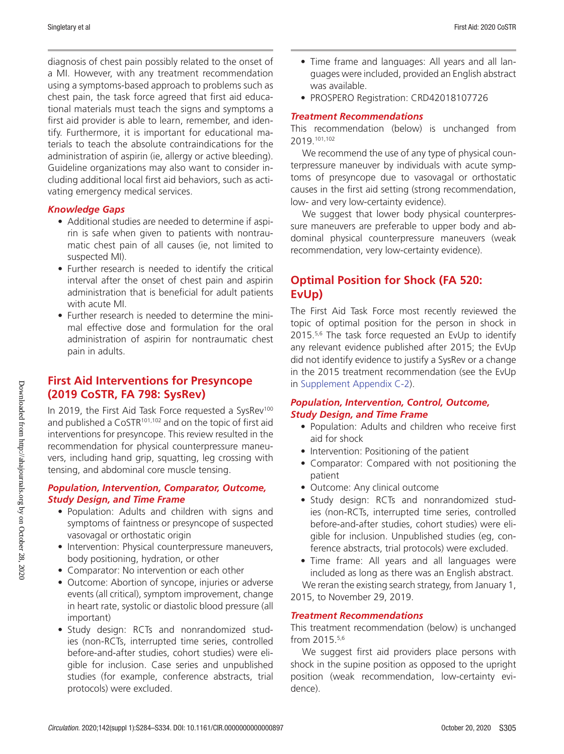diagnosis of chest pain possibly related to the onset of a MI. However, with any treatment recommendation using a symptoms-based approach to problems such as chest pain, the task force agreed that first aid educational materials must teach the signs and symptoms a first aid provider is able to learn, remember, and identify. Furthermore, it is important for educational materials to teach the absolute contraindications for the administration of aspirin (ie, allergy or active bleeding). Guideline organizations may also want to consider including additional local first aid behaviors, such as activating emergency medical services.

### *Knowledge Gaps*

- Additional studies are needed to determine if aspirin is safe when given to patients with nontraumatic chest pain of all causes (ie, not limited to suspected MI).
- Further research is needed to identify the critical interval after the onset of chest pain and aspirin administration that is beneficial for adult patients with acute MI.
- Further research is needed to determine the minimal effective dose and formulation for the oral administration of aspirin for nontraumatic chest pain in adults.

# **First Aid Interventions for Presyncope (2019 CoSTR, FA 798: SysRev)**

In 2019, the First Aid Task Force requested a SysRev<sup>100</sup> and published a CoSTR<sup>101,102</sup> and on the topic of first aid interventions for presyncope. This review resulted in the recommendation for physical counterpressure maneuvers, including hand grip, squatting, leg crossing with tensing, and abdominal core muscle tensing.

### *Population, Intervention, Comparator, Outcome, Study Design, and Time Frame*

- Population: Adults and children with signs and symptoms of faintness or presyncope of suspected vasovagal or orthostatic origin
- Intervention: Physical counterpressure maneuvers, body positioning, hydration, or other
- Comparator: No intervention or each other
- Outcome: Abortion of syncope, injuries or adverse events (all critical), symptom improvement, change in heart rate, systolic or diastolic blood pressure (all important)
- Study design: RCTs and nonrandomized studies (non-RCTs, interrupted time series, controlled before-and-after studies, cohort studies) were eligible for inclusion. Case series and unpublished studies (for example, conference abstracts, trial protocols) were excluded.
- Time frame and languages: All years and all languages were included, provided an English abstract was available.
- PROSPERO Registration: CRD42018107726

### *Treatment Recommendations*

This recommendation (below) is unchanged from 2019.101,102

We recommend the use of any type of physical counterpressure maneuver by individuals with acute symptoms of presyncope due to vasovagal or orthostatic causes in the first aid setting (strong recommendation, low- and very low-certainty evidence).

We suggest that lower body physical counterpressure maneuvers are preferable to upper body and abdominal physical counterpressure maneuvers (weak recommendation, very low-certainty evidence).

# **Optimal Position for Shock (FA 520: EvUp)**

The First Aid Task Force most recently reviewed the topic of optimal position for the person in shock in 2015.5,6 The task force requested an EvUp to identify any relevant evidence published after 2015; the EvUp did not identify evidence to justify a SysRev or a change in the 2015 treatment recommendation (see the EvUp in Supplement Appendix C-2).

### *Population, Intervention, Control, Outcome, Study Design, and Time Frame*

- Population: Adults and children who receive first aid for shock
- Intervention: Positioning of the patient
- Comparator: Compared with not positioning the patient
- Outcome: Any clinical outcome
- Study design: RCTs and nonrandomized studies (non-RCTs, interrupted time series, controlled before-and-after studies, cohort studies) were eligible for inclusion. Unpublished studies (eg, conference abstracts, trial protocols) were excluded.
- Time frame: All years and all languages were included as long as there was an English abstract.

We reran the existing search strategy, from January 1, 2015, to November 29, 2019.

### *Treatment Recommendations*

This treatment recommendation (below) is unchanged from 2015.5,6

We suggest first aid providers place persons with shock in the supine position as opposed to the upright position (weak recommendation, low-certainty evidence).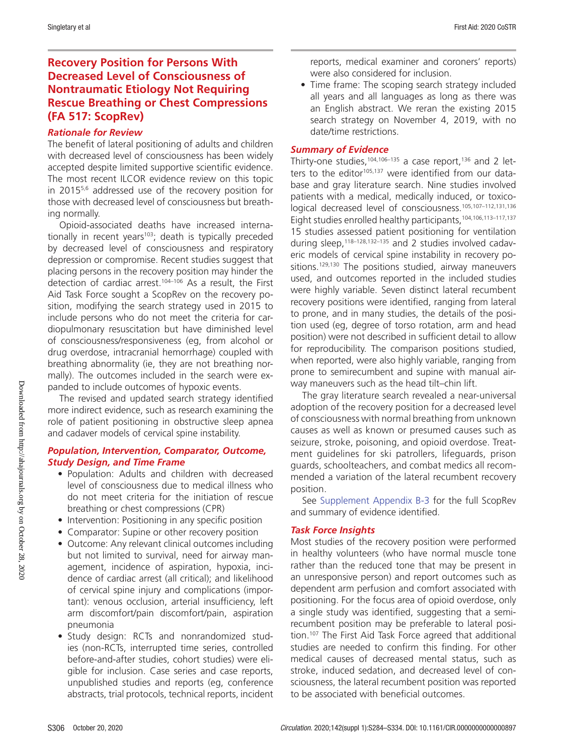# **Recovery Position for Persons With Decreased Level of Consciousness of Nontraumatic Etiology Not Requiring Rescue Breathing or Chest Compressions (FA 517: ScopRev)**

### *Rationale for Review*

The benefit of lateral positioning of adults and children with decreased level of consciousness has been widely accepted despite limited supportive scientific evidence. The most recent ILCOR evidence review on this topic in 20155,6 addressed use of the recovery position for those with decreased level of consciousness but breathing normally.

Opioid-associated deaths have increased internationally in recent years<sup>103</sup>; death is typically preceded by decreased level of consciousness and respiratory depression or compromise. Recent studies suggest that placing persons in the recovery position may hinder the detection of cardiac arrest.<sup>104-106</sup> As a result, the First Aid Task Force sought a ScopRev on the recovery position, modifying the search strategy used in 2015 to include persons who do not meet the criteria for cardiopulmonary resuscitation but have diminished level of consciousness/responsiveness (eg, from alcohol or drug overdose, intracranial hemorrhage) coupled with breathing abnormality (ie, they are not breathing normally). The outcomes included in the search were expanded to include outcomes of hypoxic events.

The revised and updated search strategy identified more indirect evidence, such as research examining the role of patient positioning in obstructive sleep apnea and cadaver models of cervical spine instability.

### *Population, Intervention, Comparator, Outcome, Study Design, and Time Frame*

- Population: Adults and children with decreased level of consciousness due to medical illness who do not meet criteria for the initiation of rescue breathing or chest compressions (CPR)
- Intervention: Positioning in any specific position
- Comparator: Supine or other recovery position
- Outcome: Any relevant clinical outcomes including but not limited to survival, need for airway management, incidence of aspiration, hypoxia, incidence of cardiac arrest (all critical); and likelihood of cervical spine injury and complications (important): venous occlusion, arterial insufficiency, left arm discomfort/pain discomfort/pain, aspiration pneumonia
- Study design: RCTs and nonrandomized studies (non-RCTs, interrupted time series, controlled before-and-after studies, cohort studies) were eligible for inclusion. Case series and case reports, unpublished studies and reports (eg, conference abstracts, trial protocols, technical reports, incident

reports, medical examiner and coroners' reports) were also considered for inclusion.

• Time frame: The scoping search strategy included all years and all languages as long as there was an English abstract. We reran the existing 2015 search strategy on November 4, 2019, with no date/time restrictions.

### *Summary of Evidence*

Thirty-one studies,  $104, 106-135$  a case report,  $136$  and 2 letters to the editor<sup>105,137</sup> were identified from our database and gray literature search. Nine studies involved patients with a medical, medically induced, or toxicological decreased level of consciousness.<sup>105,107-112,131,136</sup> Eight studies enrolled healthy participants,<sup>104,106,113-117,137</sup> 15 studies assessed patient positioning for ventilation during sleep,<sup>118-128,132-135</sup> and 2 studies involved cadaveric models of cervical spine instability in recovery positions.<sup>129,130</sup> The positions studied, airway maneuvers used, and outcomes reported in the included studies were highly variable. Seven distinct lateral recumbent recovery positions were identified, ranging from lateral to prone, and in many studies, the details of the position used (eg, degree of torso rotation, arm and head position) were not described in sufficient detail to allow for reproducibility. The comparison positions studied, when reported, were also highly variable, ranging from prone to semirecumbent and supine with manual airway maneuvers such as the head tilt–chin lift.

The gray literature search revealed a near-universal adoption of the recovery position for a decreased level of consciousness with normal breathing from unknown causes as well as known or presumed causes such as seizure, stroke, poisoning, and opioid overdose. Treatment guidelines for ski patrollers, lifeguards, prison guards, schoolteachers, and combat medics all recommended a variation of the lateral recumbent recovery position.

See Supplement Appendix B-3 for the full ScopRev and summary of evidence identified.

### *Task Force Insights*

Most studies of the recovery position were performed in healthy volunteers (who have normal muscle tone rather than the reduced tone that may be present in an unresponsive person) and report outcomes such as dependent arm perfusion and comfort associated with positioning. For the focus area of opioid overdose, only a single study was identified, suggesting that a semirecumbent position may be preferable to lateral position.107 The First Aid Task Force agreed that additional studies are needed to confirm this finding. For other medical causes of decreased mental status, such as stroke, induced sedation, and decreased level of consciousness, the lateral recumbent position was reported to be associated with beneficial outcomes.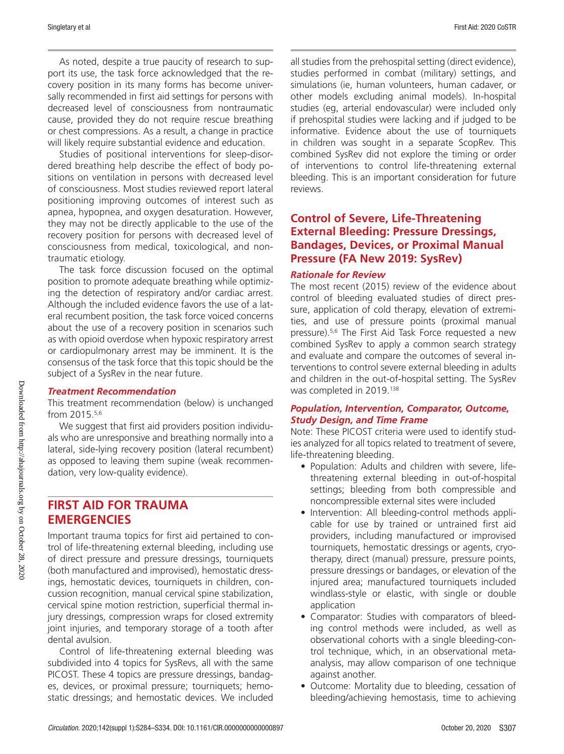As noted, despite a true paucity of research to support its use, the task force acknowledged that the recovery position in its many forms has become universally recommended in first aid settings for persons with decreased level of consciousness from nontraumatic cause, provided they do not require rescue breathing or chest compressions. As a result, a change in practice will likely require substantial evidence and education.

Studies of positional interventions for sleep-disordered breathing help describe the effect of body positions on ventilation in persons with decreased level of consciousness. Most studies reviewed report lateral positioning improving outcomes of interest such as apnea, hypopnea, and oxygen desaturation. However, they may not be directly applicable to the use of the recovery position for persons with decreased level of consciousness from medical, toxicological, and nontraumatic etiology.

The task force discussion focused on the optimal position to promote adequate breathing while optimizing the detection of respiratory and/or cardiac arrest. Although the included evidence favors the use of a lateral recumbent position, the task force voiced concerns about the use of a recovery position in scenarios such as with opioid overdose when hypoxic respiratory arrest or cardiopulmonary arrest may be imminent. It is the consensus of the task force that this topic should be the subject of a SysRev in the near future.

### *Treatment Recommendation*

This treatment recommendation (below) is unchanged from 2015.5,6

We suggest that first aid providers position individuals who are unresponsive and breathing normally into a lateral, side-lying recovery position (lateral recumbent) as opposed to leaving them supine (weak recommendation, very low-quality evidence).

# **FIRST AID FOR TRAUMA EMERGENCIES**

Important trauma topics for first aid pertained to control of life-threatening external bleeding, including use of direct pressure and pressure dressings, tourniquets (both manufactured and improvised), hemostatic dressings, hemostatic devices, tourniquets in children, concussion recognition, manual cervical spine stabilization, cervical spine motion restriction, superficial thermal injury dressings, compression wraps for closed extremity joint injuries, and temporary storage of a tooth after dental avulsion.

Control of life-threatening external bleeding was subdivided into 4 topics for SysRevs, all with the same PICOST. These 4 topics are pressure dressings, bandages, devices, or proximal pressure; tourniquets; hemostatic dressings; and hemostatic devices. We included

all studies from the prehospital setting (direct evidence), studies performed in combat (military) settings, and simulations (ie, human volunteers, human cadaver, or other models excluding animal models). In-hospital studies (eg, arterial endovascular) were included only if prehospital studies were lacking and if judged to be informative. Evidence about the use of tourniquets in children was sought in a separate ScopRev. This combined SysRev did not explore the timing or order of interventions to control life-threatening external bleeding. This is an important consideration for future reviews.

# **Control of Severe, Life-Threatening External Bleeding: Pressure Dressings, Bandages, Devices, or Proximal Manual Pressure (FA New 2019: SysRev)**

### *Rationale for Review*

The most recent (2015) review of the evidence about control of bleeding evaluated studies of direct pressure, application of cold therapy, elevation of extremities, and use of pressure points (proximal manual pressure).5,6 The First Aid Task Force requested a new combined SysRev to apply a common search strategy and evaluate and compare the outcomes of several interventions to control severe external bleeding in adults and children in the out-of-hospital setting. The SysRev was completed in 2019.<sup>138</sup>

### *Population, Intervention, Comparator, Outcome, Study Design, and Time Frame*

Note: These PICOST criteria were used to identify studies analyzed for all topics related to treatment of severe, life-threatening bleeding.

- Population: Adults and children with severe, lifethreatening external bleeding in out-of-hospital settings; bleeding from both compressible and noncompressible external sites were included
- Intervention: All bleeding-control methods applicable for use by trained or untrained first aid providers, including manufactured or improvised tourniquets, hemostatic dressings or agents, cryotherapy, direct (manual) pressure, pressure points, pressure dressings or bandages, or elevation of the injured area; manufactured tourniquets included windlass-style or elastic, with single or double application
- Comparator: Studies with comparators of bleeding control methods were included, as well as observational cohorts with a single bleeding-control technique, which, in an observational metaanalysis, may allow comparison of one technique against another.
- Outcome: Mortality due to bleeding, cessation of bleeding/achieving hemostasis, time to achieving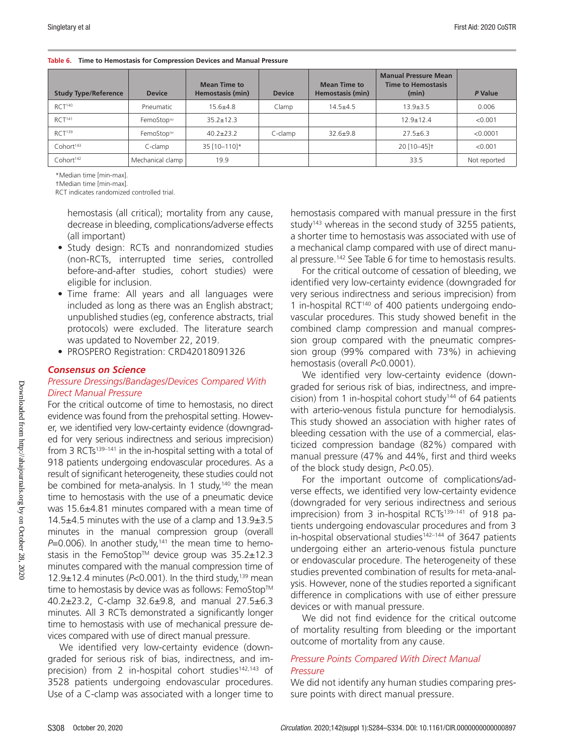| <b>Study Type/Reference</b> | <b>Device</b>    | <b>Mean Time to</b><br>Hemostasis (min) | <b>Device</b> | <b>Mean Time to</b><br>Hemostasis (min) | <b>Manual Pressure Mean</b><br><b>Time to Hemostasis</b><br>(min) | P Value      |
|-----------------------------|------------------|-----------------------------------------|---------------|-----------------------------------------|-------------------------------------------------------------------|--------------|
| <b>RCT140</b>               | Pneumatic        | $15.6 + 4.8$                            | Clamp         | $14.5 + 4.5$                            | $13.9 + 3.5$                                                      | 0.006        |
| <b>RCT141</b>               | FemoStop™        | $35.2 \pm 12.3$                         |               |                                         | $12.9 \pm 12.4$                                                   | < 0.001      |
| RCT <sup>139</sup>          | FemoStop™        | $40.2 \pm 23.2$                         | C-clamp       | $32.6 \pm 9.8$                          | $27.5 + 6.3$                                                      | < 0.0001     |
| Cohort <sup>143</sup>       | C-clamp          | 35 [10-110]*                            |               |                                         | 20 [10-45] +                                                      | < 0.001      |
| Cohort <sup>142</sup>       | Mechanical clamp | 19.9                                    |               |                                         | 33.5                                                              | Not reported |

#### **Table 6. Time to Hemostasis for Compression Devices and Manual Pressure**

\*Median time [min-max].

†Median time [min-max].

RCT indicates randomized controlled trial.

hemostasis (all critical); mortality from any cause, decrease in bleeding, complications/adverse effects (all important)

- Study design: RCTs and nonrandomized studies (non-RCTs, interrupted time series, controlled before-and-after studies, cohort studies) were eligible for inclusion.
- Time frame: All years and all languages were included as long as there was an English abstract; unpublished studies (eg, conference abstracts, trial protocols) were excluded. The literature search was updated to November 22, 2019.
- PROSPERO Registration: CRD42018091326

### *Consensus on Science*

#### *Pressure Dressings/Bandages/Devices Compared With Direct Manual Pressure*

For the critical outcome of time to hemostasis, no direct evidence was found from the prehospital setting. However, we identified very low-certainty evidence (downgraded for very serious indirectness and serious imprecision) from 3 RCTs<sup>139-141</sup> in the in-hospital setting with a total of 918 patients undergoing endovascular procedures. As a result of significant heterogeneity, these studies could not be combined for meta-analysis. In 1 study,<sup>140</sup> the mean time to hemostasis with the use of a pneumatic device was 15.6±4.81 minutes compared with a mean time of 14.5 $\pm$ 4.5 minutes with the use of a clamp and 13.9 $\pm$ 3.5 minutes in the manual compression group (overall  $P=0.006$ ). In another study,<sup>141</sup> the mean time to hemostasis in the FemoStop™ device group was 35.2±12.3 minutes compared with the manual compression time of 12.9 $\pm$ 12.4 minutes ( $P<$ 0.001). In the third study,<sup>139</sup> mean time to hemostasis by device was as follows: FemoStop $TM$ 40.2±23.2, C-clamp 32.6±9.8, and manual 27.5±6.3 minutes. All 3 RCTs demonstrated a significantly longer time to hemostasis with use of mechanical pressure devices compared with use of direct manual pressure.

We identified very low-certainty evidence (downgraded for serious risk of bias, indirectness, and imprecision) from 2 in-hospital cohort studies<sup>142,143</sup> of 3528 patients undergoing endovascular procedures. Use of a C-clamp was associated with a longer time to

hemostasis compared with manual pressure in the first study<sup>143</sup> whereas in the second study of 3255 patients, a shorter time to hemostasis was associated with use of a mechanical clamp compared with use of direct manual pressure.<sup>142</sup> See Table 6 for time to hemostasis results.

For the critical outcome of cessation of bleeding, we identified very low-certainty evidence (downgraded for very serious indirectness and serious imprecision) from 1 in-hospital RCT<sup>140</sup> of 400 patients undergoing endovascular procedures. This study showed benefit in the combined clamp compression and manual compression group compared with the pneumatic compression group (99% compared with 73%) in achieving hemostasis (overall *P*<0.0001).

We identified very low-certainty evidence (downgraded for serious risk of bias, indirectness, and imprecision) from 1 in-hospital cohort study<sup>144</sup> of 64 patients with arterio-venous fistula puncture for hemodialysis. This study showed an association with higher rates of bleeding cessation with the use of a commercial, elasticized compression bandage (82%) compared with manual pressure (47% and 44%, first and third weeks of the block study design, *P*<0.05).

For the important outcome of complications/adverse effects, we identified very low-certainty evidence (downgraded for very serious indirectness and serious imprecision) from 3 in-hospital RCTs $139-141$  of 918 patients undergoing endovascular procedures and from 3 in-hospital observational studies<sup>142-144</sup> of 3647 patients undergoing either an arterio-venous fistula puncture or endovascular procedure. The heterogeneity of these studies prevented combination of results for meta-analysis. However, none of the studies reported a significant difference in complications with use of either pressure devices or with manual pressure.

We did not find evidence for the critical outcome of mortality resulting from bleeding or the important outcome of mortality from any cause.

### *Pressure Points Compared With Direct Manual Pressure*

We did not identify any human studies comparing pressure points with direct manual pressure.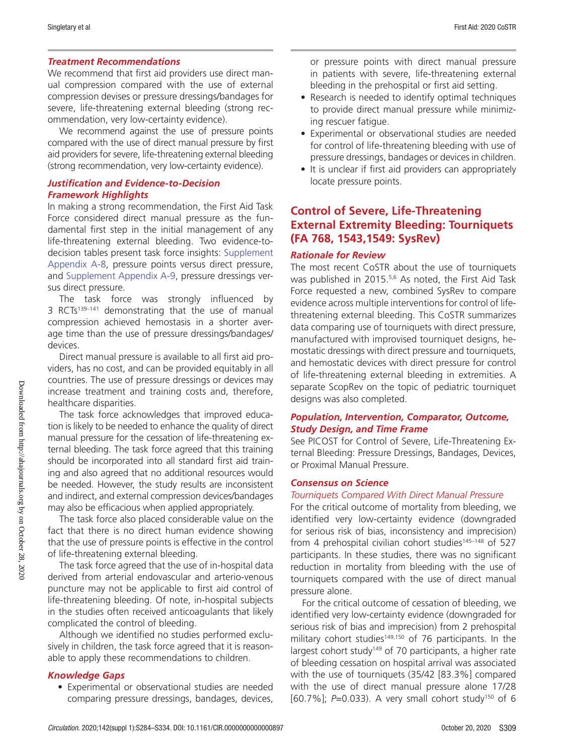#### *Treatment Recommendations*

We recommend that first aid providers use direct manual compression compared with the use of external compression devises or pressure dressings/bandages for severe, life-threatening external bleeding (strong recommendation, very low-certainty evidence).

We recommend against the use of pressure points compared with the use of direct manual pressure by first aid providers for severe, life-threatening external bleeding (strong recommendation, very low-certainty evidence).

#### *Justification and Evidence-to-Decision Framework Highlights*

In making a strong recommendation, the First Aid Task Force considered direct manual pressure as the fundamental first step in the initial management of any life-threatening external bleeding. Two evidence-todecision tables present task force insights: Supplement Appendix A-8, pressure points versus direct pressure, and Supplement Appendix A-9, pressure dressings versus direct pressure.

The task force was strongly influenced by 3 RCTs<sup>139-141</sup> demonstrating that the use of manual compression achieved hemostasis in a shorter average time than the use of pressure dressings/bandages/ devices.

Direct manual pressure is available to all first aid providers, has no cost, and can be provided equitably in all countries. The use of pressure dressings or devices may increase treatment and training costs and, therefore, healthcare disparities.

The task force acknowledges that improved education is likely to be needed to enhance the quality of direct manual pressure for the cessation of life-threatening external bleeding. The task force agreed that this training should be incorporated into all standard first aid training and also agreed that no additional resources would be needed. However, the study results are inconsistent and indirect, and external compression devices/bandages may also be efficacious when applied appropriately.

The task force also placed considerable value on the fact that there is no direct human evidence showing that the use of pressure points is effective in the control of life-threatening external bleeding.

The task force agreed that the use of in-hospital data derived from arterial endovascular and arterio-venous puncture may not be applicable to first aid control of life-threatening bleeding. Of note, in-hospital subjects in the studies often received anticoagulants that likely complicated the control of bleeding.

Although we identified no studies performed exclusively in children, the task force agreed that it is reasonable to apply these recommendations to children.

#### *Knowledge Gaps*

• Experimental or observational studies are needed comparing pressure dressings, bandages, devices,

or pressure points with direct manual pressure in patients with severe, life-threatening external bleeding in the prehospital or first aid setting.

- Research is needed to identify optimal techniques to provide direct manual pressure while minimizing rescuer fatigue.
- Experimental or observational studies are needed for control of life-threatening bleeding with use of pressure dressings, bandages or devices in children.
- It is unclear if first aid providers can appropriately locate pressure points.

# **Control of Severe, Life-Threatening External Extremity Bleeding: Tourniquets (FA 768, 1543,1549: SysRev)**

#### *Rationale for Review*

The most recent CoSTR about the use of tourniquets was published in 2015.<sup>5,6</sup> As noted, the First Aid Task Force requested a new, combined SysRev to compare evidence across multiple interventions for control of lifethreatening external bleeding. This CoSTR summarizes data comparing use of tourniquets with direct pressure, manufactured with improvised tourniquet designs, hemostatic dressings with direct pressure and tourniquets, and hemostatic devices with direct pressure for control of life-threatening external bleeding in extremities. A separate ScopRev on the topic of pediatric tourniquet designs was also completed.

### *Population, Intervention, Comparator, Outcome, Study Design, and Time Frame*

See PICOST for Control of Severe, Life-Threatening External Bleeding: Pressure Dressings, Bandages, Devices, or Proximal Manual Pressure.

#### *Consensus on Science*

#### *Tourniquets Compared With Direct Manual Pressure*

For the critical outcome of mortality from bleeding, we identified very low-certainty evidence (downgraded for serious risk of bias, inconsistency and imprecision) from 4 prehospital civilian cohort studies $145-148$  of 527 participants. In these studies, there was no significant reduction in mortality from bleeding with the use of tourniquets compared with the use of direct manual pressure alone.

For the critical outcome of cessation of bleeding, we identified very low-certainty evidence (downgraded for serious risk of bias and imprecision) from 2 prehospital military cohort studies<sup>149,150</sup> of 76 participants. In the largest cohort study<sup>149</sup> of 70 participants, a higher rate of bleeding cessation on hospital arrival was associated with the use of tourniquets (35/42 [83.3%] compared with the use of direct manual pressure alone 17/28 [60.7%]; *P*=0.033). A very small cohort study<sup>150</sup> of 6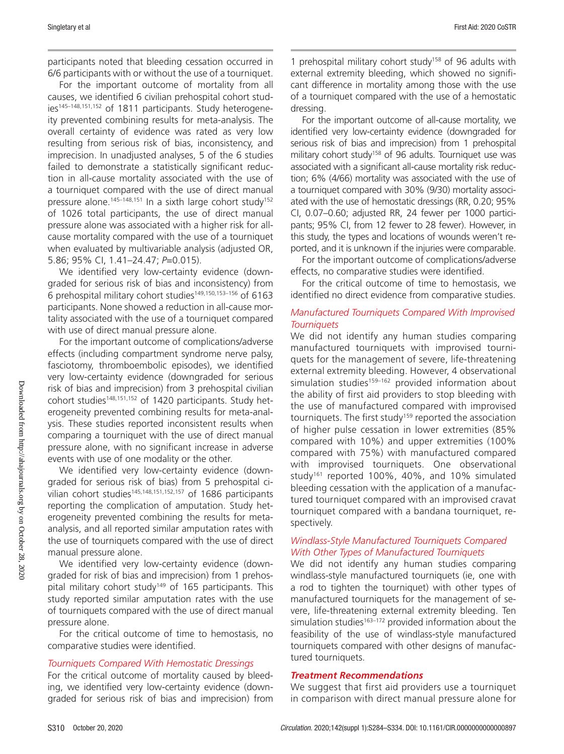participants noted that bleeding cessation occurred in 6/6 participants with or without the use of a tourniquet.

For the important outcome of mortality from all causes, we identified 6 civilian prehospital cohort studies145–148,151,152 of 1811 participants. Study heterogeneity prevented combining results for meta-analysis. The overall certainty of evidence was rated as very low resulting from serious risk of bias, inconsistency, and imprecision. In unadjusted analyses, 5 of the 6 studies failed to demonstrate a statistically significant reduction in all-cause mortality associated with the use of a tourniquet compared with the use of direct manual pressure alone.<sup>145-148,151</sup> In a sixth large cohort study<sup>152</sup> of 1026 total participants, the use of direct manual pressure alone was associated with a higher risk for allcause mortality compared with the use of a tourniquet when evaluated by multivariable analysis (adjusted OR, 5.86; 95% CI, 1.41–24.47; *P*=0.015).

We identified very low-certainty evidence (downgraded for serious risk of bias and inconsistency) from 6 prehospital military cohort studies149,150,153–156 of 6163 participants. None showed a reduction in all-cause mortality associated with the use of a tourniquet compared with use of direct manual pressure alone.

For the important outcome of complications/adverse effects (including compartment syndrome nerve palsy, fasciotomy, thromboembolic episodes), we identified very low-certainty evidence (downgraded for serious risk of bias and imprecision) from 3 prehospital civilian cohort studies<sup>148,151,152</sup> of 1420 participants. Study heterogeneity prevented combining results for meta-analysis. These studies reported inconsistent results when comparing a tourniquet with the use of direct manual pressure alone, with no significant increase in adverse events with use of one modality or the other.

We identified very low-certainty evidence (downgraded for serious risk of bias) from 5 prehospital civilian cohort studies<sup>145,148,151,152,157</sup> of 1686 participants reporting the complication of amputation. Study heterogeneity prevented combining the results for metaanalysis, and all reported similar amputation rates with the use of tourniquets compared with the use of direct manual pressure alone.

We identified very low-certainty evidence (downgraded for risk of bias and imprecision) from 1 prehospital military cohort study<sup>149</sup> of 165 participants. This study reported similar amputation rates with the use of tourniquets compared with the use of direct manual pressure alone.

For the critical outcome of time to hemostasis, no comparative studies were identified.

#### *Tourniquets Compared With Hemostatic Dressings*

For the critical outcome of mortality caused by bleeding, we identified very low-certainty evidence (downgraded for serious risk of bias and imprecision) from

1 prehospital military cohort study<sup>158</sup> of 96 adults with external extremity bleeding, which showed no significant difference in mortality among those with the use of a tourniquet compared with the use of a hemostatic dressing.

For the important outcome of all-cause mortality, we identified very low-certainty evidence (downgraded for serious risk of bias and imprecision) from 1 prehospital military cohort study158 of 96 adults. Tourniquet use was associated with a significant all-cause mortality risk reduction; 6% (4/66) mortality was associated with the use of a tourniquet compared with 30% (9/30) mortality associated with the use of hemostatic dressings (RR, 0.20; 95% CI, 0.07–0.60; adjusted RR, 24 fewer per 1000 participants; 95% CI, from 12 fewer to 28 fewer). However, in this study, the types and locations of wounds weren't reported, and it is unknown if the injuries were comparable.

For the important outcome of complications/adverse effects, no comparative studies were identified.

For the critical outcome of time to hemostasis, we identified no direct evidence from comparative studies.

#### *Manufactured Tourniquets Compared With Improvised Tourniquets*

We did not identify any human studies comparing manufactured tourniquets with improvised tourniquets for the management of severe, life-threatening external extremity bleeding. However, 4 observational simulation studies<sup>159-162</sup> provided information about the ability of first aid providers to stop bleeding with the use of manufactured compared with improvised tourniquets. The first study<sup>159</sup> reported the association of higher pulse cessation in lower extremities (85% compared with 10%) and upper extremities (100% compared with 75%) with manufactured compared with improvised tourniquets. One observational study161 reported 100%, 40%, and 10% simulated bleeding cessation with the application of a manufactured tourniquet compared with an improvised cravat tourniquet compared with a bandana tourniquet, respectively.

### *Windlass-Style Manufactured Tourniquets Compared With Other Types of Manufactured Tourniquets*

We did not identify any human studies comparing windlass-style manufactured tourniquets (ie, one with a rod to tighten the tourniquet) with other types of manufactured tourniquets for the management of severe, life-threatening external extremity bleeding. Ten simulation studies $163-172$  provided information about the feasibility of the use of windlass-style manufactured tourniquets compared with other designs of manufactured tourniquets.

#### *Treatment Recommendations*

We suggest that first aid providers use a tourniquet in comparison with direct manual pressure alone for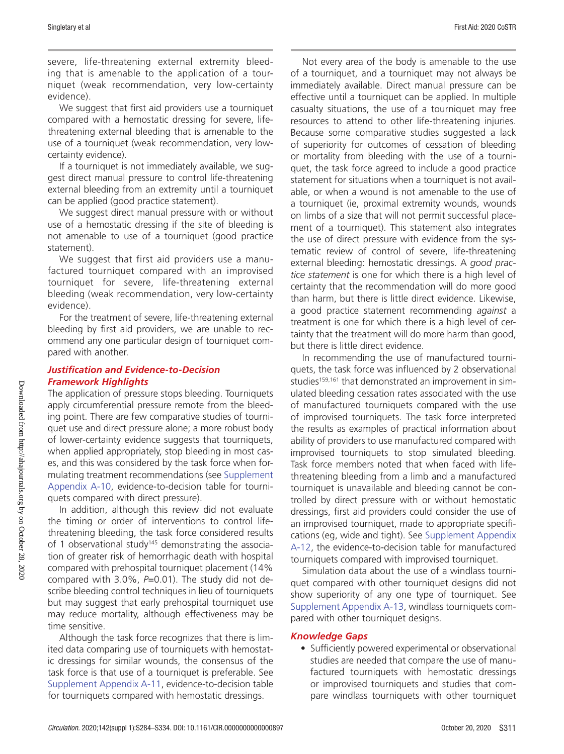severe, life-threatening external extremity bleeding that is amenable to the application of a tourniquet (weak recommendation, very low-certainty evidence).

We suggest that first aid providers use a tourniquet compared with a hemostatic dressing for severe, lifethreatening external bleeding that is amenable to the use of a tourniquet (weak recommendation, very lowcertainty evidence).

If a tourniquet is not immediately available, we suggest direct manual pressure to control life-threatening external bleeding from an extremity until a tourniquet can be applied (good practice statement).

We suggest direct manual pressure with or without use of a hemostatic dressing if the site of bleeding is not amenable to use of a tourniquet (good practice statement).

We suggest that first aid providers use a manufactured tourniquet compared with an improvised tourniquet for severe, life-threatening external bleeding (weak recommendation, very low-certainty evidence).

For the treatment of severe, life-threatening external bleeding by first aid providers, we are unable to recommend any one particular design of tourniquet compared with another.

### *Justification and Evidence-to-Decision Framework Highlights*

The application of pressure stops bleeding. Tourniquets apply circumferential pressure remote from the bleeding point. There are few comparative studies of tourniquet use and direct pressure alone; a more robust body of lower-certainty evidence suggests that tourniquets, when applied appropriately, stop bleeding in most cases, and this was considered by the task force when formulating treatment recommendations (see Supplement Appendix A-10, evidence-to-decision table for tourniquets compared with direct pressure).

In addition, although this review did not evaluate the timing or order of interventions to control lifethreatening bleeding, the task force considered results of 1 observational study<sup>145</sup> demonstrating the association of greater risk of hemorrhagic death with hospital compared with prehospital tourniquet placement (14% compared with 3.0%, *P*=0.01). The study did not describe bleeding control techniques in lieu of tourniquets but may suggest that early prehospital tourniquet use may reduce mortality, although effectiveness may be time sensitive.

Although the task force recognizes that there is limited data comparing use of tourniquets with hemostatic dressings for similar wounds, the consensus of the task force is that use of a tourniquet is preferable. See Supplement Appendix A-11, evidence-to-decision table for tourniquets compared with hemostatic dressings.

Not every area of the body is amenable to the use of a tourniquet, and a tourniquet may not always be immediately available. Direct manual pressure can be effective until a tourniquet can be applied. In multiple casualty situations, the use of a tourniquet may free resources to attend to other life-threatening injuries. Because some comparative studies suggested a lack of superiority for outcomes of cessation of bleeding or mortality from bleeding with the use of a tourniquet, the task force agreed to include a good practice statement for situations when a tourniquet is not available, or when a wound is not amenable to the use of a tourniquet (ie, proximal extremity wounds, wounds on limbs of a size that will not permit successful placement of a tourniquet). This statement also integrates the use of direct pressure with evidence from the systematic review of control of severe, life-threatening external bleeding: hemostatic dressings. A *good practice statement* is one for which there is a high level of certainty that the recommendation will do more good than harm, but there is little direct evidence. Likewise, a good practice statement recommending *against* a treatment is one for which there is a high level of certainty that the treatment will do more harm than good, but there is little direct evidence.

In recommending the use of manufactured tourniquets, the task force was influenced by 2 observational studies<sup>159,161</sup> that demonstrated an improvement in simulated bleeding cessation rates associated with the use of manufactured tourniquets compared with the use of improvised tourniquets. The task force interpreted the results as examples of practical information about ability of providers to use manufactured compared with improvised tourniquets to stop simulated bleeding. Task force members noted that when faced with lifethreatening bleeding from a limb and a manufactured tourniquet is unavailable and bleeding cannot be controlled by direct pressure with or without hemostatic dressings, first aid providers could consider the use of an improvised tourniquet, made to appropriate specifications (eg, wide and tight). See Supplement Appendix A-12, the evidence-to-decision table for manufactured tourniquets compared with improvised tourniquet.

Simulation data about the use of a windlass tourniquet compared with other tourniquet designs did not show superiority of any one type of tourniquet. See Supplement Appendix A-13, windlass tourniquets compared with other tourniquet designs.

### *Knowledge Gaps*

• Sufficiently powered experimental or observational studies are needed that compare the use of manufactured tourniquets with hemostatic dressings or improvised tourniquets and studies that compare windlass tourniquets with other tourniquet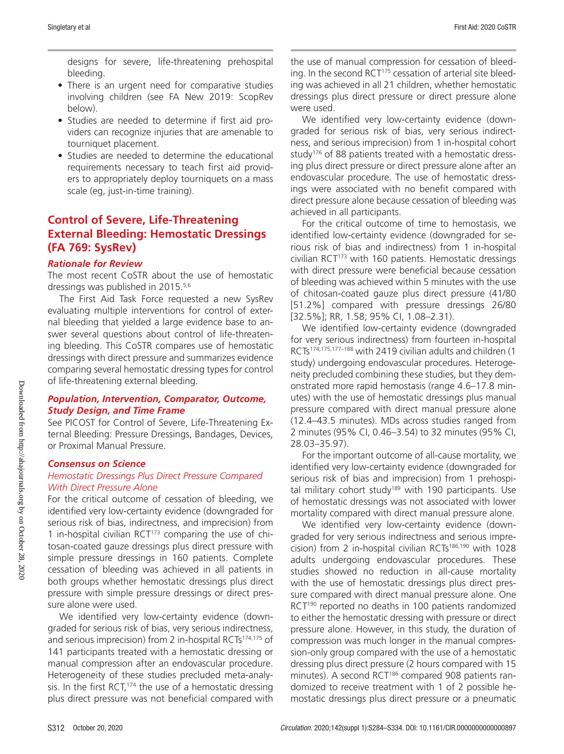designs for severe, life-threatening prehospital bleeding.

- There is an urgent need for comparative studies involving children (see FA New 2019: ScopRev below).
- Studies are needed to determine if first aid providers can recognize injuries that are amenable to tourniquet placement.
- Studies are needed to determine the educational requirements necessary to teach first aid providers to appropriately deploy tourniquets on a mass scale (eg, just-in-time training).

# **Control of Severe, Life-Threatening External Bleeding: Hemostatic Dressings (FA 769: SysRev)**

### *Rationale for Review*

The most recent CoSTR about the use of hemostatic dressings was published in 2015.5,6

The First Aid Task Force requested a new SysRev evaluating multiple interventions for control of external bleeding that yielded a large evidence base to answer several questions about control of life-threatening bleeding. This CoSTR compares use of hemostatic dressings with direct pressure and summarizes evidence comparing several hemostatic dressing types for control of life-threatening external bleeding.

### *Population, Intervention, Comparator, Outcome, Study Design, and Time Frame*

See PICOST for Control of Severe, Life-Threatening External Bleeding: Pressure Dressings, Bandages, Devices, or Proximal Manual Pressure.

### *Consensus on Science*

### *Hemostatic Dressings Plus Direct Pressure Compared With Direct Pressure Alone*

For the critical outcome of cessation of bleeding, we identified very low-certainty evidence (downgraded for serious risk of bias, indirectness, and imprecision) from 1 in-hospital civilian  $RCT^{173}$  comparing the use of chitosan-coated gauze dressings plus direct pressure with simple pressure dressings in 160 patients. Complete cessation of bleeding was achieved in all patients in both groups whether hemostatic dressings plus direct pressure with simple pressure dressings or direct pressure alone were used.

We identified very low-certainty evidence (downgraded for serious risk of bias, very serious indirectness, and serious imprecision) from 2 in-hospital RCTs<sup>174,175</sup> of 141 participants treated with a hemostatic dressing or manual compression after an endovascular procedure. Heterogeneity of these studies precluded meta-analysis. In the first RCT, $174$  the use of a hemostatic dressing plus direct pressure was not beneficial compared with

the use of manual compression for cessation of bleeding. In the second RCT<sup>175</sup> cessation of arterial site bleeding was achieved in all 21 children, whether hemostatic dressings plus direct pressure or direct pressure alone were used.

We identified very low-certainty evidence (downgraded for serious risk of bias, very serious indirectness, and serious imprecision) from 1 in-hospital cohort study<sup>176</sup> of 88 patients treated with a hemostatic dressing plus direct pressure or direct pressure alone after an endovascular procedure. The use of hemostatic dressings were associated with no benefit compared with direct pressure alone because cessation of bleeding was achieved in all participants.

For the critical outcome of time to hemostasis, we identified low-certainty evidence (downgraded for serious risk of bias and indirectness) from 1 in-hospital civilian RCT173 with 160 patients. Hemostatic dressings with direct pressure were beneficial because cessation of bleeding was achieved within 5 minutes with the use of chitosan-coated gauze plus direct pressure (41/80 [51.2%] compared with pressure dressings 26/80 [32.5%]; RR, 1.58; 95% CI, 1.08–2.31).

We identified low-certainty evidence (downgraded for very serious indirectness) from fourteen in-hospital RCTs174,175,177–188 with 2419 civilian adults and children (1 study) undergoing endovascular procedures. Heterogeneity precluded combining these studies, but they demonstrated more rapid hemostasis (range 4.6–17.8 minutes) with the use of hemostatic dressings plus manual pressure compared with direct manual pressure alone (12.4–43.5 minutes). MDs across studies ranged from 2 minutes (95% CI, 0.46–3.54) to 32 minutes (95% CI, 28.03–35.97).

For the important outcome of all-cause mortality, we identified very low-certainty evidence (downgraded for serious risk of bias and imprecision) from 1 prehospital military cohort study<sup>189</sup> with 190 participants. Use of hemostatic dressings was not associated with lower mortality compared with direct manual pressure alone.

We identified very low-certainty evidence (downgraded for very serious indirectness and serious imprecision) from 2 in-hospital civilian RCTs<sup>186,190</sup> with 1028 adults undergoing endovascular procedures. These studies showed no reduction in all-cause mortality with the use of hemostatic dressings plus direct pressure compared with direct manual pressure alone. One RCT<sup>190</sup> reported no deaths in 100 patients randomized to either the hemostatic dressing with pressure or direct pressure alone. However, in this study, the duration of compression was much longer in the manual compression-only group compared with the use of a hemostatic dressing plus direct pressure (2 hours compared with 15 minutes). A second RCT<sup>186</sup> compared 908 patients randomized to receive treatment with 1 of 2 possible hemostatic dressings plus direct pressure or a pneumatic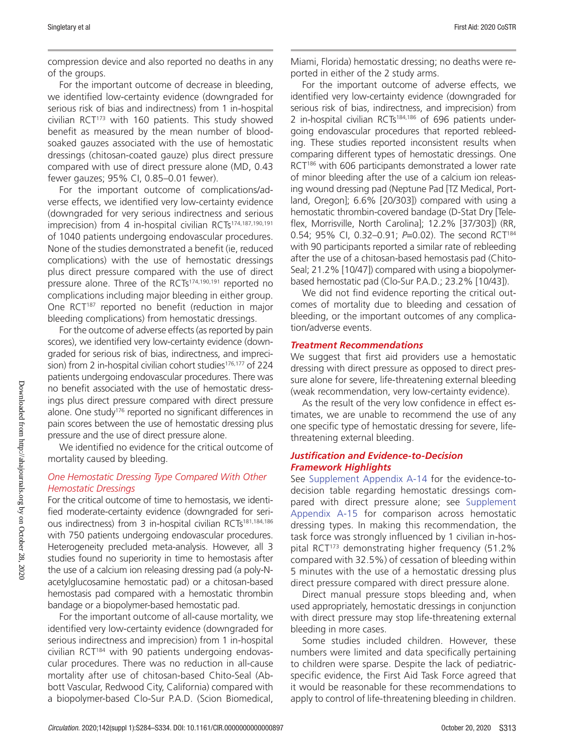compression device and also reported no deaths in any of the groups.

For the important outcome of decrease in bleeding, we identified low-certainty evidence (downgraded for serious risk of bias and indirectness) from 1 in-hospital civilian RCT<sup>173</sup> with 160 patients. This study showed benefit as measured by the mean number of bloodsoaked gauzes associated with the use of hemostatic dressings (chitosan-coated gauze) plus direct pressure compared with use of direct pressure alone (MD, 0.43 fewer gauzes; 95% CI, 0.85–0.01 fewer).

For the important outcome of complications/adverse effects, we identified very low-certainty evidence (downgraded for very serious indirectness and serious imprecision) from 4 in-hospital civilian RCTs<sup>174,187,190,191</sup> of 1040 patients undergoing endovascular procedures. None of the studies demonstrated a benefit (ie, reduced complications) with the use of hemostatic dressings plus direct pressure compared with the use of direct pressure alone. Three of the RCTs<sup>174,190,191</sup> reported no complications including major bleeding in either group. One RCT<sup>187</sup> reported no benefit (reduction in major bleeding complications) from hemostatic dressings.

For the outcome of adverse effects (as reported by pain scores), we identified very low-certainty evidence (downgraded for serious risk of bias, indirectness, and imprecision) from 2 in-hospital civilian cohort studies<sup>176,177</sup> of 224 patients undergoing endovascular procedures. There was no benefit associated with the use of hemostatic dressings plus direct pressure compared with direct pressure alone. One study<sup>176</sup> reported no significant differences in pain scores between the use of hemostatic dressing plus pressure and the use of direct pressure alone.

We identified no evidence for the critical outcome of mortality caused by bleeding.

### *One Hemostatic Dressing Type Compared With Other Hemostatic Dressings*

For the critical outcome of time to hemostasis, we identified moderate-certainty evidence (downgraded for serious indirectness) from 3 in-hospital civilian RCTs<sup>181,184,186</sup> with 750 patients undergoing endovascular procedures. Heterogeneity precluded meta-analysis. However, all 3 studies found no superiority in time to hemostasis after the use of a calcium ion releasing dressing pad (a poly-Nacetylglucosamine hemostatic pad) or a chitosan-based hemostasis pad compared with a hemostatic thrombin bandage or a biopolymer-based hemostatic pad.

For the important outcome of all-cause mortality, we identified very low-certainty evidence (downgraded for serious indirectness and imprecision) from 1 in-hospital civilian RCT184 with 90 patients undergoing endovascular procedures. There was no reduction in all-cause mortality after use of chitosan-based Chito-Seal (Abbott Vascular, Redwood City, California) compared with a biopolymer-based Clo-Sur P.A.D. (Scion Biomedical,

Miami, Florida) hemostatic dressing; no deaths were reported in either of the 2 study arms.

For the important outcome of adverse effects, we identified very low-certainty evidence (downgraded for serious risk of bias, indirectness, and imprecision) from 2 in-hospital civilian RCTs<sup>184,186</sup> of 696 patients undergoing endovascular procedures that reported rebleeding. These studies reported inconsistent results when comparing different types of hemostatic dressings. One RCT<sup>186</sup> with 606 participants demonstrated a lower rate of minor bleeding after the use of a calcium ion releasing wound dressing pad (Neptune Pad [TZ Medical, Portland, Oregon]; 6.6% [20/303]) compared with using a hemostatic thrombin-covered bandage (D-Stat Dry [Teleflex, Morrisville, North Carolina]; 12.2% [37/303]) (RR, 0.54; 95% CI, 0.32-0.91; *P*=0.02). The second RCT<sup>184</sup> with 90 participants reported a similar rate of rebleeding after the use of a chitosan-based hemostasis pad (Chito-Seal; 21.2% [10/47]) compared with using a biopolymerbased hemostatic pad (Clo-Sur P.A.D.; 23.2% [10/43]).

We did not find evidence reporting the critical outcomes of mortality due to bleeding and cessation of bleeding, or the important outcomes of any complication/adverse events.

### *Treatment Recommendations*

We suggest that first aid providers use a hemostatic dressing with direct pressure as opposed to direct pressure alone for severe, life-threatening external bleeding (weak recommendation, very low-certainty evidence).

As the result of the very low confidence in effect estimates, we are unable to recommend the use of any one specific type of hemostatic dressing for severe, lifethreatening external bleeding.

### *Justification and Evidence-to-Decision Framework Highlights*

See Supplement Appendix A-14 for the evidence-todecision table regarding hemostatic dressings compared with direct pressure alone; see Supplement Appendix A-15 for comparison across hemostatic dressing types. In making this recommendation, the task force was strongly influenced by 1 civilian in-hospital RCT<sup>173</sup> demonstrating higher frequency (51.2% compared with 32.5%) of cessation of bleeding within 5 minutes with the use of a hemostatic dressing plus direct pressure compared with direct pressure alone.

Direct manual pressure stops bleeding and, when used appropriately, hemostatic dressings in conjunction with direct pressure may stop life-threatening external bleeding in more cases.

Some studies included children. However, these numbers were limited and data specifically pertaining to children were sparse. Despite the lack of pediatricspecific evidence, the First Aid Task Force agreed that it would be reasonable for these recommendations to apply to control of life-threatening bleeding in children.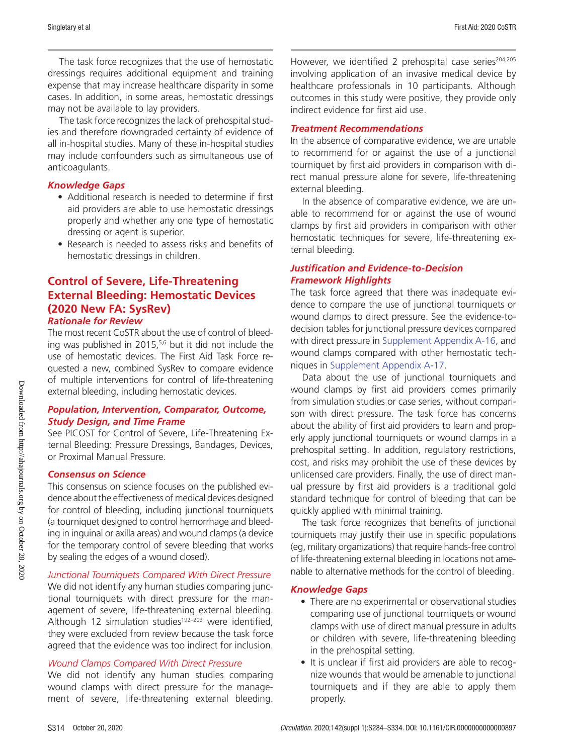The task force recognizes that the use of hemostatic dressings requires additional equipment and training expense that may increase healthcare disparity in some cases. In addition, in some areas, hemostatic dressings may not be available to lay providers.

The task force recognizes the lack of prehospital studies and therefore downgraded certainty of evidence of all in-hospital studies. Many of these in-hospital studies may include confounders such as simultaneous use of anticoagulants.

### *Knowledge Gaps*

- Additional research is needed to determine if first aid providers are able to use hemostatic dressings properly and whether any one type of hemostatic dressing or agent is superior.
- Research is needed to assess risks and benefits of hemostatic dressings in children.

### **Control of Severe, Life-Threatening External Bleeding: Hemostatic Devices (2020 New FA: SysRev)** *Rationale for Review*

The most recent CoSTR about the use of control of bleeding was published in 2015,<sup>5,6</sup> but it did not include the use of hemostatic devices. The First Aid Task Force requested a new, combined SysRev to compare evidence of multiple interventions for control of life-threatening external bleeding, including hemostatic devices.

### *Population, Intervention, Comparator, Outcome, Study Design, and Time Frame*

See PICOST for Control of Severe, Life-Threatening External Bleeding: Pressure Dressings, Bandages, Devices, or Proximal Manual Pressure.

### *Consensus on Science*

This consensus on science focuses on the published evidence about the effectiveness of medical devices designed for control of bleeding, including junctional tourniquets (a tourniquet designed to control hemorrhage and bleeding in inguinal or axilla areas) and wound clamps (a device for the temporary control of severe bleeding that works by sealing the edges of a wound closed).

### *Junctional Tourniquets Compared With Direct Pressure*

We did not identify any human studies comparing junctional tourniquets with direct pressure for the management of severe, life-threatening external bleeding. Although 12 simulation studies<sup>192-203</sup> were identified, they were excluded from review because the task force agreed that the evidence was too indirect for inclusion.

### *Wound Clamps Compared With Direct Pressure*

We did not identify any human studies comparing wound clamps with direct pressure for the management of severe, life-threatening external bleeding. However, we identified 2 prehospital case series<sup>204,205</sup> involving application of an invasive medical device by healthcare professionals in 10 participants. Although outcomes in this study were positive, they provide only indirect evidence for first aid use.

### *Treatment Recommendations*

In the absence of comparative evidence, we are unable to recommend for or against the use of a junctional tourniquet by first aid providers in comparison with direct manual pressure alone for severe, life-threatening external bleeding.

In the absence of comparative evidence, we are unable to recommend for or against the use of wound clamps by first aid providers in comparison with other hemostatic techniques for severe, life-threatening external bleeding.

### *Justification and Evidence-to-Decision Framework Highlights*

The task force agreed that there was inadequate evidence to compare the use of junctional tourniquets or wound clamps to direct pressure. See the evidence-todecision tables for junctional pressure devices compared with direct pressure in Supplement Appendix A-16, and wound clamps compared with other hemostatic techniques in Supplement Appendix A-17.

Data about the use of junctional tourniquets and wound clamps by first aid providers comes primarily from simulation studies or case series, without comparison with direct pressure. The task force has concerns about the ability of first aid providers to learn and properly apply junctional tourniquets or wound clamps in a prehospital setting. In addition, regulatory restrictions, cost, and risks may prohibit the use of these devices by unlicensed care providers. Finally, the use of direct manual pressure by first aid providers is a traditional gold standard technique for control of bleeding that can be quickly applied with minimal training.

The task force recognizes that benefits of junctional tourniquets may justify their use in specific populations (eg, military organizations) that require hands-free control of life-threatening external bleeding in locations not amenable to alternative methods for the control of bleeding.

### *Knowledge Gaps*

- There are no experimental or observational studies comparing use of junctional tourniquets or wound clamps with use of direct manual pressure in adults or children with severe, life-threatening bleeding in the prehospital setting.
- It is unclear if first aid providers are able to recognize wounds that would be amenable to junctional tourniquets and if they are able to apply them properly.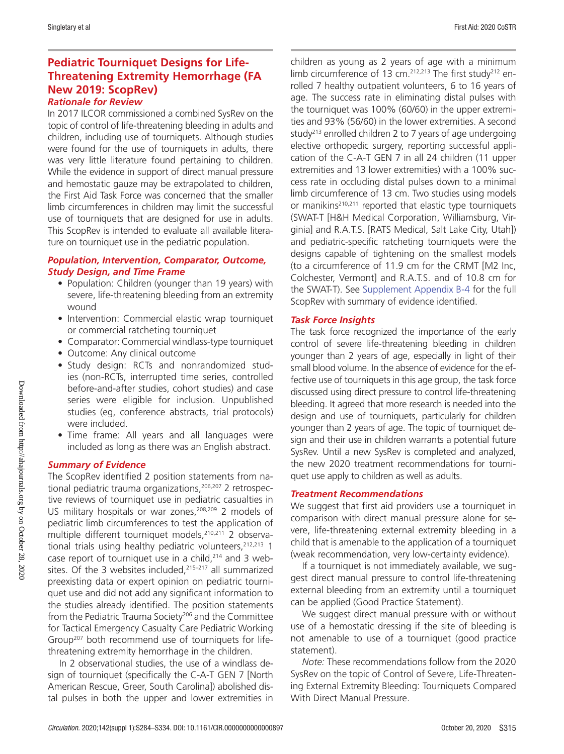### **Pediatric Tourniquet Designs for Life-Threatening Extremity Hemorrhage (FA New 2019: ScopRev)** *Rationale for Review*

In 2017 ILCOR commissioned a combined SysRev on the topic of control of life-threatening bleeding in adults and children, including use of tourniquets. Although studies were found for the use of tourniquets in adults, there was very little literature found pertaining to children. While the evidence in support of direct manual pressure and hemostatic gauze may be extrapolated to children, the First Aid Task Force was concerned that the smaller limb circumferences in children may limit the successful use of tourniquets that are designed for use in adults. This ScopRev is intended to evaluate all available literature on tourniquet use in the pediatric population.

#### *Population, Intervention, Comparator, Outcome, Study Design, and Time Frame*

- Population: Children (younger than 19 years) with severe, life-threatening bleeding from an extremity wound
- Intervention: Commercial elastic wrap tourniquet or commercial ratcheting tourniquet
- Comparator: Commercial windlass-type tourniquet
- Outcome: Any clinical outcome
- Study design: RCTs and nonrandomized studies (non-RCTs, interrupted time series, controlled before-and-after studies, cohort studies) and case series were eligible for inclusion. Unpublished studies (eg, conference abstracts, trial protocols) were included.
- Time frame: All years and all languages were included as long as there was an English abstract.

#### *Summary of Evidence*

The ScopRev identified 2 position statements from national pediatric trauma organizations,<sup>206,207</sup> 2 retrospective reviews of tourniquet use in pediatric casualties in US military hospitals or war zones,<sup>208,209</sup> 2 models of pediatric limb circumferences to test the application of multiple different tourniquet models,<sup>210,211</sup> 2 observational trials using healthy pediatric volunteers,  $212,213$  1 case report of tourniquet use in a child, $2^{14}$  and 3 websites. Of the 3 websites included, $215-217$  all summarized preexisting data or expert opinion on pediatric tourniquet use and did not add any significant information to the studies already identified. The position statements from the Pediatric Trauma Society<sup>206</sup> and the Committee for Tactical Emergency Casualty Care Pediatric Working Group207 both recommend use of tourniquets for lifethreatening extremity hemorrhage in the children.

In 2 observational studies, the use of a windlass design of tourniquet (specifically the C-A-T GEN 7 [North American Rescue, Greer, South Carolina]) abolished distal pulses in both the upper and lower extremities in

children as young as 2 years of age with a minimum limb circumference of 13 cm.<sup>212,213</sup> The first study<sup>212</sup> enrolled 7 healthy outpatient volunteers, 6 to 16 years of age. The success rate in eliminating distal pulses with the tourniquet was 100% (60/60) in the upper extremities and 93% (56/60) in the lower extremities. A second study<sup>213</sup> enrolled children 2 to 7 years of age undergoing elective orthopedic surgery, reporting successful application of the C-A-T GEN 7 in all 24 children (11 upper extremities and 13 lower extremities) with a 100% success rate in occluding distal pulses down to a minimal limb circumference of 13 cm. Two studies using models or manikins<sup>210,211</sup> reported that elastic type tourniquets (SWAT-T [H&H Medical Corporation, Williamsburg, Virginia] and R.A.T.S. [RATS Medical, Salt Lake City, Utah]) and pediatric-specific ratcheting tourniquets were the designs capable of tightening on the smallest models (to a circumference of 11.9 cm for the CRMT [M2 Inc, Colchester, Vermont] and R.A.T.S. and of 10.8 cm for the SWAT-T). See Supplement Appendix B-4 for the full ScopRev with summary of evidence identified.

#### *Task Force Insights*

The task force recognized the importance of the early control of severe life-threatening bleeding in children younger than 2 years of age, especially in light of their small blood volume. In the absence of evidence for the effective use of tourniquets in this age group, the task force discussed using direct pressure to control life-threatening bleeding. It agreed that more research is needed into the design and use of tourniquets, particularly for children younger than 2 years of age. The topic of tourniquet design and their use in children warrants a potential future SysRev. Until a new SysRev is completed and analyzed, the new 2020 treatment recommendations for tourniquet use apply to children as well as adults.

#### *Treatment Recommendations*

We suggest that first aid providers use a tourniquet in comparison with direct manual pressure alone for severe, life-threatening external extremity bleeding in a child that is amenable to the application of a tourniquet (weak recommendation, very low-certainty evidence).

If a tourniquet is not immediately available, we suggest direct manual pressure to control life-threatening external bleeding from an extremity until a tourniquet can be applied (Good Practice Statement).

We suggest direct manual pressure with or without use of a hemostatic dressing if the site of bleeding is not amenable to use of a tourniquet (good practice statement).

*Note:* These recommendations follow from the 2020 SysRev on the topic of Control of Severe, Life-Threatening External Extremity Bleeding: Tourniquets Compared With Direct Manual Pressure.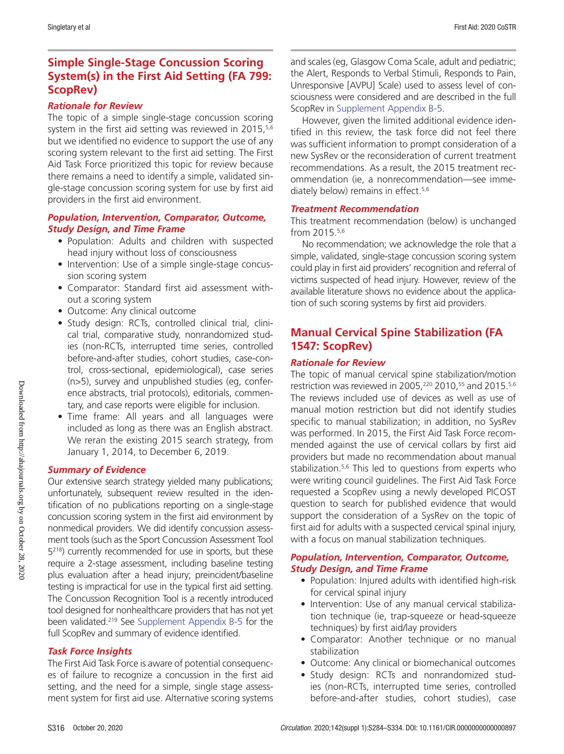# **Simple Single-Stage Concussion Scoring System(s) in the First Aid Setting (FA 799: ScopRev)**

### *Rationale for Review*

The topic of a simple single-stage concussion scoring system in the first aid setting was reviewed in 2015,<sup>5,6</sup> but we identified no evidence to support the use of any scoring system relevant to the first aid setting. The First Aid Task Force prioritized this topic for review because there remains a need to identify a simple, validated single-stage concussion scoring system for use by first aid providers in the first aid environment.

### *Population, Intervention, Comparator, Outcome, Study Design, and Time Frame*

- Population: Adults and children with suspected head injury without loss of consciousness
- Intervention: Use of a simple single-stage concussion scoring system
- Comparator: Standard first aid assessment without a scoring system
- Outcome: Any clinical outcome
- Study design: RCTs, controlled clinical trial, clinical trial, comparative study, nonrandomized studies (non-RCTs, interrupted time series, controlled before-and-after studies, cohort studies, case-control, cross-sectional, epidemiological), case series (n>5), survey and unpublished studies (eg, conference abstracts, trial protocols), editorials, commentary, and case reports were eligible for inclusion.
- Time frame: All years and all languages were included as long as there was an English abstract. We reran the existing 2015 search strategy, from January 1, 2014, to December 6, 2019.

### *Summary of Evidence*

Our extensive search strategy yielded many publications; unfortunately, subsequent review resulted in the identification of no publications reporting on a single-stage concussion scoring system in the first aid environment by nonmedical providers. We did identify concussion assessment tools (such as the Sport Concussion Assessment Tool 5218) currently recommended for use in sports, but these require a 2-stage assessment, including baseline testing plus evaluation after a head injury; preincident/baseline testing is impractical for use in the typical first aid setting. The Concussion Recognition Tool is a recently introduced tool designed for nonhealthcare providers that has not yet been validated.219 See Supplement Appendix B-5 for the full ScopRev and summary of evidence identified.

### *Task Force Insights*

The First Aid Task Force is aware of potential consequences of failure to recognize a concussion in the first aid setting, and the need for a simple, single stage assessment system for first aid use. Alternative scoring systems and scales (eg, Glasgow Coma Scale, adult and pediatric; the Alert, Responds to Verbal Stimuli, Responds to Pain, Unresponsive [AVPU] Scale) used to assess level of consciousness were considered and are described in the full ScopRev in Supplement Appendix B-5.

However, given the limited additional evidence identified in this review, the task force did not feel there was sufficient information to prompt consideration of a new SysRev or the reconsideration of current treatment recommendations. As a result, the 2015 treatment recommendation (ie, a nonrecommendation—see immediately below) remains in effect.<sup>5,6</sup>

### *Treatment Recommendation*

This treatment recommendation (below) is unchanged from 2015.5,6

No recommendation; we acknowledge the role that a simple, validated, single-stage concussion scoring system could play in first aid providers' recognition and referral of victims suspected of head injury. However, review of the available literature shows no evidence about the application of such scoring systems by first aid providers.

# **Manual Cervical Spine Stabilization (FA 1547: ScopRev)**

### *Rationale for Review*

The topic of manual cervical spine stabilization/motion restriction was reviewed in 2005,<sup>220</sup> 2010,<sup>55</sup> and 2015.<sup>5,6</sup> The reviews included use of devices as well as use of manual motion restriction but did not identify studies specific to manual stabilization; in addition, no SysRev was performed. In 2015, the First Aid Task Force recommended against the use of cervical collars by first aid providers but made no recommendation about manual stabilization.<sup>5,6</sup> This led to questions from experts who were writing council guidelines. The First Aid Task Force requested a ScopRev using a newly developed PICOST question to search for published evidence that would support the consideration of a SysRev on the topic of first aid for adults with a suspected cervical spinal injury, with a focus on manual stabilization techniques.

### *Population, Intervention, Comparator, Outcome, Study Design, and Time Frame*

- Population: Injured adults with identified high-risk for cervical spinal injury
- Intervention: Use of any manual cervical stabilization technique (ie, trap-squeeze or head-squeeze techniques) by first aid/lay providers
- Comparator: Another technique or no manual stabilization
- Outcome: Any clinical or biomechanical outcomes
- Study design: RCTs and nonrandomized studies (non-RCTs, interrupted time series, controlled before-and-after studies, cohort studies), case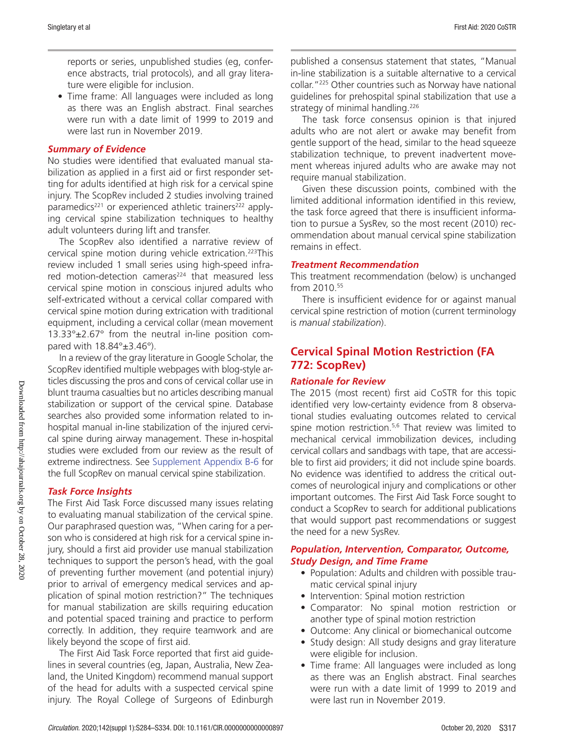reports or series, unpublished studies (eg, conference abstracts, trial protocols), and all gray literature were eligible for inclusion.

• Time frame: All languages were included as long as there was an English abstract. Final searches were run with a date limit of 1999 to 2019 and were last run in November 2019.

#### *Summary of Evidence*

No studies were identified that evaluated manual stabilization as applied in a first aid or first responder setting for adults identified at high risk for a cervical spine injury. The ScopRev included 2 studies involving trained paramedics<sup>221</sup> or experienced athletic trainers<sup>222</sup> applying cervical spine stabilization techniques to healthy adult volunteers during lift and transfer.

The ScopRev also identified a narrative review of cervical spine motion during vehicle extrication.223This review included 1 small series using high-speed infrared motion-detection cameras<sup>224</sup> that measured less cervical spine motion in conscious injured adults who self-extricated without a cervical collar compared with cervical spine motion during extrication with traditional equipment, including a cervical collar (mean movement 13.33°±2.67° from the neutral in-line position compared with 18.84°±3.46°).

In a review of the gray literature in Google Scholar, the ScopRev identified multiple webpages with blog-style articles discussing the pros and cons of cervical collar use in blunt trauma casualties but no articles describing manual stabilization or support of the cervical spine. Database searches also provided some information related to inhospital manual in-line stabilization of the injured cervical spine during airway management. These in-hospital studies were excluded from our review as the result of extreme indirectness. See Supplement Appendix B-6 for the full ScopRev on manual cervical spine stabilization.

#### *Task Force Insights*

The First Aid Task Force discussed many issues relating to evaluating manual stabilization of the cervical spine. Our paraphrased question was, "When caring for a person who is considered at high risk for a cervical spine injury, should a first aid provider use manual stabilization techniques to support the person's head, with the goal of preventing further movement (and potential injury) prior to arrival of emergency medical services and application of spinal motion restriction?" The techniques for manual stabilization are skills requiring education and potential spaced training and practice to perform correctly. In addition, they require teamwork and are likely beyond the scope of first aid.

The First Aid Task Force reported that first aid guidelines in several countries (eg, Japan, Australia, New Zealand, the United Kingdom) recommend manual support of the head for adults with a suspected cervical spine injury. The Royal College of Surgeons of Edinburgh

published a consensus statement that states, "Manual in-line stabilization is a suitable alternative to a cervical collar."225 Other countries such as Norway have national guidelines for prehospital spinal stabilization that use a strategy of minimal handling.<sup>226</sup>

The task force consensus opinion is that injured adults who are not alert or awake may benefit from gentle support of the head, similar to the head squeeze stabilization technique, to prevent inadvertent movement whereas injured adults who are awake may not require manual stabilization.

Given these discussion points, combined with the limited additional information identified in this review, the task force agreed that there is insufficient information to pursue a SysRev, so the most recent (2010) recommendation about manual cervical spine stabilization remains in effect.

#### *Treatment Recommendation*

This treatment recommendation (below) is unchanged from 2010.55

There is insufficient evidence for or against manual cervical spine restriction of motion (current terminology is *manual stabilization*).

# **Cervical Spinal Motion Restriction (FA 772: ScopRev)**

#### *Rationale for Review*

The 2015 (most recent) first aid CoSTR for this topic identified very low-certainty evidence from 8 observational studies evaluating outcomes related to cervical spine motion restriction.5,6 That review was limited to mechanical cervical immobilization devices, including cervical collars and sandbags with tape, that are accessible to first aid providers; it did not include spine boards. No evidence was identified to address the critical outcomes of neurological injury and complications or other important outcomes. The First Aid Task Force sought to conduct a ScopRev to search for additional publications that would support past recommendations or suggest the need for a new SysRev.

#### *Population, Intervention, Comparator, Outcome, Study Design, and Time Frame*

- Population: Adults and children with possible traumatic cervical spinal injury
- Intervention: Spinal motion restriction
- Comparator: No spinal motion restriction or another type of spinal motion restriction
- Outcome: Any clinical or biomechanical outcome
- Study design: All study designs and gray literature were eligible for inclusion.
- Time frame: All languages were included as long as there was an English abstract. Final searches were run with a date limit of 1999 to 2019 and were last run in November 2019.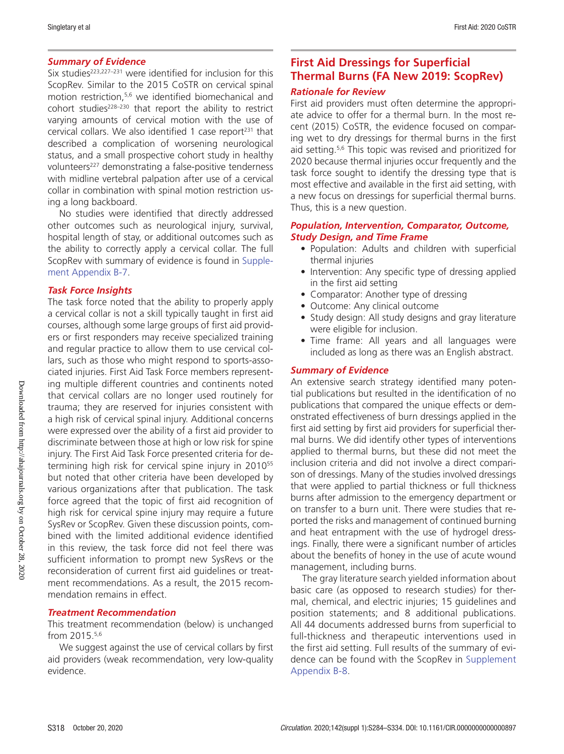#### *Summary of Evidence*

Six studies<sup>223,227-231</sup> were identified for inclusion for this ScopRev. Similar to the 2015 CoSTR on cervical spinal motion restriction,5,6 we identified biomechanical and cohort studies $228-230$  that report the ability to restrict varying amounts of cervical motion with the use of cervical collars. We also identified 1 case report $231$  that described a complication of worsening neurological status, and a small prospective cohort study in healthy volunteers<sup>227</sup> demonstrating a false-positive tenderness with midline vertebral palpation after use of a cervical collar in combination with spinal motion restriction using a long backboard.

No studies were identified that directly addressed other outcomes such as neurological injury, survival, hospital length of stay, or additional outcomes such as the ability to correctly apply a cervical collar. The full ScopRev with summary of evidence is found in Supplement Appendix B-7.

### *Task Force Insights*

The task force noted that the ability to properly apply a cervical collar is not a skill typically taught in first aid courses, although some large groups of first aid providers or first responders may receive specialized training and regular practice to allow them to use cervical collars, such as those who might respond to sports-associated injuries. First Aid Task Force members representing multiple different countries and continents noted that cervical collars are no longer used routinely for trauma; they are reserved for injuries consistent with a high risk of cervical spinal injury. Additional concerns were expressed over the ability of a first aid provider to discriminate between those at high or low risk for spine injury. The First Aid Task Force presented criteria for determining high risk for cervical spine injury in 2010<sup>55</sup> but noted that other criteria have been developed by various organizations after that publication. The task force agreed that the topic of first aid recognition of high risk for cervical spine injury may require a future SysRev or ScopRev. Given these discussion points, combined with the limited additional evidence identified in this review, the task force did not feel there was sufficient information to prompt new SysRevs or the reconsideration of current first aid guidelines or treatment recommendations. As a result, the 2015 recommendation remains in effect.

#### *Treatment Recommendation*

This treatment recommendation (below) is unchanged from 2015.5,6

We suggest against the use of cervical collars by first aid providers (weak recommendation, very low-quality evidence.

# **First Aid Dressings for Superficial Thermal Burns (FA New 2019: ScopRev)**

### *Rationale for Review*

First aid providers must often determine the appropriate advice to offer for a thermal burn. In the most recent (2015) CoSTR, the evidence focused on comparing wet to dry dressings for thermal burns in the first aid setting.5,6 This topic was revised and prioritized for 2020 because thermal injuries occur frequently and the task force sought to identify the dressing type that is most effective and available in the first aid setting, with a new focus on dressings for superficial thermal burns. Thus, this is a new question.

### *Population, Intervention, Comparator, Outcome, Study Design, and Time Frame*

- Population: Adults and children with superficial thermal injuries
- Intervention: Any specific type of dressing applied in the first aid setting
- Comparator: Another type of dressing
- Outcome: Any clinical outcome
- Study design: All study designs and gray literature were eligible for inclusion.
- Time frame: All years and all languages were included as long as there was an English abstract.

### *Summary of Evidence*

An extensive search strategy identified many potential publications but resulted in the identification of no publications that compared the unique effects or demonstrated effectiveness of burn dressings applied in the first aid setting by first aid providers for superficial thermal burns. We did identify other types of interventions applied to thermal burns, but these did not meet the inclusion criteria and did not involve a direct comparison of dressings. Many of the studies involved dressings that were applied to partial thickness or full thickness burns after admission to the emergency department or on transfer to a burn unit. There were studies that reported the risks and management of continued burning and heat entrapment with the use of hydrogel dressings. Finally, there were a significant number of articles about the benefits of honey in the use of acute wound management, including burns.

The gray literature search yielded information about basic care (as opposed to research studies) for thermal, chemical, and electric injuries; 15 guidelines and position statements; and 8 additional publications. All 44 documents addressed burns from superficial to full-thickness and therapeutic interventions used in the first aid setting. Full results of the summary of evidence can be found with the ScopRev in Supplement Appendix B-8.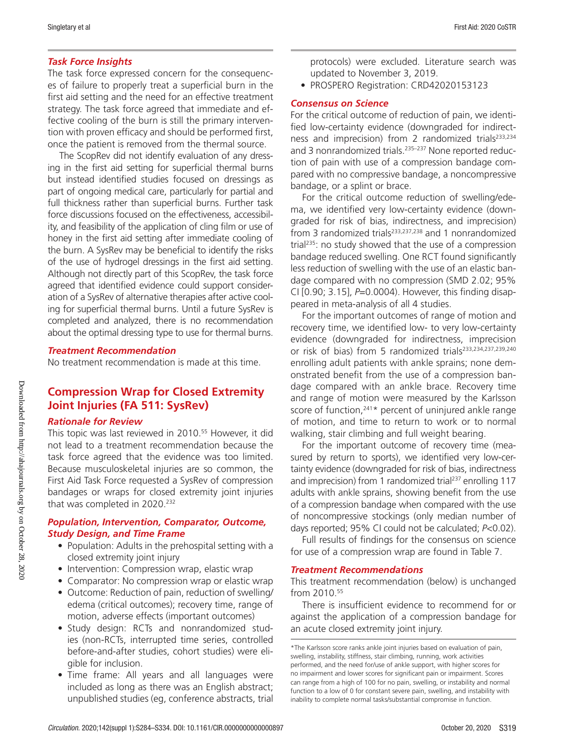#### *Task Force Insights*

The task force expressed concern for the consequences of failure to properly treat a superficial burn in the first aid setting and the need for an effective treatment strategy. The task force agreed that immediate and effective cooling of the burn is still the primary intervention with proven efficacy and should be performed first, once the patient is removed from the thermal source.

The ScopRev did not identify evaluation of any dressing in the first aid setting for superficial thermal burns but instead identified studies focused on dressings as part of ongoing medical care, particularly for partial and full thickness rather than superficial burns. Further task force discussions focused on the effectiveness, accessibility, and feasibility of the application of cling film or use of honey in the first aid setting after immediate cooling of the burn. A SysRev may be beneficial to identify the risks of the use of hydrogel dressings in the first aid setting. Although not directly part of this ScopRev, the task force agreed that identified evidence could support consideration of a SysRev of alternative therapies after active cooling for superficial thermal burns. Until a future SysRev is completed and analyzed, there is no recommendation about the optimal dressing type to use for thermal burns.

#### *Treatment Recommendation*

No treatment recommendation is made at this time.

# **Compression Wrap for Closed Extremity Joint Injuries (FA 511: SysRev)**

#### *Rationale for Review*

This topic was last reviewed in 2010.<sup>55</sup> However, it did not lead to a treatment recommendation because the task force agreed that the evidence was too limited. Because musculoskeletal injuries are so common, the First Aid Task Force requested a SysRev of compression bandages or wraps for closed extremity joint injuries that was completed in 2020.<sup>232</sup>

### *Population, Intervention, Comparator, Outcome, Study Design, and Time Frame*

- Population: Adults in the prehospital setting with a closed extremity joint injury
- Intervention: Compression wrap, elastic wrap
- Comparator: No compression wrap or elastic wrap
- Outcome: Reduction of pain, reduction of swelling/ edema (critical outcomes); recovery time, range of motion, adverse effects (important outcomes)
- Study design: RCTs and nonrandomized studies (non-RCTs, interrupted time series, controlled before-and-after studies, cohort studies) were eligible for inclusion.
- Time frame: All years and all languages were included as long as there was an English abstract; unpublished studies (eg, conference abstracts, trial

protocols) were excluded. Literature search was updated to November 3, 2019.

• PROSPERO Registration: CRD42020153123

### *Consensus on Science*

For the critical outcome of reduction of pain, we identified low-certainty evidence (downgraded for indirectness and imprecision) from 2 randomized trials<sup>233,234</sup> and 3 nonrandomized trials.<sup>235-237</sup> None reported reduction of pain with use of a compression bandage compared with no compressive bandage, a noncompressive bandage, or a splint or brace.

For the critical outcome reduction of swelling/edema, we identified very low-certainty evidence (downgraded for risk of bias, indirectness, and imprecision) from 3 randomized trials<sup>233,237,238</sup> and 1 nonrandomized trial235: no study showed that the use of a compression bandage reduced swelling. One RCT found significantly less reduction of swelling with the use of an elastic bandage compared with no compression (SMD 2.02; 95% CI [0.90; 3.15], *P*=0.0004). However, this finding disappeared in meta-analysis of all 4 studies.

For the important outcomes of range of motion and recovery time, we identified low- to very low-certainty evidence (downgraded for indirectness, imprecision or risk of bias) from 5 randomized trials<sup>233,234,237,239,240</sup> enrolling adult patients with ankle sprains; none demonstrated benefit from the use of a compression bandage compared with an ankle brace. Recovery time and range of motion were measured by the Karlsson score of function,  $241*$  percent of uninjured ankle range of motion, and time to return to work or to normal walking, stair climbing and full weight bearing.

For the important outcome of recovery time (measured by return to sports), we identified very low-certainty evidence (downgraded for risk of bias, indirectness and imprecision) from 1 randomized trial<sup>237</sup> enrolling 117 adults with ankle sprains, showing benefit from the use of a compression bandage when compared with the use of noncompressive stockings (only median number of days reported; 95% CI could not be calculated; *P*<0.02).

Full results of findings for the consensus on science for use of a compression wrap are found in Table 7.

#### *Treatment Recommendations*

This treatment recommendation (below) is unchanged from 2010.<sup>55</sup>

There is insufficient evidence to recommend for or against the application of a compression bandage for an acute closed extremity joint injury.

<sup>\*</sup>The Karlsson score ranks ankle joint injuries based on evaluation of pain, swelling, instability, stiffness, stair climbing, running, work activities performed, and the need for/use of ankle support, with higher scores for no impairment and lower scores for significant pain or impairment. Scores can range from a high of 100 for no pain, swelling, or instability and normal function to a low of 0 for constant severe pain, swelling, and instability with inability to complete normal tasks/substantial compromise in function.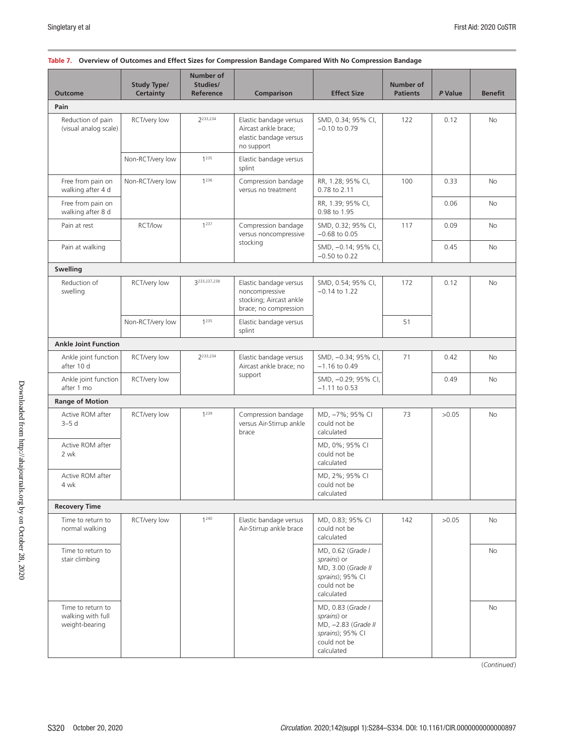#### **Table 7. Overview of Outcomes and Effect Sizes for Compression Bandage Compared With No Compression Bandage**

|                                                          |                                 | Number of             |                                                                                              |                                                                                                           |                              |         |                |
|----------------------------------------------------------|---------------------------------|-----------------------|----------------------------------------------------------------------------------------------|-----------------------------------------------------------------------------------------------------------|------------------------------|---------|----------------|
| <b>Outcome</b>                                           | Study Type/<br><b>Certainty</b> | Studies/<br>Reference |                                                                                              | <b>Effect Size</b>                                                                                        | Number of<br><b>Patients</b> | P Value | <b>Benefit</b> |
|                                                          |                                 |                       | Comparison                                                                                   |                                                                                                           |                              |         |                |
| Pain                                                     |                                 |                       |                                                                                              |                                                                                                           |                              |         |                |
| Reduction of pain<br>(visual analog scale)               | RCT/very low                    | 2233,234              | Elastic bandage versus<br>Aircast ankle brace;<br>elastic bandage versus<br>no support       | SMD, 0.34; 95% CI,<br>$-0.10$ to 0.79                                                                     | 122                          | 0.12    | No             |
|                                                          | Non-RCT/very low                | 1235                  | Elastic bandage versus<br>splint                                                             |                                                                                                           |                              |         |                |
| Free from pain on<br>walking after 4 d                   | Non-RCT/very low                | 1236                  | Compression bandage<br>versus no treatment                                                   | RR, 1.28; 95% CI,<br>0.78 to 2.11                                                                         | 100                          | 0.33    | No             |
| Free from pain on<br>walking after 8 d                   |                                 |                       |                                                                                              | RR, 1.39; 95% CI,<br>0.98 to 1.95                                                                         |                              | 0.06    | No             |
| Pain at rest                                             | RCT/low                         | 1 <sup>237</sup>      | Compression bandage<br>versus noncompressive                                                 | SMD, 0.32; 95% CI,<br>$-0.68$ to $0.05$                                                                   | 117                          | 0.09    | <b>No</b>      |
| Pain at walking                                          |                                 |                       | stocking                                                                                     | SMD, -0.14; 95% CI,<br>$-0.50$ to 0.22                                                                    |                              | 0.45    | No             |
| <b>Swelling</b>                                          |                                 |                       |                                                                                              |                                                                                                           |                              |         |                |
| Reduction of<br>swelling                                 | RCT/very low                    | 3233,237,238          | Elastic bandage versus<br>noncompressive<br>stocking; Aircast ankle<br>brace; no compression | SMD, 0.54; 95% CI,<br>$-0.14$ to 1.22                                                                     | 172                          | 0.12    | No             |
|                                                          | Non-RCT/very low                | 1235                  | Elastic bandage versus<br>splint                                                             |                                                                                                           | 51                           |         |                |
| <b>Ankle Joint Function</b>                              |                                 |                       |                                                                                              |                                                                                                           |                              |         |                |
| Ankle joint function<br>after 10 d                       | RCT/very low                    | 2233,234              | Elastic bandage versus<br>Aircast ankle brace; no                                            | SMD, -0.34; 95% CI,<br>$-1.16$ to 0.49                                                                    | 71                           | 0.42    | <b>No</b>      |
| Ankle joint function<br>after 1 mo                       | RCT/very low                    |                       | support                                                                                      | SMD, -0.29; 95% CI,<br>$-1.11$ to 0.53                                                                    |                              | 0.49    | No             |
| <b>Range of Motion</b>                                   |                                 |                       |                                                                                              |                                                                                                           |                              |         |                |
| Active ROM after<br>$3-5d$                               | RCT/very low                    | 1239                  | Compression bandage<br>versus Air-Stirrup ankle<br>brace                                     | MD, -7%; 95% CI<br>could not be<br>calculated                                                             | 73                           | >0.05   | <b>No</b>      |
| Active ROM after<br>2 wk                                 |                                 |                       |                                                                                              | MD, 0%; 95% CI<br>could not be<br>calculated                                                              |                              |         |                |
| Active ROM after<br>4 wk                                 |                                 |                       |                                                                                              | MD, 2%; 95% CI<br>could not be<br>calculated                                                              |                              |         |                |
| <b>Recovery Time</b>                                     |                                 |                       |                                                                                              |                                                                                                           |                              |         |                |
| Time to return to<br>normal walking                      | RCT/very low                    | 1240                  | Elastic bandage versus<br>Air-Stirrup ankle brace                                            | MD, 0.83; 95% CI<br>could not be<br>calculated                                                            | 142                          | >0.05   | <b>No</b>      |
| Time to return to<br>stair climbing                      |                                 |                       |                                                                                              | MD, 0.62 (Grade I<br>sprains) or<br>MD, 3.00 (Grade II<br>sprains); 95% CI<br>could not be<br>calculated  |                              |         | <b>No</b>      |
| Time to return to<br>walking with full<br>weight-bearing |                                 |                       |                                                                                              | MD, 0.83 (Grade I<br>sprains) or<br>MD, -2.83 (Grade II<br>sprains); 95% CI<br>could not be<br>calculated |                              |         | <b>No</b>      |

(*Continued*)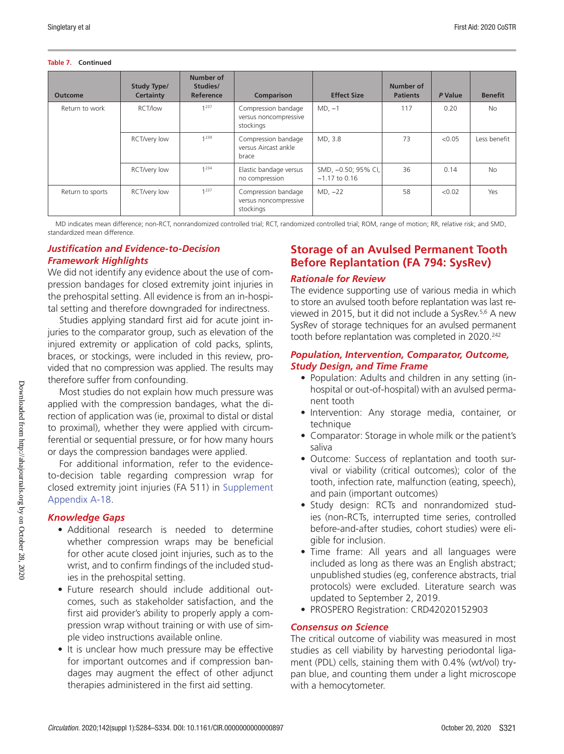#### **Table 7. Continued**

| <b>Outcome</b>   | Study Type/<br><b>Certainty</b> | Number of<br>Studies/<br>Reference | Comparison                                                | <b>Effect Size</b>                     | Number of<br><b>Patients</b> | P Value | <b>Benefit</b> |
|------------------|---------------------------------|------------------------------------|-----------------------------------------------------------|----------------------------------------|------------------------------|---------|----------------|
| Return to work   | RCT/low                         | 1 <sup>237</sup>                   | Compression bandage<br>versus noncompressive<br>stockings | $MD, -1$                               | 117                          | 0.20    | <b>No</b>      |
|                  | RCT/very low                    | 1239                               | Compression bandage<br>versus Aircast ankle<br>brace      | MD, 3.8                                | 73                           | < 0.05  | Less benefit   |
|                  | RCT/very low                    | 1234                               | Elastic bandage versus<br>no compression                  | SMD, -0.50; 95% CI,<br>$-1.17$ to 0.16 | 36                           | 0.14    | <b>No</b>      |
| Return to sports | RCT/very low                    | 1237                               | Compression bandage<br>versus noncompressive<br>stockings | $MD, -22$                              | 58                           | < 0.02  | Yes            |

MD indicates mean difference; non-RCT, nonrandomized controlled trial; RCT, randomized controlled trial; ROM, range of motion; RR, relative risk; and SMD, standardized mean difference.

### *Justification and Evidence-to-Decision Framework Highlights*

We did not identify any evidence about the use of compression bandages for closed extremity joint injuries in the prehospital setting. All evidence is from an in-hospital setting and therefore downgraded for indirectness.

Studies applying standard first aid for acute joint injuries to the comparator group, such as elevation of the injured extremity or application of cold packs, splints, braces, or stockings, were included in this review, provided that no compression was applied. The results may therefore suffer from confounding.

Most studies do not explain how much pressure was applied with the compression bandages, what the direction of application was (ie, proximal to distal or distal to proximal), whether they were applied with circumferential or sequential pressure, or for how many hours or days the compression bandages were applied.

For additional information, refer to the evidenceto-decision table regarding compression wrap for closed extremity joint injuries (FA 511) in Supplement Appendix A-18.

### *Knowledge Gaps*

- Additional research is needed to determine whether compression wraps may be beneficial for other acute closed joint injuries, such as to the wrist, and to confirm findings of the included studies in the prehospital setting.
- Future research should include additional outcomes, such as stakeholder satisfaction, and the first aid provider's ability to properly apply a compression wrap without training or with use of simple video instructions available online.
- It is unclear how much pressure may be effective for important outcomes and if compression bandages may augment the effect of other adjunct therapies administered in the first aid setting.

# **Storage of an Avulsed Permanent Tooth Before Replantation (FA 794: SysRev)**

### *Rationale for Review*

The evidence supporting use of various media in which to store an avulsed tooth before replantation was last reviewed in 2015, but it did not include a SysRev.<sup>5,6</sup> A new SysRev of storage techniques for an avulsed permanent tooth before replantation was completed in 2020.<sup>242</sup>

### *Population, Intervention, Comparator, Outcome, Study Design, and Time Frame*

- Population: Adults and children in any setting (inhospital or out-of-hospital) with an avulsed permanent tooth
- Intervention: Any storage media, container, or technique
- Comparator: Storage in whole milk or the patient's saliva
- Outcome: Success of replantation and tooth survival or viability (critical outcomes); color of the tooth, infection rate, malfunction (eating, speech), and pain (important outcomes)
- Study design: RCTs and nonrandomized studies (non-RCTs, interrupted time series, controlled before-and-after studies, cohort studies) were eligible for inclusion.
- Time frame: All years and all languages were included as long as there was an English abstract; unpublished studies (eg, conference abstracts, trial protocols) were excluded. Literature search was updated to September 2, 2019.
- PROSPERO Registration: CRD42020152903

### *Consensus on Science*

The critical outcome of viability was measured in most studies as cell viability by harvesting periodontal ligament (PDL) cells, staining them with 0.4% (wt/vol) trypan blue, and counting them under a light microscope with a hemocytometer.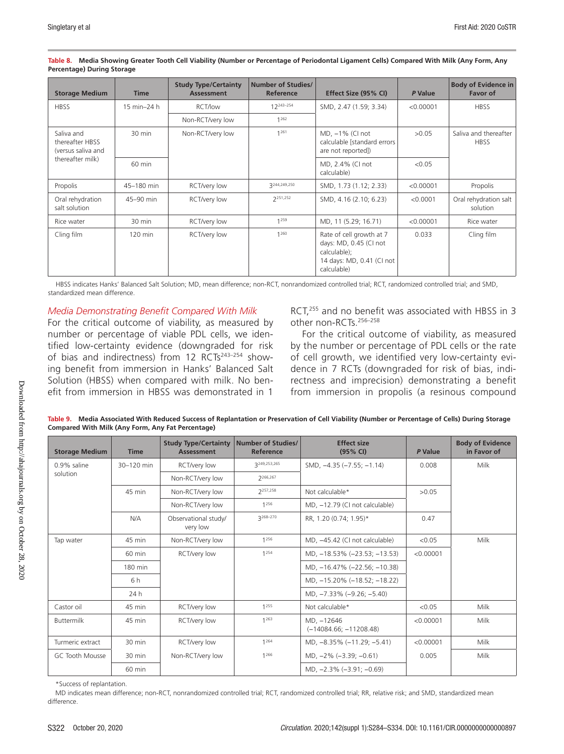| <b>Storage Medium</b>                               | <b>Time</b>       | <b>Study Type/Certainty</b><br><b>Assessment</b> | <b>Number of Studies/</b><br>Reference | Effect Size (95% CI)                                                                                           | P Value   | <b>Body of Evidence in</b><br><b>Favor of</b> |
|-----------------------------------------------------|-------------------|--------------------------------------------------|----------------------------------------|----------------------------------------------------------------------------------------------------------------|-----------|-----------------------------------------------|
| <b>HBSS</b>                                         | 15 min-24 h       | RCT/low                                          | 1 2 2 4 3 - 2 5 4                      | SMD, 2.47 (1.59; 3.34)                                                                                         | < 0.00001 | <b>HBSS</b>                                   |
|                                                     |                   | Non-RCT/very low                                 | 1262                                   |                                                                                                                |           |                                               |
| Saliva and<br>thereafter HBSS<br>(versus saliva and | 30 min            | Non-RCT/very low                                 | 1261                                   | $MD, -1\%$ (CI not<br>calculable [standard errors<br>are not reported])                                        | >0.05     | Saliva and thereafter<br><b>HBSS</b>          |
| thereafter milk)                                    | 60 min            |                                                  |                                        | MD, 2.4% (CI not<br>calculable)                                                                                | < 0.05    |                                               |
| Propolis                                            | 45-180 min        | RCT/very low                                     | 3244,249,250                           | SMD, 1.73 (1.12; 2.33)                                                                                         | < 0.00001 | Propolis                                      |
| Oral rehydration<br>salt solution                   | 45-90 min         | RCT/very low                                     | 2251,252                               | SMD, 4.16 (2.10; 6.23)                                                                                         | < 0.0001  | Oral rehydration salt<br>solution             |
| Rice water                                          | 30 min            | RCT/very low                                     | 1259                                   | MD, 11 (5.29; 16.71)                                                                                           | < 0.00001 | Rice water                                    |
| Cling film                                          | $120 \text{ min}$ | RCT/very low                                     | 1260                                   | Rate of cell growth at 7<br>days: MD, 0.45 (CI not<br>calculable);<br>14 days: MD, 0.41 (CI not<br>calculable) | 0.033     | Cling film                                    |

**Table 8. Media Showing Greater Tooth Cell Viability (Number or Percentage of Periodontal Ligament Cells) Compared With Milk (Any Form, Any Percentage) During Storage**

HBSS indicates Hanks' Balanced Salt Solution; MD, mean difference; non-RCT, nonrandomized controlled trial; RCT, randomized controlled trial; and SMD, standardized mean difference.

#### *Media Demonstrating Benefit Compared With Milk*

For the critical outcome of viability, as measured by number or percentage of viable PDL cells, we identified low-certainty evidence (downgraded for risk of bias and indirectness) from 12 RCTs<sup>243-254</sup> showing benefit from immersion in Hanks' Balanced Salt Solution (HBSS) when compared with milk. No benefit from immersion in HBSS was demonstrated in 1

RCT,255 and no benefit was associated with HBSS in 3 other non-RCTs.256–258

For the critical outcome of viability, as measured by the number or percentage of PDL cells or the rate of cell growth, we identified very low-certainty evidence in 7 RCTs (downgraded for risk of bias, indirectness and imprecision) demonstrating a benefit from immersion in propolis (a resinous compound

**Table 9. Media Associated With Reduced Success of Replantation or Preservation of Cell Viability (Number or Percentage of Cells) During Storage Compared With Milk (Any Form, Any Fat Percentage)**

| <b>Storage Medium</b>                     | <b>Time</b>      | <b>Study Type/Certainty</b><br><b>Assessment</b> | <b>Number of Studies/</b><br><b>Reference</b> | <b>Effect size</b><br>(95% CI)         | P Value   | <b>Body of Evidence</b><br>in Favor of |
|-------------------------------------------|------------------|--------------------------------------------------|-----------------------------------------------|----------------------------------------|-----------|----------------------------------------|
| 0.9% saline<br>30-120 min<br>RCT/very low |                  |                                                  | 2249,253,265                                  | $SMD, -4.35 (-7.55; -1.14)$            | 0.008     | Milk                                   |
| solution                                  |                  | Non-RCT/very low                                 | 2266,267                                      |                                        |           |                                        |
|                                           | 45 min           | Non-RCT/very low                                 | 2257,258                                      | Not calculable*                        | >0.05     |                                        |
|                                           |                  | Non-RCT/very low                                 | 1256                                          | MD, -12.79 (CI not calculable)         |           |                                        |
|                                           | N/A              | Observational study/<br>very low                 | $2268 - 270$                                  | RR. 1.20 (0.74: 1.95)*                 | 0.47      |                                        |
| Tap water                                 | 45 min           | Non-RCT/very low                                 | 1256                                          | MD, -45.42 (CI not calculable)         | < 0.05    | Milk                                   |
|                                           | 60 min           | RCT/very low                                     | 1254                                          | MD, -18.53% (-23.53; -13.53)           | < 0.00001 |                                        |
|                                           | 180 min          |                                                  |                                               | MD, -16.47% (-22.56; -10.38)           |           |                                        |
|                                           | 6 h              |                                                  |                                               | MD, -15.20% (-18.52; -18.22)           |           |                                        |
|                                           | 24 h             |                                                  |                                               | MD, -7.33% (-9.26; -5.40)              |           |                                        |
| Castor oil                                | 45 min           | RCT/very low                                     | 1255                                          | Not calculable*                        | < 0.05    | Milk                                   |
| <b>Buttermilk</b>                         | 45 min           | RCT/very low                                     | 1263                                          | MD, -12646<br>$(-14084.66; -11208.48)$ | < 0.00001 | Milk                                   |
| Turmeric extract                          | $30 \text{ min}$ | RCT/very low                                     | 1264                                          | MD, -8.35% (-11.29; -5.41)             | < 0.00001 | Milk                                   |
| GC Tooth Mousse                           | 30 min           | Non-RCT/very low                                 | 1266                                          | MD, $-2\%$ ( $-3.39$ ; $-0.61$ )       | 0.005     | Milk                                   |
|                                           | 60 min           |                                                  |                                               | MD, $-2.3\%$ ( $-3.91$ ; $-0.69$ )     |           |                                        |

\*Success of replantation.

MD indicates mean difference; non-RCT, nonrandomized controlled trial; RCT, randomized controlled trial; RR, relative risk; and SMD, standardized mean difference.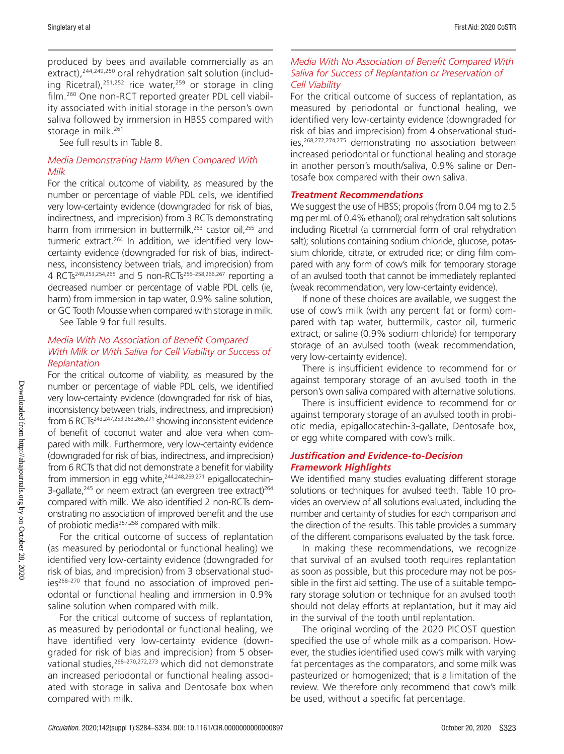produced by bees and available commercially as an extract),<sup>244,249,250</sup> oral rehydration salt solution (including Ricetral),<sup>251,252</sup> rice water,<sup>259</sup> or storage in cling film.260 One non-RCT reported greater PDL cell viability associated with initial storage in the person's own saliva followed by immersion in HBSS compared with storage in milk.<sup>261</sup>

See full results in Table 8.

### *Media Demonstrating Harm When Compared With Milk*

For the critical outcome of viability, as measured by the number or percentage of viable PDL cells, we identified very low-certainty evidence (downgraded for risk of bias, indirectness, and imprecision) from 3 RCTs demonstrating harm from immersion in buttermilk,<sup>263</sup> castor oil,<sup>255</sup> and turmeric extract.<sup>264</sup> In addition, we identified very lowcertainty evidence (downgraded for risk of bias, indirectness, inconsistency between trials, and imprecision) from 4 RCTs249,253,254,265 and 5 non-RCTs256–258,266,267 reporting a decreased number or percentage of viable PDL cells (ie, harm) from immersion in tap water, 0.9% saline solution, or GC Tooth Mousse when compared with storage in milk.

See Table 9 for full results.

### *Media With No Association of Benefit Compared With Milk or With Saliva for Cell Viability or Success of Replantation*

For the critical outcome of viability, as measured by the number or percentage of viable PDL cells, we identified very low-certainty evidence (downgraded for risk of bias, inconsistency between trials, indirectness, and imprecision) from 6 RCTs<sup>243,247,253,263,265,271</sup> showing inconsistent evidence of benefit of coconut water and aloe vera when compared with milk. Furthermore, very low-certainty evidence (downgraded for risk of bias, indirectness, and imprecision) from 6 RCTs that did not demonstrate a benefit for viability from immersion in egg white,<sup>244,248,259,271</sup> epigallocatechin-3-gallate,<sup>245</sup> or neem extract (an evergreen tree extract)<sup>264</sup> compared with milk. We also identified 2 non-RCTs demonstrating no association of improved benefit and the use of probiotic media257,258 compared with milk.

For the critical outcome of success of replantation (as measured by periodontal or functional healing) we identified very low-certainty evidence (downgraded for risk of bias, and imprecision) from 3 observational stud $ies<sup>268-270</sup>$  that found no association of improved periodontal or functional healing and immersion in 0.9% saline solution when compared with milk.

For the critical outcome of success of replantation, as measured by periodontal or functional healing, we have identified very low-certainty evidence (downgraded for risk of bias and imprecision) from 5 observational studies,<sup>268-270,272,273</sup> which did not demonstrate an increased periodontal or functional healing associated with storage in saliva and Dentosafe box when compared with milk.

### *Media With No Association of Benefit Compared With Saliva for Success of Replantation or Preservation of Cell Viability*

For the critical outcome of success of replantation, as measured by periodontal or functional healing, we identified very low-certainty evidence (downgraded for risk of bias and imprecision) from 4 observational studies,268,272,274,275 demonstrating no association between increased periodontal or functional healing and storage in another person's mouth/saliva, 0.9% saline or Dentosafe box compared with their own saliva.

### *Treatment Recommendations*

We suggest the use of HBSS; propolis (from 0.04 mg to 2.5 mg per mL of 0.4% ethanol); oral rehydration salt solutions including Ricetral (a commercial form of oral rehydration salt); solutions containing sodium chloride, glucose, potassium chloride, citrate, or extruded rice; or cling film compared with any form of cow's milk for temporary storage of an avulsed tooth that cannot be immediately replanted (weak recommendation, very low-certainty evidence).

If none of these choices are available, we suggest the use of cow's milk (with any percent fat or form) compared with tap water, buttermilk, castor oil, turmeric extract, or saline (0.9% sodium chloride) for temporary storage of an avulsed tooth (weak recommendation, very low-certainty evidence).

There is insufficient evidence to recommend for or against temporary storage of an avulsed tooth in the person's own saliva compared with alternative solutions.

There is insufficient evidence to recommend for or against temporary storage of an avulsed tooth in probiotic media, epigallocatechin-3-gallate, Dentosafe box, or egg white compared with cow's milk.

### *Justification and Evidence-to-Decision Framework Highlights*

We identified many studies evaluating different storage solutions or techniques for avulsed teeth. Table 10 provides an overview of all solutions evaluated, including the number and certainty of studies for each comparison and the direction of the results. This table provides a summary of the different comparisons evaluated by the task force.

In making these recommendations, we recognize that survival of an avulsed tooth requires replantation as soon as possible, but this procedure may not be possible in the first aid setting. The use of a suitable temporary storage solution or technique for an avulsed tooth should not delay efforts at replantation, but it may aid in the survival of the tooth until replantation.

The original wording of the 2020 PICOST question specified the use of whole milk as a comparison. However, the studies identified used cow's milk with varying fat percentages as the comparators, and some milk was pasteurized or homogenized; that is a limitation of the review. We therefore only recommend that cow's milk be used, without a specific fat percentage.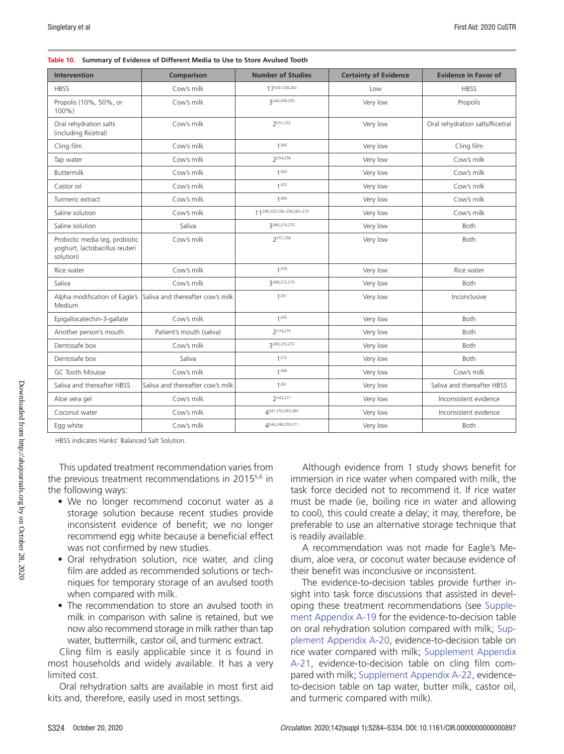| Table 10. Summary of Evidence of Different Media to Use to Store Avulsed Tooth |
|--------------------------------------------------------------------------------|
|                                                                                |

| <b>Intervention</b>                                                           | Comparison                                                     | <b>Number of Studies</b>           | <b>Certainty of Evidence</b> | <b>Evidence in Favor of</b>     |  |
|-------------------------------------------------------------------------------|----------------------------------------------------------------|------------------------------------|------------------------------|---------------------------------|--|
| <b>HBSS</b>                                                                   | Cow's milk                                                     | 17243-258,262                      | Low                          | <b>HBSS</b>                     |  |
| Propolis (10%, 50%, or<br>100%)                                               | Cow's milk                                                     | 3244,249,250                       | Very low                     | Propolis                        |  |
| Oral rehydration salts<br>(including Ricetral)                                | Cow's milk                                                     | 2251,252                           | Very low                     | Oral rehydration salts/Ricetral |  |
| Cling film                                                                    | Cow's milk                                                     | 1260                               | Very low                     | Cling film                      |  |
| Tap water                                                                     | Cow's milk                                                     | 2254,256                           | Very low                     | Cow's milk                      |  |
| <b>Buttermilk</b>                                                             | Cow's milk                                                     | 1263                               | Very low                     | Cow's milk                      |  |
| Castor oil                                                                    | Cow's milk                                                     | 1255                               | Very low                     | Cow's milk                      |  |
| Turmeric extract                                                              | Cow's milk                                                     | 1264                               | Very low                     | Cow's milk                      |  |
| Saline solution                                                               | Cow's milk                                                     | 1 1 249, 253, 256 - 258, 265 - 270 | Very low                     | Cow's milk                      |  |
| Saline solution                                                               | Saliva                                                         | 3268,274,275                       | Very low                     | Both                            |  |
| Probiotic media (eg, probiotic<br>yoghurt, lactobacillus reuteri<br>solution) | Cow's milk                                                     | 2257,258                           | Very low                     | <b>Both</b>                     |  |
| Rice water                                                                    | Cow's milk                                                     | 1259                               | Very low                     | Rice water                      |  |
| Saliva                                                                        | Cow's milk                                                     | 3268,272,273                       | Very low                     | Both                            |  |
| Medium                                                                        | Alpha modification of Eagle's Saliva and thereafter cow's milk | 1261                               | Very low                     | Inconclusive                    |  |
| Epigallocatechin-3-gallate                                                    | Cow's milk                                                     | 1245                               | Very low                     | Both                            |  |
| Another person's mouth                                                        | Patient's mouth (saliva)                                       | 2274,275                           | Very low                     | <b>Both</b>                     |  |
| Dentosafe box                                                                 | Cow's milk                                                     | 3269,270,272                       | Very low                     | Both                            |  |
| Dentosafe box                                                                 | Saliva                                                         | $1^{272}$                          | Very low                     | <b>Both</b>                     |  |
| GC Tooth Mousse                                                               | Cow's milk                                                     | 1266                               | Very low                     | Cow's milk                      |  |
| Saliva and thereafter HBSS                                                    | Saliva and thereafter cow's milk                               | 1261                               | Very low                     | Saliva and thereafter HBSS      |  |
| Aloe vera gel                                                                 | Cow's milk                                                     | 2243,271                           | Very low                     | Inconsistent evidence           |  |
| Coconut water                                                                 | Cow's milk                                                     | ₫247,253,263,265                   | Very low                     | Inconsistent evidence           |  |
| Egg white                                                                     | Cow's milk                                                     | ₫244,248,259,271                   | Very low                     | Both                            |  |

HBSS indicates Hanks' Balanced Salt Solution.

This updated treatment recommendation varies from the previous treatment recommendations in 2015<sup>5,6</sup> in the following ways:

- We no longer recommend coconut water as a storage solution because recent studies provide inconsistent evidence of benefit; we no longer recommend egg white because a beneficial effect was not confirmed by new studies.
- Oral rehydration solution, rice water, and cling film are added as recommended solutions or techniques for temporary storage of an avulsed tooth when compared with milk.
- The recommendation to store an avulsed tooth in milk in comparison with saline is retained, but we now also recommend storage in milk rather than tap water, buttermilk, castor oil, and turmeric extract.

Cling film is easily applicable since it is found in most households and widely available. It has a very limited cost.

Oral rehydration salts are available in most first aid kits and, therefore, easily used in most settings.

Although evidence from 1 study shows benefit for immersion in rice water when compared with milk, the task force decided not to recommend it. If rice water must be made (ie, boiling rice in water and allowing to cool), this could create a delay; it may, therefore, be preferable to use an alternative storage technique that is readily available.

A recommendation was not made for Eagle's Medium, aloe vera, or coconut water because evidence of their benefit was inconclusive or inconsistent.

The evidence-to-decision tables provide further insight into task force discussions that assisted in developing these treatment recommendations (see Supplement Appendix A-19 for the evidence-to-decision table on oral rehydration solution compared with milk; Supplement Appendix A-20, evidence-to-decision table on rice water compared with milk; Supplement Appendix A-21, evidence-to-decision table on cling film compared with milk; Supplement Appendix A-22, evidenceto-decision table on tap water, butter milk, castor oil, and turmeric compared with milk).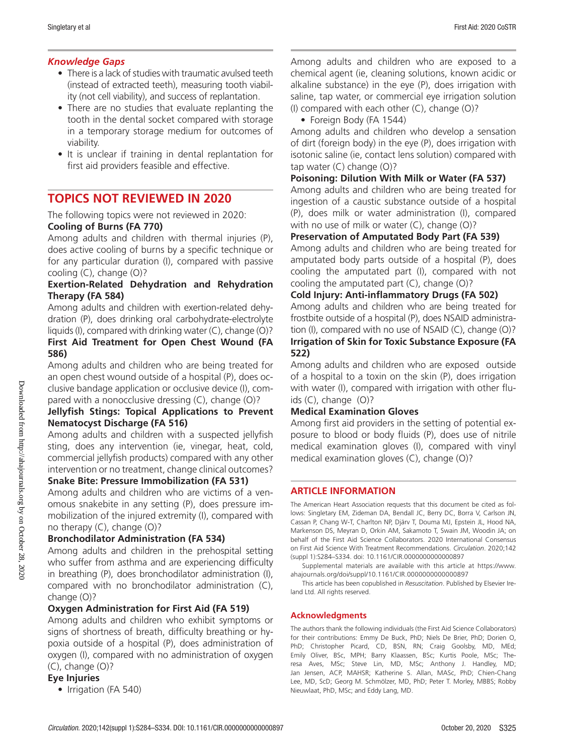### *Knowledge Gaps*

- There is a lack of studies with traumatic avulsed teeth (instead of extracted teeth), measuring tooth viability (not cell viability), and success of replantation.
- There are no studies that evaluate replanting the tooth in the dental socket compared with storage in a temporary storage medium for outcomes of viability.
- It is unclear if training in dental replantation for first aid providers feasible and effective.

# **TOPICS NOT REVIEWED IN 2020**

The following topics were not reviewed in 2020:

### **Cooling of Burns (FA 770)**

Among adults and children with thermal injuries (P), does active cooling of burns by a specific technique or for any particular duration (I), compared with passive cooling (C), change (O)?

### **Exertion-Related Dehydration and Rehydration Therapy (FA 584)**

Among adults and children with exertion-related dehydration (P), does drinking oral carbohydrate-electrolyte liquids (I), compared with drinking water (C), change (O)?

### **First Aid Treatment for Open Chest Wound (FA 586)**

Among adults and children who are being treated for an open chest wound outside of a hospital (P), does occlusive bandage application or occlusive device (I), compared with a nonocclusive dressing (C), change (O)?

### **Jellyfish Stings: Topical Applications to Prevent Nematocyst Discharge (FA 516)**

Among adults and children with a suspected jellyfish sting, does any intervention (ie, vinegar, heat, cold, commercial jellyfish products) compared with any other intervention or no treatment, change clinical outcomes?

### **Snake Bite: Pressure Immobilization (FA 531)**

Among adults and children who are victims of a venomous snakebite in any setting (P), does pressure immobilization of the injured extremity (I), compared with no therapy (C), change (O)?

### **Bronchodilator Administration (FA 534)**

Among adults and children in the prehospital setting who suffer from asthma and are experiencing difficulty in breathing (P), does bronchodilator administration (I), compared with no bronchodilator administration (C), change (O)?

### **Oxygen Administration for First Aid (FA 519)**

Among adults and children who exhibit symptoms or signs of shortness of breath, difficulty breathing or hypoxia outside of a hospital (P), does administration of oxygen (I), compared with no administration of oxygen (C), change (O)?

### **Eye Injuries**

• Irrigation (FA 540)

Among adults and children who are exposed to a chemical agent (ie, cleaning solutions, known acidic or alkaline substance) in the eye (P), does irrigation with saline, tap water, or commercial eye irrigation solution (I) compared with each other (C), change (O)?

• Foreign Body (FA 1544)

Among adults and children who develop a sensation of dirt (foreign body) in the eye (P), does irrigation with isotonic saline (ie, contact lens solution) compared with tap water (C) change (O)?

### **Poisoning: Dilution With Milk or Water (FA 537)**

Among adults and children who are being treated for ingestion of a caustic substance outside of a hospital (P), does milk or water administration (I), compared with no use of milk or water (C), change (O)?

### **Preservation of Amputated Body Part (FA 539)**

Among adults and children who are being treated for amputated body parts outside of a hospital (P), does cooling the amputated part (I), compared with not cooling the amputated part (C), change (O)?

### **Cold Injury: Anti-inflammatory Drugs (FA 502)**

Among adults and children who are being treated for frostbite outside of a hospital (P), does NSAID administration (I), compared with no use of NSAID  $(C)$ , change  $(O)$ ? **Irrigation of Skin for Toxic Substance Exposure (FA** 

# **522)**

Among adults and children who are exposed outside of a hospital to a toxin on the skin (P), does irrigation with water (I), compared with irrigation with other fluids (C), change (O)?

### **Medical Examination Gloves**

Among first aid providers in the setting of potential exposure to blood or body fluids (P), does use of nitrile medical examination gloves (I), compared with vinyl medical examination gloves (C), change (O)?

### **ARTICLE INFORMATION**

The American Heart Association requests that this document be cited as follows: Singletary EM, Zideman DA, Bendall JC, Berry DC, Borra V, Carlson JN, Cassan P, Chang W-T, Charlton NP, Djärv T, Douma MJ, Epstein JL, Hood NA, Markenson DS, Meyran D, Orkin AM, Sakamoto T, Swain JM, Woodin JA; on behalf of the First Aid Science Collaborators. 2020 International Consensus on First Aid Science With Treatment Recommendations. *Circulation*. 2020;142 (suppl 1):S284–S334. doi: 10.1161/CIR.0000000000000897

Supplemental materials are available with this article at https://www. ahajournals.org/doi/suppl/10.1161/CIR.0000000000000897

This article has been copublished in *Resuscitation*. Published by Elsevier Ireland Ltd. All rights reserved.

#### **Acknowledgments**

The authors thank the following individuals (the First Aid Science Collaborators) for their contributions: Emmy De Buck, PhD; Niels De Brier, PhD; Dorien O, PhD; Christopher Picard, CD, BSN, RN; Craig Goolsby, MD, MEd; Emily Oliver, BSc, MPH; Barry Klaassen, BSc; Kurtis Poole, MSc; Theresa Aves, MSc; Steve Lin, MD, MSc; Anthony J. Handley, MD; Jan Jensen, ACP, MAHSR; Katherine S. Allan, MASc, PhD; Chien-Chang Lee, MD, ScD; Georg M. Schmölzer, MD, PhD; Peter T. Morley, MBBS; Robby Nieuwlaat, PhD, MSc; and Eddy Lang, MD.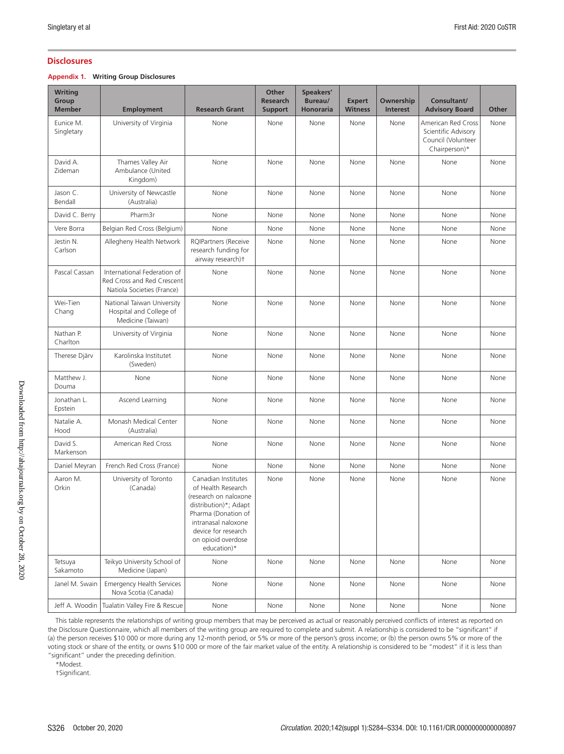#### **Disclosures**

#### **Appendix 1. Writing Group Disclosures**

| <b>Writing</b><br>Group<br><b>Member</b> | <b>Employment</b>                                                                       | <b>Research Grant</b>                                                                                                                                                                                 | Other<br><b>Research</b><br><b>Support</b> | Speakers'<br>Bureau/<br>Honoraria | <b>Expert</b><br><b>Witness</b> | Ownership<br>Interest | Consultant/<br><b>Advisory Board</b>                                                    | Other |
|------------------------------------------|-----------------------------------------------------------------------------------------|-------------------------------------------------------------------------------------------------------------------------------------------------------------------------------------------------------|--------------------------------------------|-----------------------------------|---------------------------------|-----------------------|-----------------------------------------------------------------------------------------|-------|
| Eunice M.<br>Singletary                  | University of Virginia                                                                  | None                                                                                                                                                                                                  | None                                       | None                              | None                            | None                  | <b>American Red Cross</b><br>Scientific Advisory<br>Council (Volunteer<br>Chairperson)* | None  |
| David A.<br>Zideman                      | Thames Valley Air<br>Ambulance (United<br>Kingdom)                                      | None                                                                                                                                                                                                  | None                                       | None                              | None                            | None                  | None                                                                                    | None  |
| Jason C.<br>Bendall                      | University of Newcastle<br>(Australia)                                                  | None                                                                                                                                                                                                  | None                                       | None                              | None                            | None                  | None                                                                                    | None  |
| David C. Berry                           | Pharm3r                                                                                 | None                                                                                                                                                                                                  | None                                       | None                              | None                            | None                  | None                                                                                    | None  |
| Vere Borra                               | Belgian Red Cross (Belgium)                                                             | None                                                                                                                                                                                                  | None                                       | None                              | None                            | None                  | None                                                                                    | None  |
| Jestin N.<br>Carlson                     | Allegheny Health Network                                                                | <b>RQIPartners (Receive</b><br>research funding for<br>airway research)+                                                                                                                              | None                                       | None                              | None                            | None                  | None                                                                                    | None  |
| Pascal Cassan                            | International Federation of<br>Red Cross and Red Crescent<br>Natiola Societies (France) | None                                                                                                                                                                                                  | None                                       | None                              | None                            | None                  | None                                                                                    | None  |
| Wei-Tien<br>Chang                        | National Taiwan University<br>Hospital and College of<br>Medicine (Taiwan)              | None                                                                                                                                                                                                  | None                                       | None                              | None                            | None                  | None                                                                                    | None  |
| Nathan P.<br>Charlton                    | University of Virginia                                                                  | None                                                                                                                                                                                                  | None                                       | None                              | None                            | None                  | None                                                                                    | None  |
| Therese Djärv                            | Karolinska Institutet<br>(Sweden)                                                       | None                                                                                                                                                                                                  | None                                       | None                              | None                            | None                  | None                                                                                    | None  |
| Matthew J.<br>Douma                      | None                                                                                    | None                                                                                                                                                                                                  | None                                       | None                              | None                            | None                  | None                                                                                    | None  |
| Jonathan L.<br>Epstein                   | Ascend Learning                                                                         | None                                                                                                                                                                                                  | None                                       | None                              | None                            | None                  | None                                                                                    | None  |
| Natalie A.<br>Hood                       | Monash Medical Center<br>(Australia)                                                    | None                                                                                                                                                                                                  | None                                       | None                              | None                            | None                  | None                                                                                    | None  |
| David S.<br>Markenson                    | American Red Cross                                                                      | None                                                                                                                                                                                                  | None                                       | None                              | None                            | None                  | None                                                                                    | None  |
| Daniel Meyran                            | French Red Cross (France)                                                               | None                                                                                                                                                                                                  | None                                       | None                              | None                            | None                  | None                                                                                    | None  |
| Aaron M.<br>Orkin                        | University of Toronto<br>(Canada)                                                       | Canadian Institutes<br>of Health Research<br>(research on naloxone<br>distribution)*; Adapt<br>Pharma (Donation of<br>intranasal naloxone<br>device for research<br>on opioid overdose<br>education)* | None                                       | None                              | None                            | None                  | None                                                                                    | None  |
| Tetsuya<br>Sakamoto                      | Teikyo University School of<br>Medicine (Japan)                                         | None                                                                                                                                                                                                  | None                                       | None                              | None                            | None                  | None                                                                                    | None  |
| Janel M. Swain                           | <b>Emergency Health Services</b><br>Nova Scotia (Canada)                                | None                                                                                                                                                                                                  | None                                       | None                              | None                            | None                  | None                                                                                    | None  |
|                                          | Jeff A. Woodin   Tualatin Valley Fire & Rescue                                          | None                                                                                                                                                                                                  | None                                       | None                              | None                            | None                  | None                                                                                    | None  |

This table represents the relationships of writing group members that may be perceived as actual or reasonably perceived conflicts of interest as reported on the Disclosure Questionnaire, which all members of the writing group are required to complete and submit. A relationship is considered to be "significant" if (a) the person receives \$10 000 or more during any 12-month period, or 5% or more of the person's gross income; or (b) the person owns 5% or more of the voting stock or share of the entity, or owns \$10 000 or more of the fair market value of the entity. A relationship is considered to be "modest" if it is less than "significant" under the preceding definition.

\*Modest.

†Significant.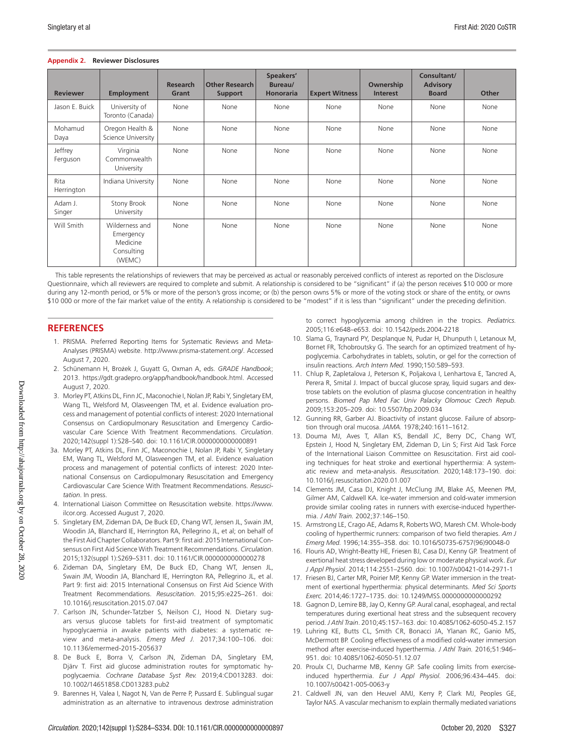#### **Appendix 2. Reviewer Disclosures**

| <b>Reviewer</b>     | <b>Employment</b>                                               | <b>Research</b><br>Grant | <b>Other Research</b><br><b>Support</b> | Speakers'<br>Bureau/<br><b>Honoraria</b> | <b>Expert Witness</b> | Ownership<br>Interest | Consultant/<br><b>Advisory</b><br><b>Board</b> | Other |
|---------------------|-----------------------------------------------------------------|--------------------------|-----------------------------------------|------------------------------------------|-----------------------|-----------------------|------------------------------------------------|-------|
| Jason E. Buick      | University of<br>Toronto (Canada)                               | None                     | None                                    | None                                     | None                  | None                  | None                                           | None  |
| Mohamud<br>Daya     | Oregon Health &<br>Science University                           | None                     | None                                    | None                                     | None                  | None                  | None                                           | None  |
| Jeffrey<br>Ferguson | Virginia<br>Commonwealth<br>University                          | None                     | None                                    | None                                     | None                  | None                  | None                                           | None  |
| Rita<br>Herrington  | Indiana University                                              | None                     | None                                    | None                                     | None                  | None                  | None                                           | None  |
| Adam J.<br>Singer   | Stony Brook<br>University                                       | None                     | None                                    | None                                     | None                  | None                  | None                                           | None  |
| Will Smith          | Wilderness and<br>Emergency<br>Medicine<br>Consulting<br>(WEMC) | None                     | None                                    | None                                     | None                  | None                  | None                                           | None  |

This table represents the relationships of reviewers that may be perceived as actual or reasonably perceived conflicts of interest as reported on the Disclosure Questionnaire, which all reviewers are required to complete and submit. A relationship is considered to be "significant" if (a) the person receives \$10 000 or more during any 12-month period, or 5% or more of the person's gross income; or (b) the person owns 5% or more of the voting stock or share of the entity, or owns \$10 000 or more of the fair market value of the entity. A relationship is considered to be "modest" if it is less than "significant" under the preceding definition.

#### **REFERENCES**

- 1. PRISMA. Preferred Reporting Items for Systematic Reviews and Meta-Analyses (PRISMA) website. http://www.prisma-statement.org/. Accessed August 7, 2020.
- 2. Schünemann H, Brożek J, Guyatt G, Oxman A, eds. *GRADE Handbook*; 2013. https://gdt.gradepro.org/app/handbook/handbook.html. Accessed August 7, 2020.
- 3. Morley PT, Atkins DL, Finn JC, Maconochie I, Nolan JP, Rabi Y, Singletary EM, Wang TL, Welsford M, Olasveengen TM, et al. Evidence evaluation process and management of potential conflicts of interest: 2020 International Consensus on Cardiopulmonary Resuscitation and Emergency Cardiovascular Care Science With Treatment Recommendations. *Circulation*. 2020;142(suppl 1):S28–S40. doi: 10.1161/CIR.0000000000000891
- 3a. Morley PT, Atkins DL, Finn JC, Maconochie I, Nolan JP, Rabi Y, Singletary EM, Wang TL, Welsford M, Olasveengen TM, et al. Evidence evaluation process and management of potential conflicts of interest: 2020 International Consensus on Cardiopulmonary Resuscitation and Emergency Cardiovascular Care Science With Treatment Recommendations. *Resuscitation*. In press.
- 4. International Liaison Committee on Resuscitation website. https://www. ilcor.org. Accessed August 7, 2020.
- 5. Singletary EM, Zideman DA, De Buck ED, Chang WT, Jensen JL, Swain JM, Woodin JA, Blanchard IE, Herrington RA, Pellegrino JL, et al; on behalf of the First Aid Chapter Collaborators. Part 9: first aid: 2015 International Consensus on First Aid Science With Treatment Recommendations. *Circulation*. 2015;132(suppl 1):S269–S311. doi: 10.1161/CIR.0000000000000278
- 6. Zideman DA, Singletary EM, De Buck ED, Chang WT, Jensen JL, Swain JM, Woodin JA, Blanchard IE, Herrington RA, Pellegrino JL, et al. Part 9: first aid: 2015 International Consensus on First Aid Science With Treatment Recommendations. *Resuscitation*. 2015;95:e225–261. doi: 10.1016/j.resuscitation.2015.07.047
- 7. Carlson JN, Schunder-Tatzber S, Neilson CJ, Hood N. Dietary sugars versus glucose tablets for first-aid treatment of symptomatic hypoglycaemia in awake patients with diabetes: a systematic review and meta-analysis. *Emerg Med J.* 2017;34:100–106. doi: 10.1136/emermed-2015-205637
- 8. De Buck E, Borra V, Carlson JN, Zideman DA, Singletary EM, Djärv T. First aid glucose administration routes for symptomatic hypoglycaemia. *Cochrane Database Syst Rev.* 2019;4:CD013283. doi: 10.1002/14651858.CD013283.pub2
- 9. Barennes H, Valea I, Nagot N, Van de Perre P, Pussard E. Sublingual sugar administration as an alternative to intravenous dextrose administration

to correct hypoglycemia among children in the tropics. *Pediatrics.* 2005;116:e648–e653. doi: 10.1542/peds.2004-2218

- 10. Slama G, Traynard PY, Desplanque N, Pudar H, Dhunputh I, Letanoux M, Bornet FR, Tchobroutsky G. The search for an optimized treatment of hypoglycemia. Carbohydrates in tablets, solutin, or gel for the correction of insulin reactions. *Arch Intern Med.* 1990;150:589–593.
- 11. Chlup R, Zapletalova J, Peterson K, Poljakova I, Lenhartova E, Tancred A, Perera R, Smital J. Impact of buccal glucose spray, liquid sugars and dextrose tablets on the evolution of plasma glucose concentration in healthy persons. *Biomed Pap Med Fac Univ Palacky Olomouc Czech Repub.* 2009;153:205–209. doi: 10.5507/bp.2009.034
- 12. Gunning RR, Garber AJ. Bioactivity of instant glucose. Failure of absorption through oral mucosa. *JAMA.* 1978;240:1611–1612.
- 13. Douma MJ, Aves T, Allan KS, Bendall JC, Berry DC, Chang WT, Epstein J, Hood N, Singletary EM, Zideman D, Lin S; First Aid Task Force of the International Liaison Committee on Resuscitation. First aid cooling techniques for heat stroke and exertional hyperthermia: A systematic review and meta-analysis. *Resuscitation.* 2020;148:173–190. doi: 10.1016/j.resuscitation.2020.01.007
- 14. Clements JM, Casa DJ, Knight J, McClung JM, Blake AS, Meenen PM, Gilmer AM, Caldwell KA. Ice-water immersion and cold-water immersion provide similar cooling rates in runners with exercise-induced hyperthermia. *J Athl Train.* 2002;37:146–150.
- 15. Armstrong LE, Crago AE, Adams R, Roberts WO, Maresh CM. Whole-body cooling of hyperthermic runners: comparison of two field therapies. *Am J Emerg Med.* 1996;14:355–358. doi: 10.1016/S0735-6757(96)90048-0
- 16. Flouris AD, Wright-Beatty HE, Friesen BJ, Casa DJ, Kenny GP. Treatment of exertional heat stress developed during low or moderate physical work. *Eur J Appl Physiol.* 2014;114:2551–2560. doi: 10.1007/s00421-014-2971-1
- 17. Friesen BJ, Carter MR, Poirier MP, Kenny GP. Water immersion in the treatment of exertional hyperthermia: physical determinants. *Med Sci Sports Exerc.* 2014;46:1727–1735. doi: 10.1249/MSS.0000000000000292
- 18. Gagnon D, Lemire BB, Jay O, Kenny GP. Aural canal, esophageal, and rectal temperatures during exertional heat stress and the subsequent recovery period. *J Athl Train*. 2010;45:157–163. doi: 10.4085/1062-6050-45.2.157
- 19. Luhring KE, Butts CL, Smith CR, Bonacci JA, Ylanan RC, Ganio MS, McDermott BP. Cooling effectiveness of a modified cold-water immersion method after exercise-induced hyperthermia. *J Athl Train.* 2016;51:946– 951. doi: 10.4085/1062-6050-51.12.07
- 20. Proulx CI, Ducharme MB, Kenny GP. Safe cooling limits from exerciseinduced hyperthermia. *Eur J Appl Physiol.* 2006;96:434–445. doi: 10.1007/s00421-005-0063-y
- 21. Caldwell JN, van den Heuvel AMJ, Kerry P, Clark MJ, Peoples GE, Taylor NAS. A vascular mechanism to explain thermally mediated variations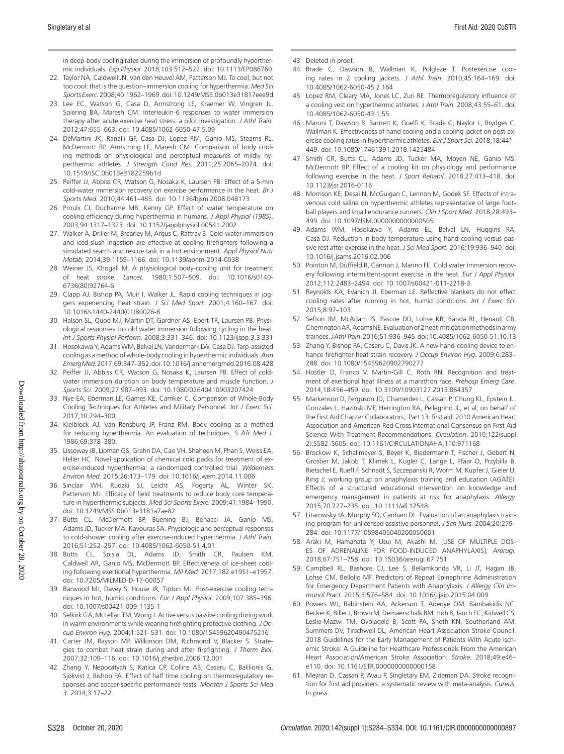in deep-body cooling rates during the immersion of profoundly hyperthermic individuals. *Exp Physiol.* 2018;103:512–522. doi: 10.1113/EP086760

- 22. Taylor NA, Caldwell JN, Van den Heuvel AM, Patterson MJ. To cool, but not too cool: that is the question–immersion cooling for hyperthermia. *Med Sci Sports Exerc.* 2008;40:1962–1969. doi: 10.1249/MSS.0b013e31817eee9d
- 23. Lee EC, Watson G, Casa D, Armstrong LE, Kraemer W, Vingren JL, Spiering BA, Maresh CM. Interleukin-6 responses to water immersion therapy after acute exercise heat stress: a pilot investigation. *J Athl Train.* 2012;47:655–663. doi: 10.4085/1062-6050-47.5.09
- 24. DeMartini JK, Ranalli GF, Casa DJ, Lopez RM, Ganio MS, Stearns RL, McDermott BP, Armstrong LE, Maresh CM. Comparison of body cooling methods on physiological and perceptual measures of mildly hyperthermic athletes. *J Strength Cond Res.* 2011;25:2065–2074. doi: 10.1519/JSC.0b013e3182259b1d
- 25. Peiffer JJ, Abbiss CR, Watson G, Nosaka K, Laursen PB. Effect of a 5-min cold-water immersion recovery on exercise performance in the heat. *Br J Sports Med.* 2010;44:461–465. doi: 10.1136/bjsm.2008.048173
- 26. Proulx CI, Ducharme MB, Kenny GP. Effect of water temperature on cooling efficiency during hyperthermia in humans. *J Appl Physiol (1985)*. 2003;94:1317–1323. doi: 10.1152/japplphysiol.00541.2002
- 27. Walker A, Driller M, Brearley M, Argus C, Rattray B. Cold-water immersion and iced-slush ingestion are effective at cooling firefighters following a simulated search and rescue task in a hot environment. *Appl Physiol Nutr Metab.* 2014;39:1159–1166. doi: 10.1139/apnm-2014-0038
- 28. Weiner JS, Khogali M. A physiological body-cooling unit for treatment of heat stroke. *Lancet.* 1980;1:507–509. doi: 10.1016/s0140- 6736(80)92764-6
- 29. Clapp AJ, Bishop PA, Muir I, Walker JL. Rapid cooling techniques in joggers experiencing heat strain. *J Sci Med Sport.* 2001;4:160–167. doi: 10.1016/s1440-2440(01)80026-8
- 30. Halson SL, Quod MJ, Martin DT, Gardner AS, Ebert TR, Laursen PB. Physiological responses to cold water immersion following cycling in the heat. *Int J Sports Physiol Perform.* 2008;3:331–346. doi: 10.1123/ijspp.3.3.331
- 31. Hosokawa Y, Adams WM, Belval LN, Vandermark LW, Casa DJ. Tarp-assisted cooling as a method of whole-body cooling in hyperthermic individuals. *Ann Emerg Med.* 2017;69:347–352. doi: 10.1016/j.annemergmed.2016.08.428
- 32. Peiffer JJ, Abbiss CR, Watson G, Nosaka K, Laursen PB. Effect of coldwater immersion duration on body temperature and muscle function. *J Sports Sci.* 2009;27:987–993. doi: 10.1080/02640410903207424
- 33. Nye EA, Eberman LE, Games KE, Carriker C. Comparison of Whole-Body Cooling Techniques for Athletes and Military Personnel. *Int J Exerc Sci.* 2017;10:294–300.
- 34. Kielblock AJ, Van Rensburg JP, Franz RM. Body cooling as a method for reducing hyperthermia. An evaluation of techniques. *S Afr Med J.* 1986;69:378–380.
- 35. Lissoway JB, Lipman GS, Grahn DA, Cao VH, Shaheen M, Phan S, Weiss EA, Heller HC. Novel application of chemical cold packs for treatment of exercise-induced hyperthermia: a randomized controlled trial. *Wilderness Environ Med.* 2015;26:173–179. doi: 10.1016/j.wem.2014.11.006
- 36. Sinclair WH, Rudzki SJ, Leicht AS, Fogarty AL, Winter SK, Patterson MJ. Efficacy of field treatments to reduce body core temperature in hyperthermic subjects. *Med Sci Sports Exerc.* 2009;41:1984–1990. doi: 10.1249/MSS.0b013e3181a7ae82
- 37. Butts CL, McDermott BP, Buening BJ, Bonacci JA, Ganio MS, Adams JD, Tucker MA, Kavouras SA. Physiologic and perceptual responses to cold-shower cooling after exercise-induced hyperthermia. *J Athl Train.* 2016;51:252–257. doi: 10.4085/1062-6050-51.4.01
- 38. Butts CL, Spisla DL, Adams JD, Smith CR, Paulsen KM, Caldwell AR, Ganio MS, McDermott BP. Effectiveness of ice-sheet cooling following exertional hyperthermia. *Mil Med.* 2017;182:e1951–e1957. doi: 10.7205/MILMED-D-17-00057
- 39. Barwood MJ, Davey S, House JR, Tipton MJ. Post-exercise cooling techniques in hot, humid conditions. *Eur J Appl Physiol.* 2009;107:385–396. doi: 10.1007/s00421-009-1135-1
- 40. Selkirk GA, McLellan TM, Wong J. Active versus passive cooling during work in warm environments while wearing firefighting protective clothing. *J Occup Environ Hyg.* 2004;1:521–531. doi: 10.1080/15459620490475216
- 41. Carter JM, Rayson MP, Wilkinson DM, Richmond V, Blacker S. Strategies to combat heat strain during and after firefighting. *J Therm Biol*. 2007;32:109–116. doi: 10.1016/j.jtherbio.2006.12.001
- 42. Zhang Y, Nepocatych S, Katica CP, Collins AB, Casaru C, Balilionis G, Sjökvist J, Bishop PA. Effect of half time cooling on thermoregulatory responses and soccer-specific performance tests. *Monten J Sports Sci Med 3*. 2014;3:17–22.
- 43. Deleted in proof.
- 44. Brade C, Dawson B, Wallman K, Polglaze T. Postexercise cooling rates in 2 cooling jackets. *J Athl Train.* 2010;45:164–169. doi: 10.4085/1062-6050-45.2.164
- 45. Lopez RM, Cleary MA, Jones LC, Zuri RE. Thermoregulatory influence of a cooling vest on hyperthermic athletes. *J Athl Train.* 2008;43:55–61. doi: 10.4085/1062-6050-43.1.55
- 46. Maroni T, Dawson B, Barnett K, Guelfi K, Brade C, Naylor L, Brydges C, Wallman K. Effectiveness of hand cooling and a cooling jacket on post-exercise cooling rates in hyperthermic athletes. *Eur J Sport Sci.* 2018;18:441– 449. doi: 10.1080/17461391.2018.1425484
- 47. Smith CR, Butts CL, Adams JD, Tucker MA, Moyen NE, Ganio MS, McDermott BP. Effect of a cooling kit on physiology and performance following exercise in the heat. *J Sport Rehabil.* 2018;27:413–418. doi: 10.1123/jsr.2016-0116
- 48. Morrison KE, Desai N, McGuigan C, Lennon M, Godek SF. Effects of intravenous cold saline on hyperthermic athletes representative of large football players and small endurance runners. *Clin J Sport Med.* 2018;28:493– 499. doi: 10.1097/JSM.0000000000000505
- 49. Adams WM, Hosokawa Y, Adams EL, Belval LN, Huggins RA, Casa DJ. Reduction in body temperature using hand cooling versus passive rest after exercise in the heat. *J Sci Med Sport.* 2016;19:936–940. doi: 10.1016/j.jsams.2016.02.006
- 50. Pointon M, Duffield R, Cannon J, Marino FE. Cold water immersion recovery following intermittent-sprint exercise in the heat. *Eur J Appl Physiol.* 2012;112:2483–2494. doi: 10.1007/s00421-011-2218-3
- 51. Reynolds KA, Evanich JJ, Eberman LE. Reflective blankets do not effect cooling rates after running in hot, humid conditions. *Int J Exerc Sci.* 2015;8:97–103.
- 52. Sefton JM, McAdam JS, Pascoe DD, Lohse KR, Banda RL, Henault CB, Cherrington AR, Adams NE. Evaluation of 2 heat-mitigation methods in army trainees. *J Athl Train*. 2016;51:936–945. doi: 10.4085/1062-6050-51.10.13
- 53. Zhang Y, Bishop PA, Casaru C, Davis JK. A new hand-cooling device to enhance firefighter heat strain recovery. *J Occup Environ Hyg*. 2009;6:283– 288. doi: 10.1080/15459620902790277
- 54. Hostler D, Franco V, Martin-Gill C, Roth RN. Recognition and treatment of exertional heat illness at a marathon race. *Prehosp Emerg Care*. 2014;18:456–459. doi: 10.3109/10903127.2013.864357
- 55. Markenson D, Ferguson JD, Chameides L, Cassan P, Chung KL, Epstein JL, Gonzales L, Hazinski MF, Herrington RA, Pellegrino JL, et al; on behalf of the First Aid Chapter Collaborators,. Part 13: first aid: 2010 American Heart Association and American Red Cross International Consensus on First Aid Science With Treatment Recommendations. *Circulation*. 2010;122(suppl 2):S582–S605. doi: 10.1161/CIRCULATIONAHA.110.971168
- 56. Brockow K, Schallmayer S, Beyer K, Biedermann T, Fischer J, Gebert N, Grosber M, Jakob T, Klimek L, Kugler C, Lange L, Pfaar O, Przybilla B, Rietschel E, Rueff F, Schnadt S, Szczepanski R, Worm M, Kupfer J, Gieler U, Ring J; working group on anaphylaxis training and education (AGATE). Effects of a structured educational intervention on knowledge and emergency management in patients at risk for anaphylaxis. *Allergy.* 2015;70:227–235. doi: 10.1111/all.12548
- 57. Litarowsky JA, Murphy SO, Canham DL. Evaluation of an anaphylaxis training program for unlicensed assistive personnel. *J Sch Nurs.* 2004;20:279– 284. doi: 10.1177/10598405040200050601
- 58. Araki M, Hamahata Y, Usui M, Akashi M. [USE OF MULTIPLE DOS-ES OF ADRENALINE FOR FOOD-INDUCED ANAPHYLAXIS]. *Arerugi.* 2018;67:751–758. doi: 10.15036/arerugi.67.751
- 59. Campbell RL, Bashore CJ, Lee S, Bellamkonda VR, Li JT, Hagan JB, Lohse CM, Bellolio MF. Predictors of Repeat Epinephrine Administration for Emergency Department Patients with Anaphylaxis. *J Allergy Clin Immunol Pract.* 2015;3:576–584. doi: 10.1016/j.jaip.2015.04.009
- 60. Powers WJ, Rabinstein AA, Ackerson T, Adeoye OM, Bambakidis NC, Becker K, Biller J, Brown M, Demaerschalk BM, Hoh B, Jauch EC, Kidwell CS, Leslie-Mazwi TM, Ovbiagele B, Scott PA, Sheth KN, Southerland AM, Summers DV, Tirschwell DL; American Heart Association Stroke Council. 2018 Guidelines for the Early Management of Patients With Acute Ischemic Stroke: A Guideline for Healthcare Professionals From the American Heart Association/American Stroke Association. *Stroke.* 2018;49:e46– e110. doi: 10.1161/STR.0000000000000158
- 61. Meyran D, Cassan P, Avau P, Singletary EM, Zideman DA. Stroke recognition for first aid providers: a systematic review with meta-analysis. *Cureus*. In press.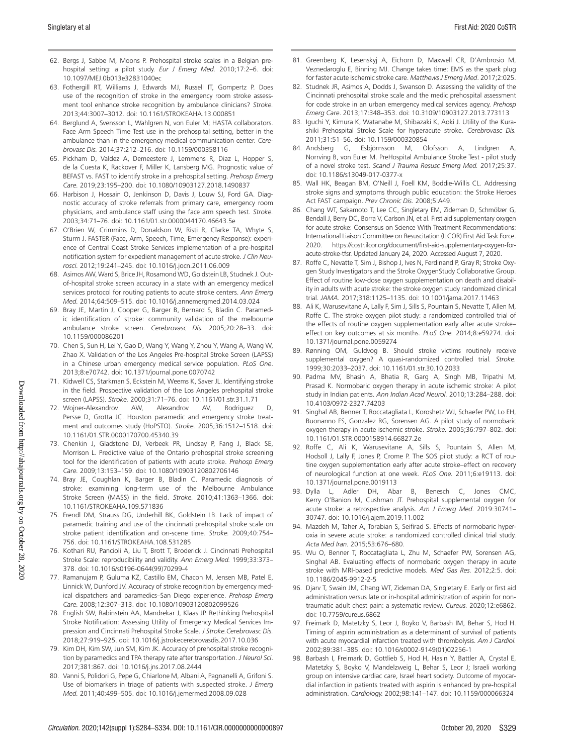- 62. Bergs J, Sabbe M, Moons P. Prehospital stroke scales in a Belgian prehospital setting: a pilot study. *Eur J Emerg Med.* 2010;17:2–6. doi: 10.1097/MEJ.0b013e32831040ec
- 63. Fothergill RT, Williams J, Edwards MJ, Russell IT, Gompertz P. Does use of the recognition of stroke in the emergency room stroke assessment tool enhance stroke recognition by ambulance clinicians? *Stroke.* 2013;44:3007–3012. doi: 10.1161/STROKEAHA.13.000851
- 64. Berglund A, Svensson L, Wahlgren N, von Euler M; HASTA collaborators. Face Arm Speech Time Test use in the prehospital setting, better in the ambulance than in the emergency medical communication center. *Cerebrovasc Dis.* 2014;37:212–216. doi: 10.1159/000358116
- 65. Pickham D, Valdez A, Demeestere J, Lemmens R, Diaz L, Hopper S, de la Cuesta K, Rackover F, Miller K, Lansberg MG. Prognostic value of BEFAST vs. FAST to identify stroke in a prehospital setting. *Prehosp Emerg Care.* 2019;23:195–200. doi: 10.1080/10903127.2018.1490837
- 66. Harbison J, Hossain O, Jenkinson D, Davis J, Louw SJ, Ford GA. Diagnostic accuracy of stroke referrals from primary care, emergency room physicians, and ambulance staff using the face arm speech test. *Stroke.* 2003;34:71–76. doi: 10.1161/01.str.0000044170.46643.5e
- 67. O'Brien W, Crimmins D, Donaldson W, Risti R, Clarke TA, Whyte S, Sturm J. FASTER (Face, Arm, Speech, Time, Emergency Response): experience of Central Coast Stroke Services implementation of a pre-hospital notification system for expedient management of acute stroke. *J Clin Neurosci.* 2012;19:241–245. doi: 10.1016/j.jocn.2011.06.009
- 68. Asimos AW, Ward S, Brice JH, Rosamond WD, Goldstein LB, Studnek J. Outof-hospital stroke screen accuracy in a state with an emergency medical services protocol for routing patients to acute stroke centers. *Ann Emerg Med.* 2014;64:509–515. doi: 10.1016/j.annemergmed.2014.03.024
- 69. Bray JE, Martin J, Cooper G, Barger B, Bernard S, Bladin C. Paramedic identification of stroke: community validation of the melbourne ambulance stroke screen. *Cerebrovasc Dis.* 2005;20:28–33. doi: 10.1159/000086201
- 70. Chen S, Sun H, Lei Y, Gao D, Wang Y, Wang Y, Zhou Y, Wang A, Wang W, Zhao X. Validation of the Los Angeles Pre-hospital Stroke Screen (LAPSS) in a Chinese urban emergency medical service population. *PLoS One*. 2013;8:e70742. doi: 10.1371/journal.pone.0070742
- 71. Kidwell CS, Starkman S, Eckstein M, Weems K, Saver JL. Identifying stroke in the field. Prospective validation of the Los Angeles prehospital stroke screen (LAPSS). *Stroke.* 2000;31:71–76. doi: 10.1161/01.str.31.1.71
- 72. Wojner-Alexandrov AW, Alexandrov AV, Rodriguez D, Persse D, Grotta JC. Houston paramedic and emergency stroke treatment and outcomes study (HoPSTO). *Stroke.* 2005;36:1512–1518. doi: 10.1161/01.STR.0000170700.45340.39
- 73. Chenkin J, Gladstone DJ, Verbeek PR, Lindsay P, Fang J, Black SE, Morrison L. Predictive value of the Ontario prehospital stroke screening tool for the identification of patients with acute stroke. *Prehosp Emerg Care.* 2009;13:153–159. doi: 10.1080/10903120802706146
- 74. Bray JE, Coughlan K, Barger B, Bladin C. Paramedic diagnosis of stroke: examining long-term use of the Melbourne Ambulance Stroke Screen (MASS) in the field. *Stroke.* 2010;41:1363–1366. doi: 10.1161/STROKEAHA.109.571836
- 75. Frendl DM, Strauss DG, Underhill BK, Goldstein LB. Lack of impact of paramedic training and use of the cincinnati prehospital stroke scale on stroke patient identification and on-scene time. *Stroke.* 2009;40:754– 756. doi: 10.1161/STROKEAHA.108.531285
- 76. Kothari RU, Pancioli A, Liu T, Brott T, Broderick J. Cincinnati Prehospital Stroke Scale: reproducibility and validity. *Ann Emerg Med.* 1999;33:373– 378. doi: 10.1016/s0196-0644(99)70299-4
- 77. Ramanujam P, Guluma KZ, Castillo EM, Chacon M, Jensen MB, Patel E, Linnick W, Dunford JV. Accuracy of stroke recognition by emergency medical dispatchers and paramedics–San Diego experience. *Prehosp Emerg Care.* 2008;12:307–313. doi: 10.1080/10903120802099526
- 78. English SW, Rabinstein AA, Mandrekar J, Klaas JP. Rethinking Prehospital Stroke Notification: Assessing Utility of Emergency Medical Services Impression and Cincinnati Prehospital Stroke Scale. *J Stroke.Cerebrovasc Dis.* 2018;27:919–925. doi: 10.1016/j.jstrokecerebrovasdis.2017.10.036
- 79. Kim DH, Kim SW, Jun SM, Kim JK. Accuracy of prehospital stroke recognition by paramedics and TPA therapy rate after transportation. *J Neurol Sci*. 2017;381:867. doi: 10.1016/j.jns.2017.08.2444
- 80. Vanni S, Polidori G, Pepe G, Chiarlone M, Albani A, Pagnanelli A, Grifoni S. Use of biomarkers in triage of patients with suspected stroke. *J Emerg Med.* 2011;40:499–505. doi: 10.1016/j.jemermed.2008.09.028
- 81. Greenberg K, Lesenskyj A, Eichorn D, Maxwell CR, D'Ambrosio M, Veznedaroglu E, Binning MJ. Change takes time: EMS as the spark plug for faster acute ischemic stroke care. *Matthews J Emerg Med*. 2017;2:025.
- 82. Studnek JR, Asimos A, Dodds J, Swanson D. Assessing the validity of the Cincinnati prehospital stroke scale and the medic prehospital assessment for code stroke in an urban emergency medical services agency. *Prehosp Emerg Care*. 2013;17:348–353. doi: 10.3109/10903127.2013.773113
- 83. Iguchi Y, Kimura K, Watanabe M, Shibazaki K, Aoki J. Utility of the Kurashiki Prehospital Stroke Scale for hyperacute stroke. *Cerebrovasc Dis.* 2011;31:51–56. doi: 10.1159/000320854
- 84. Andsberg G, Esbjörnsson M, Olofsson A, Lindgren A, Norrving B, von Euler M. PreHospital Ambulance Stroke Test - pilot study of a novel stroke test. *Scand J Trauma Resusc Emerg Med.* 2017;25:37. doi: 10.1186/s13049-017-0377-x
- 85. Wall HK, Beagan BM, O'Neill J, Foell KM, Boddie-Willis CL. Addressing stroke signs and symptoms through public education: the Stroke Heroes Act FAST campaign. *Prev Chronic Dis.* 2008;5:A49.
- 86. Chang WT, Sakamoto T, Lee CC, Singletary EM, Zideman D, Schmölzer G, Bendall J, Berry DC, Borra V, Carlson JN, et al. First aid supplementary oxygen for acute stroke: Consensus on Science With Treatment Recommendations: International Liaison Committee on Resuscitation (ILCOR) First Aid Task Force. 2020. https://costr.ilcor.org/document/first-aid-supplementary-oxygen-foracute-stroke-tfsr. Updated January 24, 2020. Accessed August 7, 2020.
- 87. Roffe C, Nevatte T, Sim J, Bishop J, Ives N, Ferdinand P, Gray R; Stroke Oxygen Study Investigators and the Stroke OxygenStudy Collaborative Group. Effect of routine low-dose oxygen supplementation on death and disability in adults with acute stroke: the stroke oxygen study randomized clinical trial. *JAMA.* 2017;318:1125–1135. doi: 10.1001/jama.2017.11463
- 88. Ali K, Warusevitane A, Lally F, Sim J, Sills S, Pountain S, Nevatte T, Allen M, Roffe C. The stroke oxygen pilot study: a randomized controlled trial of the effects of routine oxygen supplementation early after acute stroke– effect on key outcomes at six months. *PLoS One.* 2014;8:e59274. doi: 10.1371/journal.pone.0059274
- 89. Rønning OM, Guldvog B. Should stroke victims routinely receive supplemental oxygen? A quasi-randomized controlled trial. *Stroke.* 1999;30:2033–2037. doi: 10.1161/01.str.30.10.2033
- 90. Padma MV, Bhasin A, Bhatia R, Garg A, Singh MB, Tripathi M, Prasad K. Normobaric oxygen therapy in acute ischemic stroke: A pilot study in Indian patients. *Ann Indian Acad Neurol.* 2010;13:284–288. doi: 10.4103/0972-2327.74203
- 91. Singhal AB, Benner T, Roccatagliata L, Koroshetz WJ, Schaefer PW, Lo EH, Buonanno FS, Gonzalez RG, Sorensen AG. A pilot study of normobaric oxygen therapy in acute ischemic stroke. *Stroke.* 2005;36:797–802. doi: 10.1161/01.STR.0000158914.66827.2e
- 92. Roffe C, Ali K, Warusevitane A, Sills S, Pountain S, Allen M, Hodsoll J, Lally F, Jones P, Crome P. The SOS pilot study: a RCT of routine oxygen supplementation early after acute stroke–effect on recovery of neurological function at one week. *PLoS One.* 2011;6:e19113. doi: 10.1371/journal.pone.0019113
- 93. Dylla L, Adler DH, Abar B, Benesch C, Jones CMC, Kerry O'Banion M, Cushman JT. Prehospital supplemental oxygen for acute stroke: a retrospective analysis. *Am J Emerg Med*. 2019:30741– 30747. doi: 10.1016/j.ajem.2019.11.002
- 94. Mazdeh M, Taher A, Torabian S, Seifirad S. Effects of normobaric hyperoxia in severe acute stroke: a randomized controlled clinical trial study. *Acta Med Iran.* 2015;53:676–680.
- 95. Wu O, Benner T, Roccatagliata L, Zhu M, Schaefer PW, Sorensen AG, Singhal AB. Evaluating effects of normobaric oxygen therapy in acute stroke with MRI-based predictive models. *Med Gas Res.* 2012;2:5. doi: 10.1186/2045-9912-2-5
- 96. Djarv T, Swain JM, Chang WT, Zideman DA, Singletary E. Early or first aid administration versus late or in-hospital administration of aspirin for nontraumatic adult chest pain: a systematic review. *Cureus.* 2020;12:e6862. doi: 10.7759/cureus.6862
- 97. Freimark D, Matetzky S, Leor J, Boyko V, Barbash IM, Behar S, Hod H. Timing of aspirin administration as a determinant of survival of patients with acute myocardial infarction treated with thrombolysis. *Am J Cardiol.* 2002;89:381–385. doi: 10.1016/s0002-9149(01)02256-1
- 98. Barbash I, Freimark D, Gottlieb S, Hod H, Hasin Y, Battler A, Crystal E, Matetzky S, Boyko V, Mandelzweig L, Behar S, Leor J; Israeli working group on intensive cardiac care, Israel heart society. Outcome of myocardial infarction in patients treated with aspirin is enhanced by pre-hospital administration. *Cardiology.* 2002;98:141–147. doi: 10.1159/000066324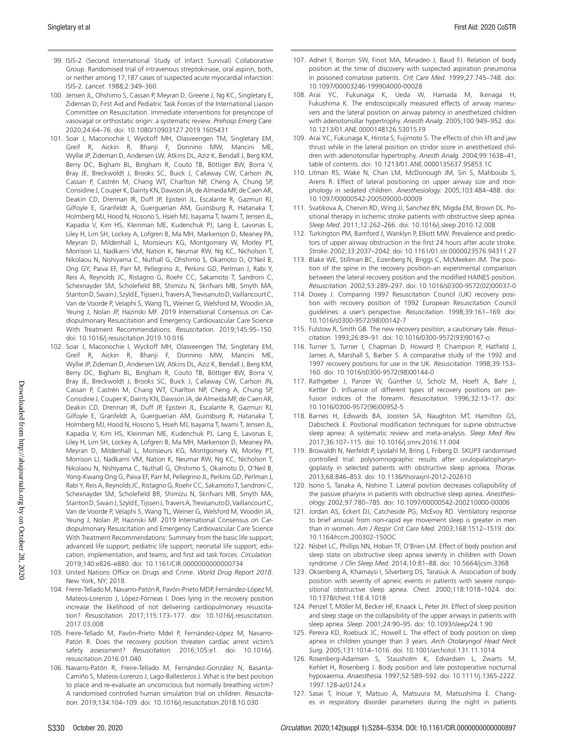- 99. ISIS-2 (Second International Study of Infarct Survival) Collaborative Group. Randomised trial of intravenous streptokinase, oral aspirin, both, or neither among 17,187 cases of suspected acute myocardial infarction: ISIS-2. *Lancet*. 1988;2:349–360.
- 100. Jensen JL, Ohshimo S, Cassan P, Meyran D, Greene J, Ng KC, Singletary E, Zideman D; First Aid and Pediatric Task Forces of the International Liaison Committee on Resuscitation. Immediate interventions for presyncope of vasovagal or orthostatic origin: a systematic review. *Prehosp Emerg Care.* 2020;24:64–76. doi: 10.1080/10903127.2019.1605431
- 101. Soar J, Maconochie I, Wyckoff MH, Olasveengen TM, Singletary EM, Greif R, Aickin R, Bhanji F, Donnino MW, Mancini ME, Wyllie JP, Zideman D, Andersen LW, Atkins DL, Aziz K, Bendall J, Berg KM, Berry DC, Bigham BL, Bingham R, Couto TB, Böttiger BW, Borra V, Bray JE, Breckwoldt J, Brooks SC, Buick J, Callaway CW, Carlson JN, Cassan P, Castrén M, Chang WT, Charlton NP, Cheng A, Chung SP, Considine J, Couper K, Dainty KN, Dawson JA, de Almeida MF, de Caen AR, Deakin CD, Drennan IR, Duff JP, Epstein JL, Escalante R, Gazmuri RJ, Gilfoyle E, Granfeldt A, Guerguerian AM, Guinsburg R, Hatanaka T, Holmberg MJ, Hood N, Hosono S, Hsieh MJ, Isayama T, Iwami T, Jensen JL, Kapadia V, Kim HS, Kleinman ME, Kudenchuk PJ, Lang E, Lavonas E, Liley H, Lim SH, Lockey A, Lofgren B, Ma MH, Markenson D, Meaney PA, Meyran D, Mildenhall L, Monsieurs KG, Montgomery W, Morley PT, Morrison LJ, Nadkarni VM, Nation K, Neumar RW, Ng KC, Nicholson T, Nikolaou N, Nishiyama C, Nuthall G, Ohshimo S, Okamoto D, O'Neil B, Ong GY, Paiva EF, Parr M, Pellegrino JL, Perkins GD, Perlman J, Rabi Y, Reis A, Reynolds JC, Ristagno G, Roehr CC, Sakamoto T, Sandroni C, Schexnayder SM, Scholefield BR, Shimizu N, Skrifvars MB, Smyth MA, Stanton D, Swain J, Szyld E, Tijssen J, Travers A, Trevisanuto D, Vaillancourt C, Van de Voorde P, Velaphi S, Wang TL, Weiner G, Welsford M, Woodin JA, Yeung J, Nolan JP, Hazinski MF. 2019 International Consensus on Cardiopulmonary Resuscitation and Emergency Cardiovascular Care Science With Treatment Recommendations. *Resuscitation.* 2019;145:95–150. doi: 10.1016/j.resuscitation.2019.10.016
- 102. Soar J, Maconochie I, Wyckoff MH, Olasveengen TM, Singletary EM, Greif R, Aickin R, Bhanji F, Donnino MW, Mancini ME, Wyllie JP, Zideman D, Andersen LW, Atkins DL, Aziz K, Bendall J, Berg KM, Berry DC, Bigham BL, Bingham R, Couto TB, Böttiger BW, Borra V, Bray JE, Breckwoldt J, Brooks SC, Buick J, Callaway CW, Carlson JN, Cassan P, Castrén M, Chang WT, Charlton NP, Cheng A, Chung SP, Considine J, Couper K, Dainty KN, Dawson JA, de Almeida MF, de Caen AR, Deakin CD, Drennan IR, Duff JP, Epstein JL, Escalante R, Gazmuri RJ, Gilfoyle E, Granfeldt A, Guerguerian AM, Guinsburg R, Hatanaka T, Holmberg MJ, Hood N, Hosono S, Hsieh MJ, Isayama T, Iwami T, Jensen JL, Kapadia V, Kim HS, Kleinman ME, Kudenchuk PJ, Lang E, Lavonas E, Liley H, Lim SH, Lockey A, Lofgren B, Ma MH, Markenson D, Meaney PA, Meyran D, Mildenhall L, Monsieurs KG, Montgomery W, Morley PT, Morrison LJ, Nadkarni VM, Nation K, Neumar RW, Ng KC, Nicholson T, Nikolaou N, Nishiyama C, Nuthall G, Ohshimo S, Okamoto D, O'Neil B, Yong-Kwang Ong G, Paiva EF, Parr M, Pellegrino JL, Perkins GD, Perlman J, Rabi Y, Reis A, Reynolds JC, Ristagno G, Roehr CC, Sakamoto T, Sandroni C, Schexnayder SM, Scholefield BR, Shimizu N, Skrifvars MB, Smyth MA, Stanton D, Swain J, Szyld E, Tijssen J, Travers A, Trevisanuto D, Vaillancourt C, Van de Voorde P, Velaphi S, Wang TL, Weiner G, Welsford M, Woodin JA, Yeung J, Nolan JP, Hazinski MF. 2019 International Consensus on Cardiopulmonary Resuscitation and Emergency Cardiovascular Care Science With Treatment Recommendations: Summary from the basic life support; advanced life support; pediatric life support; neonatal life support; education, implementation, and teams; and first aid task forces. *Circulation.* 2019;140:e826–e880. doi: 10.1161/CIR.0000000000000734
- 103. United Nations Office on Drugs and Crime. *World Drug Report 2018*. New York, NY; 2018.
- 104. Freire-Tellado M, Navarro-Patón R, Pavón-Prieto MDP, Fernández-López M, Mateos-Lorenzo J, López-Fórneas I. Does lying in the recovery position increase the likelihood of not delivering cardiopulmonary resuscitation? *Resuscitation.* 2017;115:173–177. doi: 10.1016/j.resuscitation. 2017.03.008
- 105. Freire-Tellado M, Pavón-Prieto Mdel P, Fernández-López M, Navarro-Patón R. Does the recovery position threaten cardiac arrest victim's safety assessment? *Resuscitation.* 2016;105:e1. doi: 10.1016/j. resuscitation.2016.01.040
- 106. Navarro-Patón R, Freire-Tellado M, Fernández-González N, Basanta-Camiño S, Mateos-Lorenzo J, Lago-Ballesteros J. What is the best position to place and re-evaluate an unconscious but normally breathing victim? A randomised controlled human simulation trial on children. *Resuscitation.* 2019;134:104–109. doi: 10.1016/j.resuscitation.2018.10.030
- 107. Adnet F, Borron SW, Finot MA, Minadeo J, Baud FJ. Relation of body position at the time of discovery with suspected aspiration pneumonia in poisoned comatose patients. *Crit Care Med.* 1999;27:745–748. doi: 10.1097/00003246-199904000-00028
- 108. Arai YC, Fukunaga K, Ueda W, Hamada M, Ikenaga H, Fukushima K. The endoscopically measured effects of airway maneuvers and the lateral position on airway patency in anesthetized children with adenotonsillar hypertrophy. *Anesth Analg.* 2005;100:949–952. doi: 10.1213/01.ANE.0000148126.53015.F9
- 109. Arai YC, Fukunaga K, Hirota S, Fujimoto S. The effects of chin lift and jaw thrust while in the lateral position on stridor score in anesthetized children with adenotonsillar hypertrophy. *Anesth Analg.* 2004;99:1638–41, table of contents. doi: 10.1213/01.ANE.0000135637.95853.1C
- 110. Litman RS, Wake N, Chan LM, McDonough JM, Sin S, Mahboubi S, Arens R. Effect of lateral positioning on upper airway size and morphology in sedated children. *Anesthesiology.* 2005;103:484–488. doi: 10.1097/00000542-200509000-00009
- 111. Svatikova A, Chervin RD, Wing JJ, Sanchez BN, Migda EM, Brown DL. Positional therapy in ischemic stroke patients with obstructive sleep apnea. *Sleep Med*. 2011;12:262–266. doi: 10.1016/j.sleep.2010.12.008
- 112. Turkington PM, Bamford J, Wanklyn P, Elliott MW. Prevalence and predictors of upper airway obstruction in the first 24 hours after acute stroke. *Stroke.* 2002;33:2037–2042. doi: 10.1161/01.str.0000023576.94311.27
- 113. Blake WE, Stillman BC, Eizenberg N, Briggs C, McMeeken JM. The position of the spine in the recovery position–an experimental comparison between the lateral recovery position and the modified HAINES position. *Resuscitation.* 2002;53:289–297. doi: 10.1016/s0300-9572(02)00037-0
- 114. Doxey J. Comparing 1997 Resuscitation Council (UK) recovery position with recovery position of 1992 European Resuscitation Council guidelines: a user's perspective. *Resuscitation*. 1998;39:161–169. doi: 10.1016/s0300-9572(98)00142-7
- 115. Fulstow R, Smith GB. The new recovery position, a cautionary tale. *Resuscitation.* 1993;26:89–91. doi: 10.1016/0300-9572(93)90167-o
- 116. Turner S, Turner I, Chapman D, Howard P, Champion P, Hatfield J, James A, Marshall S, Barber S. A comparative study of the 1992 and 1997 recovery positions for use in the UK. *Resuscitation*. 1998;39:153– 160. doi: 10.1016/s0300-9572(98)00144-0
- 117. Rathgeber J, Panzer W, Günther U, Scholz M, Hoeft A, Bahr J, Kettler D. Influence of different types of recovery positions on perfusion indices of the forearm. *Resuscitation.* 1996;32:13–17. doi: 10.1016/0300-9572(96)00952-5
- 118. Barnes H, Edwards BA, Joosten SA, Naughton MT, Hamilton GS, Dabscheck E. Positional modification techniques for supine obstructive sleep apnea: A systematic review and meta-analysis. *Sleep Med Rev.* 2017;36:107–115. doi: 10.1016/j.smrv.2016.11.004
- 119. Browaldh N, Nerfeldt P, Lysdahl M, Bring J, Friberg D. SKUP3 randomised controlled trial: polysomnographic results after uvulopalatopharyngoplasty in selected patients with obstructive sleep apnoea. *Thorax.* 2013;68:846–853. doi: 10.1136/thoraxjnl-2012-202610
- 120. Isono S, Tanaka A, Nishino T. Lateral position decreases collapsibility of the passive pharynx in patients with obstructive sleep apnea. *Anesthesiology.* 2002;97:780–785. doi: 10.1097/00000542-200210000-00006
- 121. Jordan AS, Eckert DJ, Catcheside PG, McEvoy RD. Ventilatory response to brief arousal from non-rapid eye movement sleep is greater in men than in women. *Am J Respir Crit Care Med.* 2003;168:1512–1519. doi: 10.1164/rccm.200302-150OC
- 122. Nisbet LC, Phillips NN, Hoban TF, O'Brien LM. Effect of body position and sleep state on obstructive sleep apnea severity in children with Down syndrome. *J Clin Sleep Med.* 2014;10:81–88. doi: 10.5664/jcsm.3368
- 123. Oksenberg A, Khamaysi I, Silverberg DS, Tarasiuk A. Association of body position with severity of apneic events in patients with severe nonpositional obstructive sleep apnea. *Chest.* 2000;118:1018–1024. doi: 10.1378/chest.118.4.1018
- 124. Penzel T, Möller M, Becker HF, Knaack L, Peter JH. Effect of sleep position and sleep stage on the collapsibility of the upper airways in patients with sleep apnea. *Sleep.* 2001;24:90–95. doi: 10.1093/sleep/24.1.90
- 125. Pereira KD, Roebuck JC, Howell L. The effect of body position on sleep apnea in children younger than 3 years. *Arch Otolaryngol Head Neck Surg.* 2005;131:1014–1016. doi: 10.1001/archotol.131.11.1014
- 126. Rosenberg-Adamsen S, Stausholm K, Edvardsen L, Zwarts M, Kehlet H, Rosenberg J. Body position and late postoperative nocturnal hypoxaemia. *Anaesthesia.* 1997;52:589–592. doi: 10.1111/j.1365-2222. 1997.128-az0124.x
- 127. Sasai T, Inoue Y, Matsuo A, Matsuura M, Matsushima E. Changes in respiratory disorder parameters during the night in patients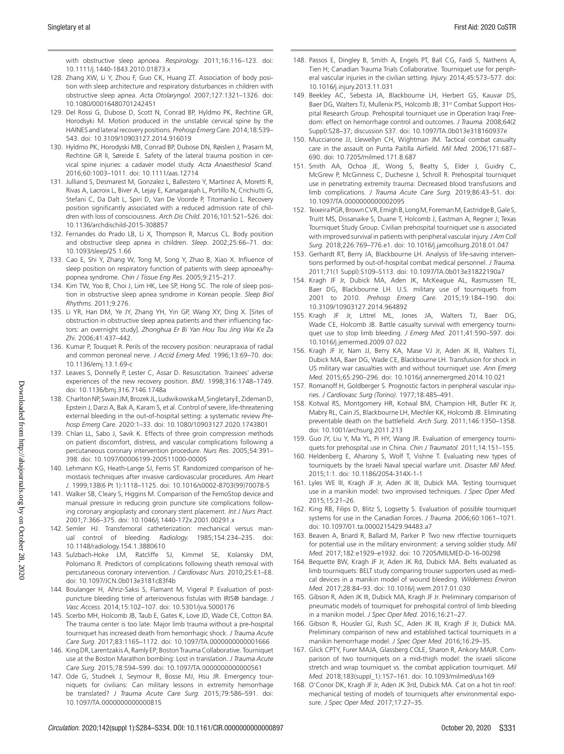with obstructive sleep apnoea. *Respirology.* 2011;16:116–123. doi: 10.1111/j.1440-1843.2010.01873.x

- 128. Zhang XW, Li Y, Zhou F, Guo CK, Huang ZT. Association of body position with sleep architecture and respiratory disturbances in children with obstructive sleep apnea. *Acta Otolaryngol.* 2007;127:1321–1326. doi: 10.1080/00016480701242451
- 129. Del Rossi G, Dubose D, Scott N, Conrad BP, Hyldmo PK, Rechtine GR, Horodsyki M. Motion produced in the unstable cervical spine by the HAINES and lateral recovery positions. *Prehosp Emerg Care.* 2014;18:539– 543. doi: 10.3109/10903127.2014.916019
- 130. Hyldmo PK, Horodyski MB, Conrad BP, Dubose DN, Røislien J, Prasarn M, Rechtine GR II, Søreide E. Safety of the lateral trauma position in cervical spine injuries: a cadaver model study. *Acta Anaesthesiol Scand.* 2016;60:1003–1011. doi: 10.1111/aas.12714
- 131. Julliand S, Desmarest M, Gonzalez L, Ballestero Y, Martinez A, Moretti R, Rivas A, Lacroix L, Biver A, Lejay E, Kanagarajah L, Portillo N, Crichiutti G, Stefani C, Da Dalt L, Spiri D, Van De Voorde P, Titomanlio L. Recovery position significantly associated with a reduced admission rate of children with loss of consciousness. *Arch Dis Child.* 2016;101:521–526. doi: 10.1136/archdischild-2015-308857
- 132. Fernandes do Prado LB, Li X, Thompson R, Marcus CL. Body position and obstructive sleep apnea in children. *Sleep*. 2002;25:66–71. doi: 10.1093/sleep/25.1.66
- 133. Cao E, Shi Y, Zhang W, Tong M, Song Y, Zhao B, Xiao X. Influence of sleep position on respiratory function of patients with sleep apnoea/hypopnea syndrome. *Chin J Tissue Eng Res*. 2005;9:215–217.
- 134. Kim TW, Yoo B, Choi J, Lim HK, Lee SP, Hong SC. The role of sleep position in obstructive sleep apnea syndrome in Korean people. *Sleep Biol Rhythms*. 2011;9:276.
- 135. Li YR, Han DM, Ye JY, Zhang YH, Yin GP, Wang XY, Ding X. [Sites of obstruction in obstructive sleep apnea patients and their influencing factors: an overnight study]. *Zhonghua Er Bi Yan Hou Tou Jing Wai Ke Za Zhi.* 2006;41:437–442.
- 136. Kumar P, Touquet R. Perils of the recovery position: neurapraxia of radial and common peroneal nerve. *J Accid Emerg Med.* 1996;13:69–70. doi: 10.1136/emj.13.1.69-c
- 137. Leaves S, Donnelly P, Lester C, Assar D. Resuscitation. Trainees' adverse experiences of the new recovery position. *BMJ.* 1998;316:1748–1749. doi: 10.1136/bmj.316.7146.1748a
- 138. Charlton NP, Swain JM, Brozek JL, Ludwikowska M, Singletary E, Zideman D, Epstein J, Darzi A, Bak A, Karam S, et al. Control of severe, life-threatening external bleeding in the out-of-hospital setting: a systematic review *Prehosp Emerg Care*. 2020:1–33. doi: 10.1080/10903127.2020.1743801
- 139. Chlan LL, Sabo J, Savik K. Effects of three groin compression methods on patient discomfort, distress, and vascular complications following a percutaneous coronary intervention procedure. *Nurs Res.* 2005;54:391– 398. doi: 10.1097/00006199-200511000-00005
- 140. Lehmann KG, Heath-Lange SJ, Ferris ST. Randomized comparison of hemostasis techniques after invasive cardiovascular procedures. *Am Heart J.* 1999;138(6 Pt 1):1118–1125. doi: 10.1016/s0002-8703(99)70078-5
- 141. Walker SB, Cleary S, Higgins M. Comparison of the FemoStop device and manual pressure in reducing groin puncture site complications following coronary angioplasty and coronary stent placement. *Int J Nurs Pract.* 2001;7:366–375. doi: 10.1046/j.1440-172x.2001.00291.x
- 142. Semler HJ. Transfemoral catheterization: mechanical versus manual control of bleeding. *Radiology.* 1985;154:234–235. doi: 10.1148/radiology.154.1.3880610
- 143. Sulzbach-Hoke LM, Ratcliffe SJ, Kimmel SE, Kolansky DM, Polomano R. Predictors of complications following sheath removal with percutaneous coronary intervention. *J Cardiovasc Nurs.* 2010;25:E1–E8. doi: 10.1097/JCN.0b013e3181c83f4b
- 144. Boulanger H, Ahriz-Saksi S, Flamant M, Vigeral P. Evaluation of postpuncture bleeding time of arteriovenous fistulas with IRIS® bandage. *J Vasc Access.* 2014;15:102–107. doi: 10.5301/jva.5000176
- 145. Scerbo MH, Holcomb JB, Taub E, Gates K, Love JD, Wade CE, Cotton BA. The trauma center is too late: Major limb trauma without a pre-hospital tourniquet has increased death from hemorrhagic shock. *J Trauma Acute Care Surg.* 2017;83:1165–1172. doi: 10.1097/TA.0000000000001666
- 146. King DR, Larentzakis A, Ramly EP; Boston Trauma Collaborative. Tourniquet use at the Boston Marathon bombing: Lost in translation. *J Trauma Acute Care Surg.* 2015;78:594–599. doi: 10.1097/TA.0000000000000561
- 147. Ode G, Studnek J, Seymour R, Bosse MJ, Hsu JR. Emergency tourniquets for civilians: Can military lessons in extremity hemorrhage be translated? *J Trauma Acute Care Surg.* 2015;79:586–591. doi: 10.1097/TA.0000000000000815
- 148. Passos E, Dingley B, Smith A, Engels PT, Ball CG, Faidi S, Nathens A, Tien H; Canadian Trauma Trials Collaborative. Tourniquet use for peripheral vascular injuries in the civilian setting. *Injury.* 2014;45:573–577. doi: 10.1016/j.injury.2013.11.031
- 149. Beekley AC, Sebesta JA, Blackbourne LH, Herbert GS, Kauvar DS, Baer DG, Walters TJ, Mullenix PS, Holcomb JB; 31st Combat Support Hospital Research Group. Prehospital tourniquet use in Operation Iraqi Freedom: effect on hemorrhage control and outcomes. *J Trauma.* 2008;64(2 Suppl):S28–37; discussion S37. doi: 10.1097/TA.0b013e318160937e
- 150. Mucciarone JJ, Llewellyn CH, Wightman JM. Tactical combat casualty care in the assault on Punta Paitilla Airfield. *Mil Med.* 2006;171:687– 690. doi: 10.7205/milmed.171.8.687
- 151. Smith AA, Ochoa JE, Wong S, Beatty S, Elder J, Guidry C, McGrew P, McGinness C, Duchesne J, Schroll R. Prehospital tourniquet use in penetrating extremity trauma: Decreased blood transfusions and limb complications. *J Trauma Acute Care Surg.* 2019;86:43–51. doi: 10.1097/TA.0000000000002095
- 152. Teixeira PGR, Brown CVR, Emigh B, Long M, Foreman M, Eastridge B, Gale S, Truitt MS, Dissanaike S, Duane T, Holcomb J, Eastman A, Regner J; Texas Tourniquet Study Group. Civilian prehospital tourniquet use is associated with improved survival in patients with peripheral vascular injury. *J Am Coll Surg.* 2018;226:769–776.e1. doi: 10.1016/j.jamcollsurg.2018.01.047
- 153. Gerhardt RT, Berry JA, Blackbourne LH. Analysis of life-saving interventions performed by out-of-hospital combat medical personnel. *J Trauma.* 2011;71(1 Suppl):S109–S113. doi: 10.1097/TA.0b013e31822190a7
- 154. Kragh JF Jr, Dubick MA, Aden JK, McKeague AL, Rasmussen TE, Baer DG, Blackbourne LH. U.S. military use of tourniquets from 2001 to 2010. *Prehosp Emerg Care*. 2015;19:184–190. doi: 10.3109/10903127.2014.964892
- 155. Kragh JF Jr, Littrel ML, Jones JA, Walters TJ, Baer DG, Wade CE, Holcomb JB. Battle casualty survival with emergency tourniquet use to stop limb bleeding. *J Emerg Med.* 2011;41:590–597. doi: 10.1016/j.jemermed.2009.07.022
- 156. Kragh JF Jr, Nam JJ, Berry KA, Mase VJ Jr, Aden JK III, Walters TJ, Dubick MA, Baer DG, Wade CE, Blackbourne LH. Transfusion for shock in US military war casualties with and without tourniquet use. *Ann Emerg Med.* 2015;65:290–296. doi: 10.1016/j.annemergmed.2014.10.021
- 157. Romanoff H, Goldberger S. Prognostic factors in peripheral vascular injuries. *J Cardiovasc Surg (Torino).* 1977;18:485–491.
- 158. Kotwal RS, Montgomery HR, Kotwal BM, Champion HR, Butler FK Jr, Mabry RL, Cain JS, Blackbourne LH, Mechler KK, Holcomb JB. Eliminating preventable death on the battlefield. *Arch Surg.* 2011;146:1350–1358. doi: 10.1001/archsurg.2011.213
- 159. Guo JY, Liu Y, Ma YL, Pi HY, Wang JR. Evaluation of emergency tourniquets for prehospital use in China. *Chin J Traumatol.* 2011;14:151–155.
- 160. Heldenberg E, Aharony S, Wolf T, Vishne T. Evaluating new types of tourniquets by the Israeli Naval special warfare unit. *Disaster Mil Med.* 2015;1:1. doi: 10.1186/2054-314X-1-1
- 161. Lyles WE III, Kragh JF Jr, Aden JK III, Dubick MA. Testing tourniquet use in a manikin model: two improvised techniques. *J Spec Oper Med.* 2015;15:21–26.
- 162. King RB, Filips D, Blitz S, Logsetty S. Evaluation of possible tourniquet systems for use in the Canadian Forces. *J Trauma.* 2006;60:1061–1071. doi: 10.1097/01.ta.0000215429.94483.a7
- 163. Beaven A, Briard R, Ballard M, Parker P. Two new rffective tourniquets for potential use in the military environment: a serving soldier study. *Mil Med.* 2017;182:e1929–e1932. doi: 10.7205/MILMED-D-16-00298
- 164. Bequette BW, Kragh JF Jr, Aden JK Rd, Dubick MA. Belts evaluated as limb tourniquets: BELT study comparing trouser supporters used as medical devices in a manikin model of wound bleeding. *Wilderness Environ Med.* 2017;28:84–93. doi: 10.1016/j.wem.2017.01.030
- 165. Gibson R, Aden JK III, Dubick MA, Kragh JF Jr. Preliminary comparison of pneumatic models of tourniquet for prehospital control of limb bleeding in a manikin model. *J Spec Oper Med.* 2016;16:21–27.
- 166. Gibson R, Housler GJ, Rush SC, Aden JK III, Kragh JF Jr, Dubick MA. Preliminary comparison of new and established tactical tourniquets in a manikin hemorrhage model. *J Spec Oper Med.* 2016;16:29–35.
- 167. Glick CPTY, Furer MAJA, Glassberg COLE, Sharon R, Ankory MAJR. Comparison of two tourniquets on a mid-thigh model: the israeli silicone stretch and wrap tourniquet vs. the combat application tourniquet. *Mil Med.* 2018;183(suppl\_1):157–161. doi: 10.1093/milmed/usx169
- 168. O'Conor DK, Kragh JF Jr, Aden JK 3rd, Dubick MA. Cat on a hot tin roof: mechanical testing of models of tourniquets after environmental exposure. *J Spec Oper Med.* 2017;17:27–35.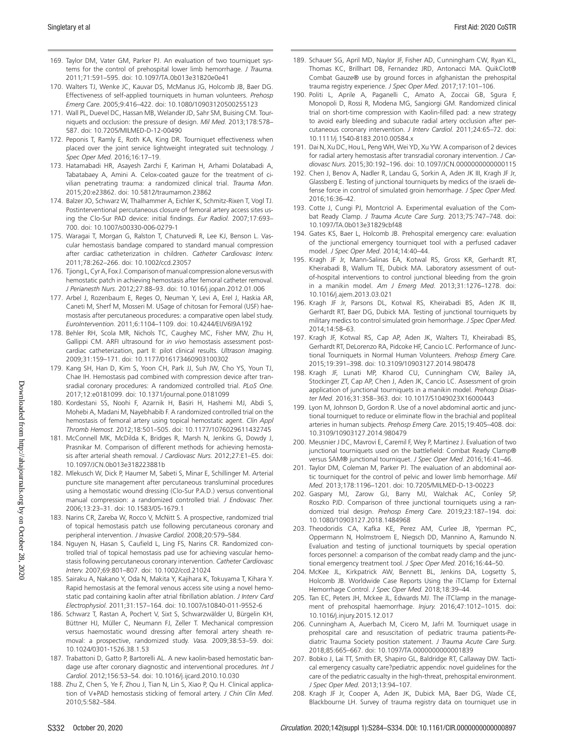- 169. Taylor DM, Vater GM, Parker PJ. An evaluation of two tourniquet systems for the control of prehospital lower limb hemorrhage. *J Trauma.* 2011;71:591–595. doi: 10.1097/TA.0b013e31820e0e41
- 170. Walters TJ, Wenke JC, Kauvar DS, McManus JG, Holcomb JB, Baer DG. Effectiveness of self-applied tourniquets in human volunteers. *Prehosp Emerg Care.* 2005;9:416–422. doi: 10.1080/10903120500255123
- 171. Wall PL, Duevel DC, Hassan MB, Welander JD, Sahr SM, Buising CM. Tourniquets and occlusion: the pressure of design. *Mil Med.* 2013;178:578– 587. doi: 10.7205/MILMED-D-12-00490
- 172. Peponis T, Ramly E, Roth KA, King DR. Tourniquet effectiveness when placed over the joint service lightweight integrated suit technology. *J Spec Oper Med.* 2016;16:17–19.
- 173. Hatamabadi HR, Asayesh Zarchi F, Kariman H, Arhami Dolatabadi A, Tabatabaey A, Amini A. Celox-coated gauze for the treatment of civilian penetrating trauma: a randomized clinical trial. *Trauma Mon*. 2015;20:e23862. doi: 10.5812/traumamon.23862
- 174. Balzer JO, Schwarz W, Thalhammer A, Eichler K, Schmitz-Rixen T, Vogl TJ. Postinterventional percutaneous closure of femoral artery access sites using the Clo-Sur PAD device: initial findings. *Eur Radiol.* 2007;17:693– 700. doi: 10.1007/s00330-006-0279-1
- 175. Waragai T, Morgan G, Ralston T, Chaturvedi R, Lee KJ, Benson L. Vascular hemostasis bandage compared to standard manual compression after cardiac catheterization in children. *Catheter Cardiovasc Interv.* 2011;78:262–266. doi: 10.1002/ccd.23057
- 176. Tjiong L, Cyr A, Fox J. Comparison of manual compression alone versus with hemostatic patch in achieving hemostasis after femoral catheter removal. *J Perianesth Nurs.* 2012;27:88–93. doi: 10.1016/j.jopan.2012.01.006
- 177. Arbel J, Rozenbaum E, Reges O, Neuman Y, Levi A, Erel J, Haskia AR, Caneti M, Sherf M, Mosseri M. USage of chitosan for Femoral (USF) haemostasis after percutaneous procedures: a comparative open label study. *EuroIntervention.* 2011;6:1104–1109. doi: 10.4244/EIJV6I9A192
- 178. Behler RH, Scola MR, Nichols TC, Caughey MC, Fisher MW, Zhu H, Gallippi CM. ARFI ultrasound for *in vivo* hemostasis assessment postcardiac catheterization, part II: pilot clinical results. *Ultrason Imaging.* 2009;31:159–171. doi: 10.1177/016173460903100302
- 179. Kang SH, Han D, Kim S, Yoon CH, Park JJ, Suh JW, Cho YS, Youn TJ, Chae IH. Hemostasis pad combined with compression device after transradial coronary procedures: A randomized controlled trial. *PLoS One.* 2017;12:e0181099. doi: 10.1371/journal.pone.0181099
- 180. Kordestani SS, Noohi F, Azarnik H, Basiri H, Hashemi MJ, Abdi S, Mohebi A, Madani M, Nayebhabib F. A randomized controlled trial on the hemostasis of femoral artery using topical hemostatic agent. *Clin Appl Thromb Hemost.* 2012;18:501–505. doi: 10.1177/1076029611432745
- 181. McConnell MK, McDilda K, Bridges R, Marsh N, Jenkins G, Dowdy J, Prasnikar M. Comparison of different methods for achieving hemostasis after arterial sheath removal. *J Cardiovasc Nurs.* 2012;27:E1–E5. doi: 10.1097/JCN.0b013e318223881b
- 182. Mlekusch W, Dick P, Haumer M, Sabeti S, Minar E, Schillinger M. Arterial puncture site management after percutaneous transluminal procedures using a hemostatic wound dressing (Clo-Sur P.A.D.) versus conventional manual compression: a randomized controlled trial. *J Endovasc Ther.* 2006;13:23–31. doi: 10.1583/05-1679.1
- 183. Narins CR, Zareba W, Rocco V, McNitt S. A prospective, randomized trial of topical hemostasis patch use following percutaneous coronary and peripheral intervention. *J Invasive Cardiol.* 2008;20:579–584.
- 184. Nguyen N, Hasan S, Caufield L, Ling FS, Narins CR. Randomized controlled trial of topical hemostasis pad use for achieving vascular hemostasis following percutaneous coronary intervention. *Catheter Cardiovasc Interv.* 2007;69:801–807. doi: 10.1002/ccd.21024
- 185. Sairaku A, Nakano Y, Oda N, Makita Y, Kajihara K, Tokuyama T, Kihara Y. Rapid hemostasis at the femoral venous access site using a novel hemostatic pad containing kaolin after atrial fibrillation ablation. *J Interv Card Electrophysiol.* 2011;31:157–164. doi: 10.1007/s10840-011-9552-6
- 186. Schwarz T, Rastan A, Pochert V, Sixt S, Schwarzwälder U, Bürgelin KH, Büttner HJ, Müller C, Neumann FJ, Zeller T. Mechanical compression versus haemostatic wound dressing after femoral artery sheath removal: a prospective, randomized study. *Vasa.* 2009;38:53–59. doi: 10.1024/0301-1526.38.1.53
- 187. Trabattoni D, Gatto P, Bartorelli AL. A new kaolin-based hemostatic bandage use after coronary diagnostic and interventional procedures. *Int J Cardiol.* 2012;156:53–54. doi: 10.1016/j.ijcard.2010.10.030
- 188. Zhu Z, Chen S, Ye F, Zhou J, Tian N, Lin S, Xiao P, Qu H. Clinical application of V+PAD hemostasis sticking of femoral artery. *J Chin Clin Med*. 2010;5:582–584.
- 189. Schauer SG, April MD, Naylor JF, Fisher AD, Cunningham CW, Ryan KL, Thomas KC, Brillhart DB, Fernandez JRD, Antonacci MA. QuikClot® Combat Gauze® use by ground forces in afghanistan the prehospital trauma registry experience. *J Spec Oper Med.* 2017;17:101–106.
- 190. Politi L, Aprile A, Paganelli C, Amato A, Zoccai GB, Sgura F, Monopoli D, Rossi R, Modena MG, Sangiorgi GM. Randomized clinical trial on short-time compression with Kaolin-filled pad: a new strategy to avoid early bleeding and subacute radial artery occlusion after percutaneous coronary intervention. *J Interv Cardiol.* 2011;24:65–72. doi: 10.1111/j.1540-8183.2010.00584.x
- 191. Dai N, Xu DC, Hou L, Peng WH, Wei YD, Xu YW. A comparison of 2 devices for radial artery hemostasis after transradial coronary intervention. *J Cardiovasc Nurs.* 2015;30:192–196. doi: 10.1097/JCN.0000000000000115
- 192. Chen J, Benov A, Nadler R, Landau G, Sorkin A, Aden JK III, Kragh JF Jr, Glassberg E. Testing of junctional tourniquets by medics of the israeli defense force in control of simulated groin hemorrhage. *J Spec Oper Med.* 2016;16:36–42.
- 193. Cotte J, Cungi PJ, Montcriol A. Experimental evaluation of the Combat Ready Clamp. *J Trauma Acute Care Surg.* 2013;75:747–748. doi: 10.1097/TA.0b013e31829cbf48
- 194. Gates KS, Baer L, Holcomb JB. Prehospital emergency care: evaluation of the junctional emergency tourniquet tool with a perfused cadaver model. *J Spec Oper Med.* 2014;14:40–44.
- 195. Kragh JF Jr, Mann-Salinas EA, Kotwal RS, Gross KR, Gerhardt RT, Kheirabadi B, Wallum TE, Dubick MA. Laboratory assessment of outof-hospital interventions to control junctional bleeding from the groin in a manikin model. *Am J Emerg Med*. 2013;31:1276–1278. doi: 10.1016/j.ajem.2013.03.021
- 196. Kragh JF Jr, Parsons DL, Kotwal RS, Kheirabadi BS, Aden JK III, Gerhardt RT, Baer DG, Dubick MA. Testing of junctional tourniquets by military medics to control simulated groin hemorrhage. *J Spec Oper Med.* 2014;14:58–63.
- 197. Kragh JF, Kotwal RS, Cap AP, Aden JK, Walters TJ, Kheirabadi BS, Gerhardt RT, DeLorenzo RA, Pidcoke HF, Cancio LC. Performance of Junctional Tourniquets in Normal Human Volunteers. *Prehosp Emerg Care.* 2015;19:391–398. doi: 10.3109/10903127.2014.980478
- 198. Kragh JF, Lunati MP, Kharod CU, Cunningham CW, Bailey JA, Stockinger ZT, Cap AP, Chen J, Aden JK, Cancio LC. Assessment of groin application of junctional tourniquets in a manikin model. *Prehosp Disaster Med.* 2016;31:358–363. doi: 10.1017/S1049023X16000443
- 199. Lyon M, Johnson D, Gordon R. Use of a novel abdominal aortic and junctional tourniquet to reduce or eliminate flow in the brachial and popliteal arteries in human subjects. *Prehosp Emerg Care.* 2015;19:405–408. doi: 10.3109/10903127.2014.980479
- 200. Meusnier J DC, Mavrovi E, Caremil F, Wey P, Martinez J. Evaluation of two junctional tourniquets used on the battlefield: Combat Ready Clamp® versus SAM® junctional tourniquet. *J Spec Oper Med*. 2016;16:41–46.
- 201. Taylor DM, Coleman M, Parker PJ. The evaluation of an abdominal aortic tourniquet for the control of pelvic and lower limb hemorrhage. *Mil Med.* 2013;178:1196–1201. doi: 10.7205/MILMED-D-13-00223
- 202. Gaspary MJ, Zarow GJ, Barry MJ, Walchak AC, Conley SP, Roszko PJD. Comparison of three junctional tourniquets using a randomized trial design. *Prehosp Emerg Care.* 2019;23:187–194. doi: 10.1080/10903127.2018.1484968
- 203. Theodoridis CA, Kafka KE, Perez AM, Curlee JB, Yperman PC, Oppermann N, Holmstroem E, Niegsch DD, Mannino A, Ramundo N. Evaluation and testing of junctional tourniquets by special operation forces personnel: a comparison of the combat ready clamp and the junctional emergency treatment tool. *J Spec Oper Med.* 2016;16:44–50.
- 204. McKee JL, Kirkpatrick AW, Bennett BL, Jenkins DA, Logsetty S, Holcomb JB. Worldwide Case Reports Using the iTClamp for External Hemorrhage Control. *J Spec Oper Med.* 2018;18:39–44.
- 205. Tan EC, Peters JH, Mckee JL, Edwards MJ. The iTClamp in the management of prehospital haemorrhage. *Injury.* 2016;47:1012–1015. doi: 10.1016/j.injury.2015.12.017
- 206. Cunningham A, Auerbach M, Cicero M, Jafri M. Tourniquet usage in prehospital care and resuscitation of pediatric trauma patients-Pediatric Trauma Society position statement. *J Trauma Acute Care Surg.* 2018;85:665–667. doi: 10.1097/TA.0000000000001839
- 207. Bobko J, Lai TT, Smith ER, Shapiro GL, Baldridge RT, Callaway DW. Tactical emergency casualty care?pediatric appendix: novel guidelines for the care of the pediatric casualty in the high-threat, prehospital environment. *J Spec Oper Med.* 2013;13:94–107.
- 208. Kragh JF Jr, Cooper A, Aden JK, Dubick MA, Baer DG, Wade CE, Blackbourne LH. Survey of trauma registry data on tourniquet use in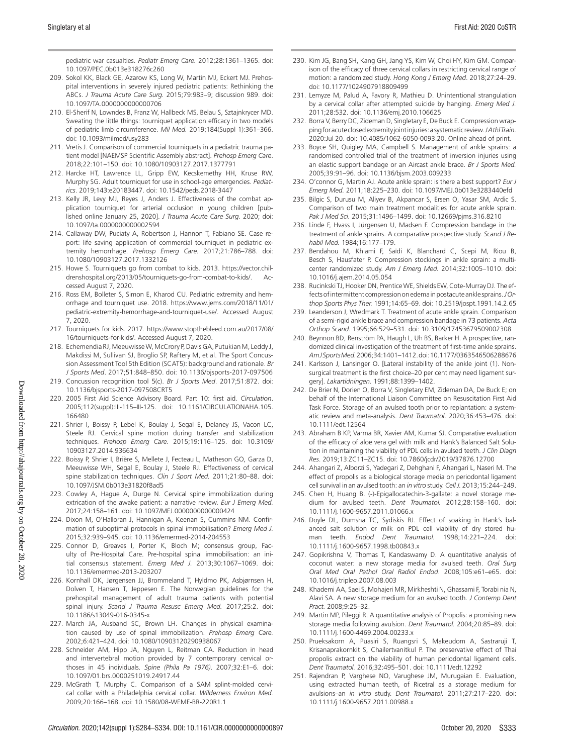pediatric war casualties. *Pediatr Emerg Care.* 2012;28:1361–1365. doi: 10.1097/PEC.0b013e318276c260

- 209. Sokol KK, Black GE, Azarow KS, Long W, Martin MJ, Eckert MJ. Prehospital interventions in severely injured pediatric patients: Rethinking the ABCs. *J Trauma Acute Care Surg.* 2015;79:983–9; discussion 989. doi: 10.1097/TA.0000000000000706
- 210. El-Sherif N, Lowndes B, Franz W, Hallbeck MS, Belau S, Sztajnkrycer MD. Sweating the little things: tourniquet application efficacy in two models of pediatric limb circumference. *Mil Med.* 2019;184(Suppl 1):361–366. doi: 10.1093/milmed/usy283
- 211. Vretis J. Comparison of commercial tourniquets in a pediatric trauma patient model [NAEMSP Scientific Assembly abstract]. *Prehosp Emerg Care*. 2018;22:101–150. doi: 10.1080/10903127.2017.1377791
- 212. Harcke HT, Lawrence LL, Gripp EW, Kecskemethy HH, Kruse RW, Murphy SG. Adult tourniquet for use in school-age emergencies. *Pediatrics*. 2019;143:e20183447. doi: 10.1542/peds.2018-3447
- 213. Kelly JR, Levy MJ, Reyes J, Anders J. Effectiveness of the combat application tourniquet for arterial occlusion in young children [published online January 25, 2020]. *J Trauma Acute Care Surg*. 2020; doi: 10.1097/ta.0000000000002594
- 214. Callaway DW, Puciaty A, Robertson J, Hannon T, Fabiano SE. Case report: life saving application of commercial tourniquet in pediatric extremity hemorrhage. *Prehosp Emerg Care.* 2017;21:786–788. doi: 10.1080/10903127.2017.1332126
- 215. Howe S. Tourniquets go from combat to kids. 2013. https://vector.childrenshospital.org/2013/05/tourniquets-go-from-combat-to-kids/. Accessed August 7, 2020.
- 216. Ross EM, Bolleter S, Simon E, Kharod CU. Pediatric extremity and hemorrhage and tourniquet use. 2018. https://www.jems.com/2018/11/01/ pediatric-extremity-hemorrhage-and-tourniquet-use/. Accessed August 7, 2020.
- 217. Tourniquets for kids. 2017. https://www.stopthebleed.com.au/2017/08/ 16/tourniquets-for-kids/. Accessed August 7, 2020.
- 218. Echemendia RJ, Meeuwisse W, McCrory P, Davis GA, Putukian M, Leddy J, Makdissi M, Sullivan SJ, Broglio SP, Raftery M, et al. The Sport Concussion Assessment Tool 5th Edition (SCAT5): background and rationale. *Br J Sports Med*. 2017;51:848–850. doi: 10.1136/bjsports-2017-097506
- 219. Concussion recognition tool 5(c). *Br J Sports Med*. 2017;51:872. doi: 10.1136/bjsports-2017-097508CRT5
- 220. 2005 First Aid Science Advisory Board. Part 10: first aid. *Circulation*. 2005;112(suppl):III-115–III-125. doi: 10.1161/CIRCULATIONAHA.105. 166480
- 221. Shrier I, Boissy P, Lebel K, Boulay J, Segal E, Delaney JS, Vacon LC, Steele RJ. Cervical spine motion during transfer and stabilization techniques. *Prehosp Emerg Care.* 2015;19:116–125. doi: 10.3109/ 10903127.2014.936634
- 222. Boissy P, Shrier I, Brière S, Mellete J, Fecteau L, Matheson GO, Garza D, Meeuwisse WH, Segal E, Boulay J, Steele RJ. Effectiveness of cervical spine stabilization techniques. *Clin J Sport Med.* 2011;21:80–88. doi: 10.1097/JSM.0b013e31820f8ad5
- 223. Cowley A, Hague A, Durge N. Cervical spine immobilization during extrication of the awake patient: a narrative review. *Eur J Emerg Med.* 2017;24:158–161. doi: 10.1097/MEJ.0000000000000424
- 224. Dixon M, O'Halloran J, Hannigan A, Keenan S, Cummins NM. Confirmation of suboptimal protocols in spinal immobilisation? *Emerg Med J.* 2015;32:939–945. doi: 10.1136/emermed-2014-204553
- 225. Connor D, Greaves I, Porter K, Bloch M; consensus group, Faculty of Pre-Hospital Care. Pre-hospital spinal immobilisation: an initial consensus statement. *Emerg Med J.* 2013;30:1067–1069. doi: 10.1136/emermed-2013-203207
- 226. Kornhall DK, Jørgensen JJ, Brommeland T, Hyldmo PK, Asbjørnsen H, Dolven T, Hansen T, Jeppesen E. The Norwegian guidelines for the prehospital management of adult trauma patients with potential spinal injury. *Scand J Trauma Resusc Emerg Med.* 2017;25:2. doi: 10.1186/s13049-016-0345-x
- 227. March JA, Ausband SC, Brown LH. Changes in physical examination caused by use of spinal immobilization. *Prehosp Emerg Care.* 2002;6:421–424. doi: 10.1080/10903120290938067
- 228. Schneider AM, Hipp JA, Nguyen L, Reitman CA. Reduction in head and intervertebral motion provided by 7 contemporary cervical orthoses in 45 individuals. *Spine (Phila Pa 1976)*. 2007;32:E1–6. doi: 10.1097/01.brs.0000251019.24917.44
- 229. McGrath T, Murphy C. Comparison of a SAM splint-molded cervical collar with a Philadelphia cervical collar. *Wilderness Environ Med.* 2009;20:166–168. doi: 10.1580/08-WEME-BR-220R1.1
- 230. Kim JG, Bang SH, Kang GH, Jang YS, Kim W, Choi HY, Kim GM. Comparison of the efficacy of three cervical collars in restricting cervical range of motion: a randomized study. *Hong Kong J Emerg Med*. 2018;27:24–29. doi: 10.1177/1024907918809499
- 231. Lemyze M, Palud A, Favory R, Mathieu D. Unintentional strangulation by a cervical collar after attempted suicide by hanging. *Emerg Med J.* 2011;28:532. doi: 10.1136/emj.2010.106625
- 232. Borra V, Berry DC, Zideman D, Singletary E, De Buck E. Compression wrapping for acute closed extremity joint injuries: a systematic review. *J Athl Train*. 2020:Jul 20. doi: 10.4085/1062-6050-0093.20. Online ahead of print.
- 233. Boyce SH, Quigley MA, Campbell S. Management of ankle sprains: a randomised controlled trial of the treatment of inversion injuries using an elastic support bandage or an Aircast ankle brace. *Br J Sports Med.* 2005;39:91–96. doi: 10.1136/bjsm.2003.009233
- 234. O'connor G, Martin AJ. Acute ankle sprain: is there a best support? *Eur J Emerg Med.* 2011;18:225–230. doi: 10.1097/MEJ.0b013e3283440efd
- 235. Bilgic S, Durusu M, Aliyev B, Akpancar S, Ersen O, Yasar SM, Ardic S. Comparison of two main treatment modalities for acute ankle sprain. *Pak J Med Sci.* 2015;31:1496–1499. doi: 10.12669/pjms.316.8210
- 236. Linde F, Hvass I, Jürgensen U, Madsen F. Compression bandage in the treatment of ankle sprains. A comparative prospective study. *Scand J Rehabil Med.* 1984;16:177–179.
- 237. Bendahou M, Khiami F, Saïdi K, Blanchard C, Scepi M, Riou B, Besch S, Hausfater P. Compression stockings in ankle sprain: a multicenter randomized study. *Am J Emerg Med.* 2014;32:1005–1010. doi: 10.1016/j.ajem.2014.05.054
- 238. Rucinkski TJ, Hooker DN, Prentice WE, Shields EW, Cote-Murray DJ. The effects of intermittent compression on edema in postacute ankle sprains. *J Orthop Sports Phys Ther.* 1991;14:65–69. doi: 10.2519/jospt.1991.14.2.65
- 239. Leanderson J, Wredmark T. Treatment of acute ankle sprain. Comparison of a semi-rigid ankle brace and compression bandage in 73 patients. *Acta Orthop Scand.* 1995;66:529–531. doi: 10.3109/17453679509002308
- 240. Beynnon BD, Renström PA, Haugh L, Uh BS, Barker H. A prospective, randomized clinical investigation of the treatment of first-time ankle sprains. *Am J Sports Med.* 2006;34:1401–1412. doi: 10.1177/0363546506288676
- 241. Karlsson J, Lansinger O. [Lateral instability of the ankle joint (1). Nonsurgical treatment is the first choice–20 per cent may need ligament surgery]. *Lakartidningen.* 1991;88:1399–1402.
- 242. De Brier N, Dorien O, Borra V, Singletary EM, Zideman DA, De Buck E; on behalf of the International Liaison Committee on Resuscitation First Aid Task Force. Storage of an avulsed tooth prior to replantation: a systematic review and meta-analysis. *Dent Traumatol*. 2020;36:453–476. doi: 10.1111/edt.12564
- 243. Abraham B KP, Varma BR, Xavier AM, Kumar SJ. Comparative evaluation of the efficacy of aloe vera gel with milk and Hank's Balanced Salt Solution in maintaining the viability of PDL cells in avulsed teeth. *J Clin Diagn Res*. 2019;13:ZC11–ZC15. doi: 10.7860/jcdr/2019/37876.12700
- 244. Ahangari Z, Alborzi S, Yadegari Z, Dehghani F, Ahangari L, Naseri M. The effect of propolis as a biological storage media on periodontal ligament cell survival in an avulsed tooth: an *in vitro* study. *Cell J.* 2013;15:244–249.
- 245. Chen H, Huang B. (-)-Epigallocatechin-3-gallate: a novel storage medium for avulsed teeth. *Dent Traumatol.* 2012;28:158–160. doi: 10.1111/j.1600-9657.2011.01066.x
- 246. Doyle DL, Dumsha TC, Sydiskis RJ. Effect of soaking in Hank's balanced salt solution or milk on PDL cell viability of dry stored human teeth. *Endod Dent Traumatol.* 1998;14:221–224. doi: 10.1111/j.1600-9657.1998.tb00843.x
- 247. Gopikrishna V, Thomas T, Kandaswamy D. A quantitative analysis of coconut water: a new storage media for avulsed teeth. *Oral Surg Oral Med Oral Pathol Oral Radiol Endod*. 2008;105:e61–e65. doi: 10.1016/j.tripleo.2007.08.003
- 248. Khademi AA, Saei S, Mohajeri MR, Mirkheshti N, Ghassami F, Torabi nia N, Alavi SA. A new storage medium for an avulsed tooth. *J Contemp Dent Pract.* 2008;9:25–32.
- 249. Martin MP, Pileggi R. A quantitative analysis of Propolis: a promising new storage media following avulsion. *Dent Traumatol.* 2004;20:85–89. doi: 10.1111/j.1600-4469.2004.00233.x
- 250. Prueksakorn A, Puasiri S, Ruangsri S, Makeudom A, Sastraruji T, Krisanaprakornkit S, Chailertvanitkul P. The preservative effect of Thai propolis extract on the viability of human periodontal ligament cells. *Dent Traumatol.* 2016;32:495–501. doi: 10.1111/edt.12292
- 251. Rajendran P, Varghese NO, Varughese JM, Murugaian E. Evaluation, using extracted human teeth, of Ricetral as a storage medium for avulsions–an *in vitro* study. *Dent Traumatol.* 2011;27:217–220. doi: 10.1111/j.1600-9657.2011.00988.x